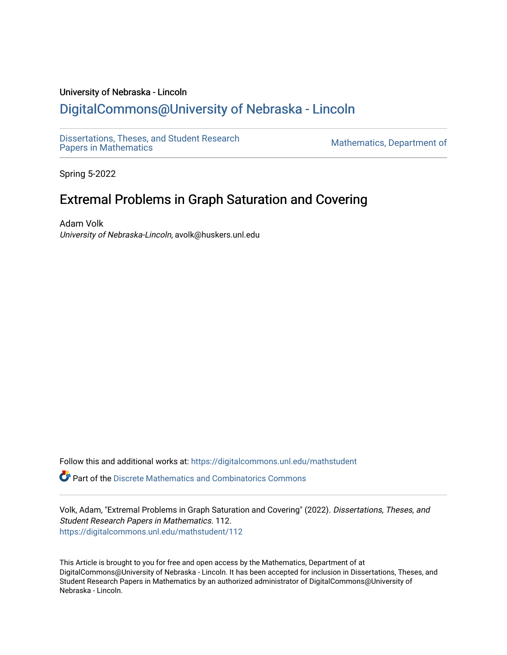## University of Nebraska - Lincoln [DigitalCommons@University of Nebraska - Lincoln](https://digitalcommons.unl.edu/)

[Dissertations, Theses, and Student Research](https://digitalcommons.unl.edu/mathstudent)

Mathematics, Department of

Spring 5-2022

# Extremal Problems in Graph Saturation and Covering

Adam Volk University of Nebraska-Lincoln, avolk@huskers.unl.edu

Follow this and additional works at: [https://digitalcommons.unl.edu/mathstudent](https://digitalcommons.unl.edu/mathstudent?utm_source=digitalcommons.unl.edu%2Fmathstudent%2F112&utm_medium=PDF&utm_campaign=PDFCoverPages)

 $\bullet$  Part of the Discrete Mathematics and Combinatorics Commons

Volk, Adam, "Extremal Problems in Graph Saturation and Covering" (2022). Dissertations, Theses, and Student Research Papers in Mathematics. 112. [https://digitalcommons.unl.edu/mathstudent/112](https://digitalcommons.unl.edu/mathstudent/112?utm_source=digitalcommons.unl.edu%2Fmathstudent%2F112&utm_medium=PDF&utm_campaign=PDFCoverPages)

This Article is brought to you for free and open access by the Mathematics, Department of at DigitalCommons@University of Nebraska - Lincoln. It has been accepted for inclusion in Dissertations, Theses, and Student Research Papers in Mathematics by an authorized administrator of DigitalCommons@University of Nebraska - Lincoln.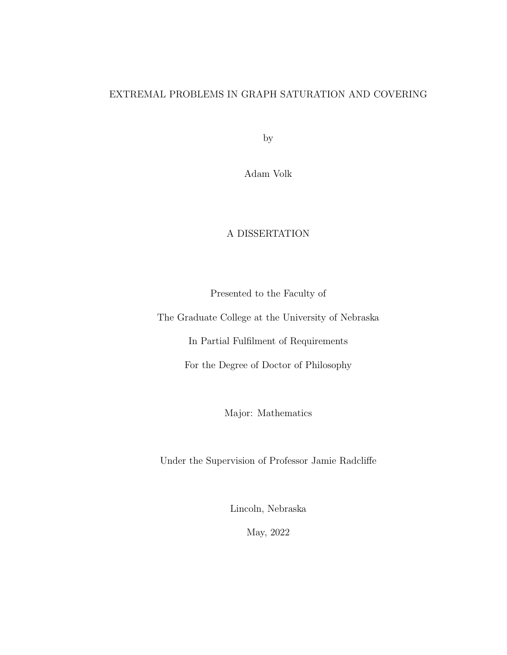### EXTREMAL PROBLEMS IN GRAPH SATURATION AND COVERING

by

Adam Volk

### A DISSERTATION

Presented to the Faculty of

The Graduate College at the University of Nebraska

In Partial Fulfilment of Requirements

For the Degree of Doctor of Philosophy

Major: Mathematics

Under the Supervision of Professor Jamie Radcliffe

Lincoln, Nebraska

May, 2022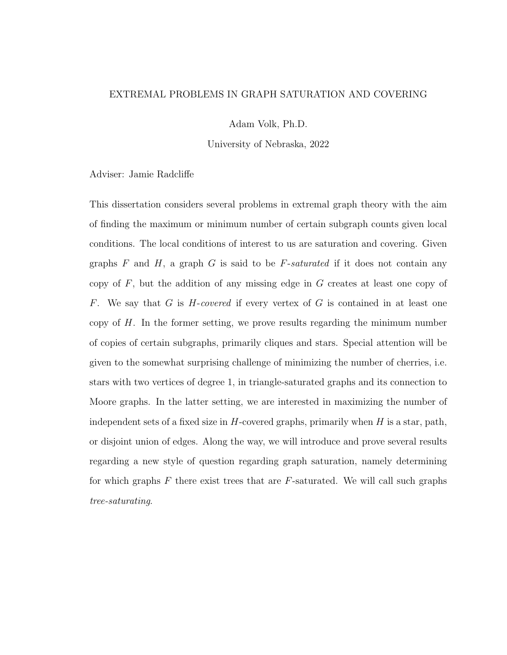#### EXTREMAL PROBLEMS IN GRAPH SATURATION AND COVERING

Adam Volk, Ph.D.

University of Nebraska, 2022

Adviser: Jamie Radcliffe

This dissertation considers several problems in extremal graph theory with the aim of finding the maximum or minimum number of certain subgraph counts given local conditions. The local conditions of interest to us are saturation and covering. Given graphs F and H, a graph G is said to be F-saturated if it does not contain any copy of  $F$ , but the addition of any missing edge in  $G$  creates at least one copy of F. We say that G is  $H$ -covered if every vertex of G is contained in at least one copy of  $H$ . In the former setting, we prove results regarding the minimum number of copies of certain subgraphs, primarily cliques and stars. Special attention will be given to the somewhat surprising challenge of minimizing the number of cherries, i.e. stars with two vertices of degree 1, in triangle-saturated graphs and its connection to Moore graphs. In the latter setting, we are interested in maximizing the number of independent sets of a fixed size in  $H$ -covered graphs, primarily when  $H$  is a star, path, or disjoint union of edges. Along the way, we will introduce and prove several results regarding a new style of question regarding graph saturation, namely determining for which graphs  $F$  there exist trees that are  $F$ -saturated. We will call such graphs tree-saturating.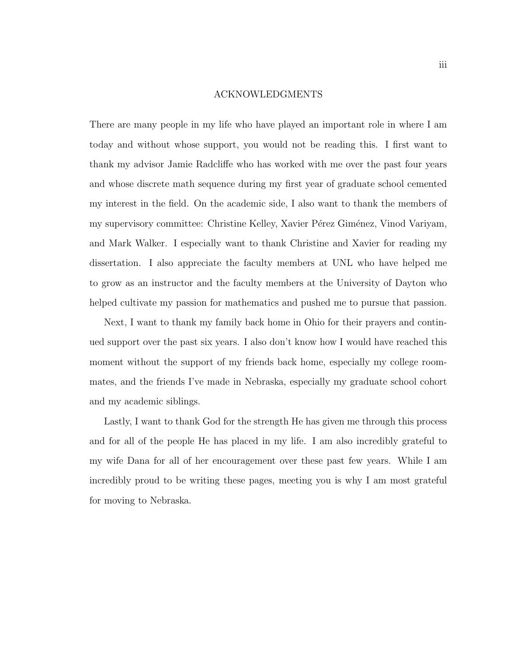#### ACKNOWLEDGMENTS

There are many people in my life who have played an important role in where I am today and without whose support, you would not be reading this. I first want to thank my advisor Jamie Radcliffe who has worked with me over the past four years and whose discrete math sequence during my first year of graduate school cemented my interest in the field. On the academic side, I also want to thank the members of my supervisory committee: Christine Kelley, Xavier Pérez Giménez, Vinod Variyam, and Mark Walker. I especially want to thank Christine and Xavier for reading my dissertation. I also appreciate the faculty members at UNL who have helped me to grow as an instructor and the faculty members at the University of Dayton who helped cultivate my passion for mathematics and pushed me to pursue that passion.

Next, I want to thank my family back home in Ohio for their prayers and continued support over the past six years. I also don't know how I would have reached this moment without the support of my friends back home, especially my college roommates, and the friends I've made in Nebraska, especially my graduate school cohort and my academic siblings.

Lastly, I want to thank God for the strength He has given me through this process and for all of the people He has placed in my life. I am also incredibly grateful to my wife Dana for all of her encouragement over these past few years. While I am incredibly proud to be writing these pages, meeting you is why I am most grateful for moving to Nebraska.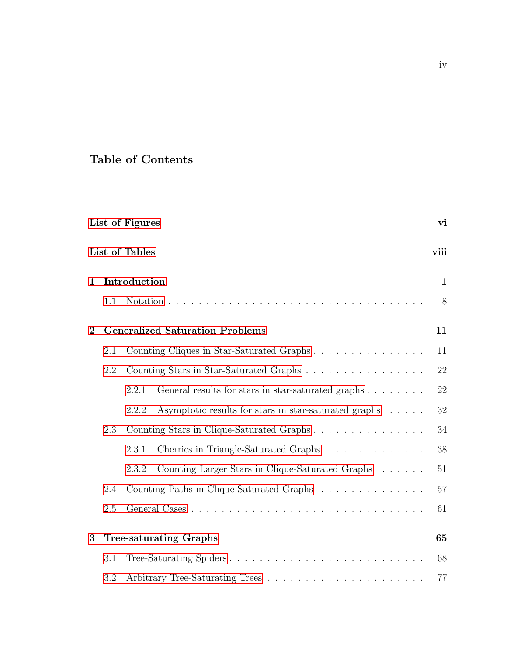## Table of Contents

|              |     | List of Figures                                                | vi           |
|--------------|-----|----------------------------------------------------------------|--------------|
|              |     | List of Tables                                                 | viii         |
| $\mathbf 1$  |     | Introduction                                                   | $\mathbf{1}$ |
|              | 1.1 |                                                                | 8            |
| $\mathbf{2}$ |     | <b>Generalized Saturation Problems</b>                         | 11           |
|              | 2.1 | Counting Cliques in Star-Saturated Graphs                      | 11           |
|              | 2.2 | Counting Stars in Star-Saturated Graphs                        | 22           |
|              |     | General results for stars in star-saturated graphs<br>2.2.1    | 22           |
|              |     | Asymptotic results for stars in star-saturated graphs<br>2.2.2 | 32           |
|              | 2.3 | Counting Stars in Clique-Saturated Graphs                      | 34           |
|              |     | Cherries in Triangle-Saturated Graphs<br>2.3.1                 | 38           |
|              |     | Counting Larger Stars in Clique-Saturated Graphs<br>2.3.2      | 51           |
|              | 2.4 | Counting Paths in Clique-Saturated Graphs                      | 57           |
|              | 2.5 |                                                                | 61           |
| 3            |     | <b>Tree-saturating Graphs</b>                                  | 65           |
|              | 3.1 | Tree-Saturating Spiders                                        | 68           |
|              | 3.2 |                                                                | 77           |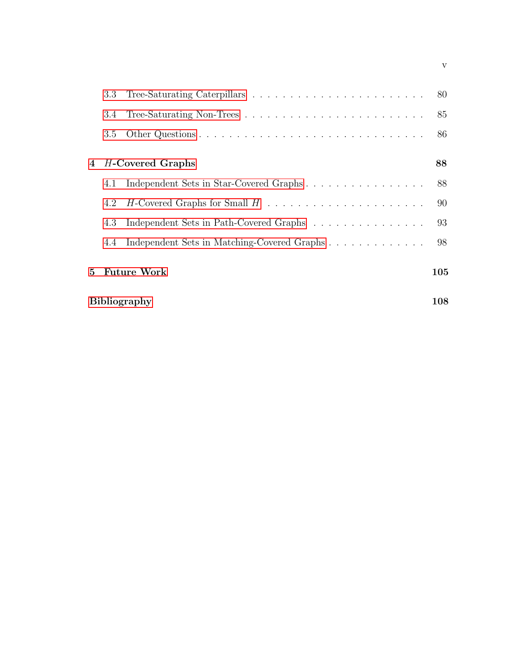| <b>Bibliography</b> |     |                                             | $108\,$ |
|---------------------|-----|---------------------------------------------|---------|
| 5 <sup>1</sup>      |     | <b>Future Work</b>                          | 105     |
|                     | 4.4 | Independent Sets in Matching-Covered Graphs | 98      |
|                     | 4.3 | Independent Sets in Path-Covered Graphs     | 93      |
|                     | 4.2 |                                             | 90      |
|                     | 4.1 | Independent Sets in Star-Covered Graphs     | 88      |
| 4                   |     | H-Covered Graphs                            | 88      |
|                     | 3.5 |                                             | 86      |
|                     | 3.4 |                                             | 85      |
|                     | 3.3 |                                             | 80      |

v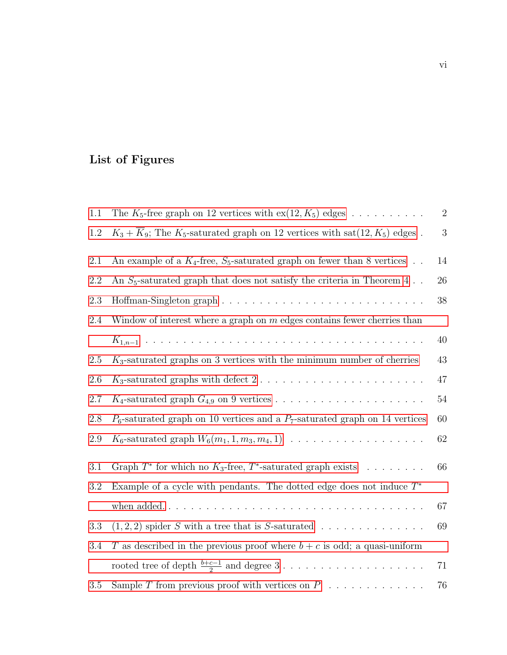# <span id="page-6-0"></span>List of Figures

| 1.1     | The $K_5$ -free graph on 12 vertices with $ex(12, K_5)$ edges                                  | $\sqrt{2}$ |
|---------|------------------------------------------------------------------------------------------------|------------|
| 1.2     | $K_3 + \overline{K}_9$ ; The $K_5$ -saturated graph on 12 vertices with sat(12, $K_5$ ) edges. | $\sqrt{3}$ |
| 2.1     | An example of a $K_4$ -free, $S_5$ -saturated graph on fewer than 8 vertices                   | 14         |
| 2.2     | An $S_5$ -saturated graph that does not satisfy the criteria in Theorem 4                      | $26\,$     |
| 2.3     |                                                                                                | 38         |
| 2.4     | Window of interest where a graph on $m$ edges contains fewer cherries than                     |            |
|         |                                                                                                | $40\,$     |
| 2.5     | $K_3$ -saturated graphs on 3 vertices with the minimum number of cherries                      | 43         |
| 2.6     |                                                                                                | 47         |
| 2.7     |                                                                                                | $54\,$     |
| 2.8     | $P_6$ -saturated graph on 10 vertices and a $P_7$ -saturated graph on 14 vertices              | 60         |
| 2.9     | $K_6$ -saturated graph $W_6(m_1, 1, m_3, m_4, 1) \dots \dots \dots \dots \dots \dots \dots$    | $62\,$     |
| 3.1     | Graph $T^*$ for which no $K_3$ -free, $T^*$ -saturated graph exists                            | 66         |
| 3.2     | Example of a cycle with pendants. The dotted edge does not induce $T^*$                        |            |
|         |                                                                                                | 67         |
| 3.3     | $(1,2,2)$ spider S with a tree that is S-saturated                                             | 69         |
| 3.4     | T as described in the previous proof where $b + c$ is odd; a quasi-uniform                     |            |
|         |                                                                                                | 71         |
| $3.5\,$ | Sample T from previous proof with vertices on $P$                                              | 76         |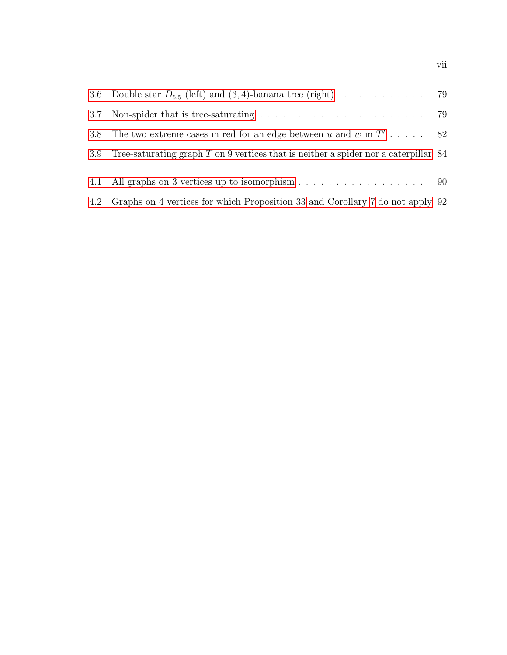| 3.8 <sub>1</sub> | The two extreme cases in red for an edge between u and w in $T'$ 82                   |  |
|------------------|---------------------------------------------------------------------------------------|--|
| 3.9              | Tree-saturating graph $T$ on 9 vertices that is neither a spider nor a caterpillar 84 |  |
|                  | 4.1 All graphs on 3 vertices up to isomorphism 90                                     |  |
|                  | 4.2 Graphs on 4 vertices for which Proposition 33 and Corollary 7 do not apply 92     |  |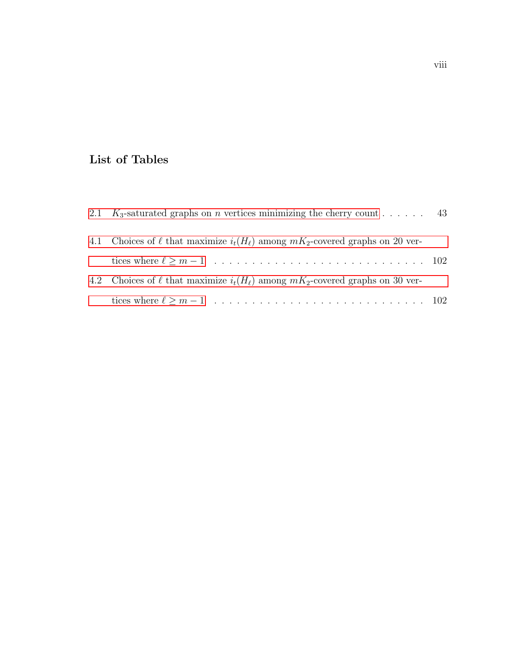## <span id="page-8-0"></span>List of Tables

| 2.1 K <sub>3</sub> -saturated graphs on <i>n</i> vertices minimizing the cherry count 43  |  |
|-------------------------------------------------------------------------------------------|--|
| 4.1 Choices of $\ell$ that maximize $i_t(H_\ell)$ among $mK_2$ -covered graphs on 20 ver- |  |
|                                                                                           |  |
| 4.2 Choices of $\ell$ that maximize $i_t(H_\ell)$ among $mK_2$ -covered graphs on 30 ver- |  |
|                                                                                           |  |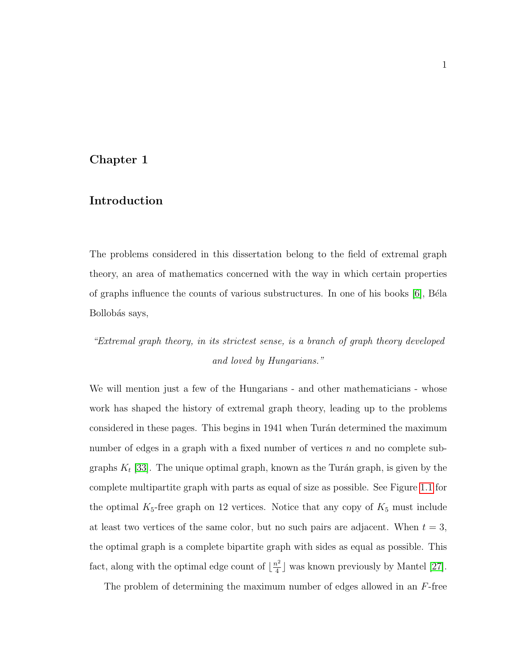#### <span id="page-9-0"></span>Chapter 1

#### Introduction

The problems considered in this dissertation belong to the field of extremal graph theory, an area of mathematics concerned with the way in which certain properties of graphs influence the counts of various substructures. In one of his books  $[6]$ , Béla Bollobás says,

# "Extremal graph theory, in its strictest sense, is a branch of graph theory developed and loved by Hungarians."

We will mention just a few of the Hungarians - and other mathematicians - whose work has shaped the history of extremal graph theory, leading up to the problems considered in these pages. This begins in 1941 when Turán determined the maximum number of edges in a graph with a fixed number of vertices n and no complete subgraphs  $K_t$  [\[33\]](#page-119-0). The unique optimal graph, known as the Turán graph, is given by the complete multipartite graph with parts as equal of size as possible. See Figure [1.1](#page-10-0) for the optimal  $K_5$ -free graph on 12 vertices. Notice that any copy of  $K_5$  must include at least two vertices of the same color, but no such pairs are adjacent. When  $t = 3$ , the optimal graph is a complete bipartite graph with sides as equal as possible. This fact, along with the optimal edge count of  $\lfloor \frac{n^2}{4} \rfloor$  $\frac{n^2}{4}$  was known previously by Mantel [\[27\]](#page-118-0).

The problem of determining the maximum number of edges allowed in an  $F$ -free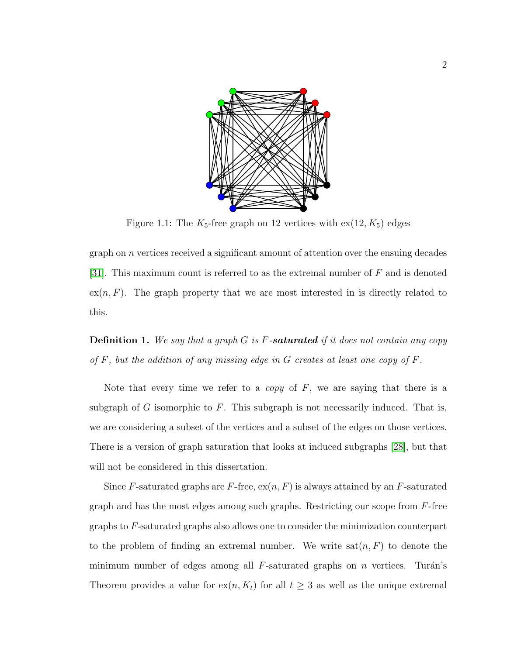<span id="page-10-0"></span>

Figure 1.1: The  $K_5$ -free graph on 12 vertices with  $ex(12, K_5)$  edges

graph on n vertices received a significant amount of attention over the ensuing decades [\[31\]](#page-119-1). This maximum count is referred to as the extremal number of F and is denoted  $ex(n, F)$ . The graph property that we are most interested in is directly related to this.

**Definition 1.** We say that a graph  $G$  is  $F$ -saturated if it does not contain any copy of  $F$ , but the addition of any missing edge in  $G$  creates at least one copy of  $F$ .

Note that every time we refer to a *copy* of  $F$ , we are saying that there is a subgraph of G isomorphic to F. This subgraph is not necessarily induced. That is, we are considering a subset of the vertices and a subset of the edges on those vertices. There is a version of graph saturation that looks at induced subgraphs [\[28\]](#page-118-1), but that will not be considered in this dissertation.

Since F-saturated graphs are F-free,  $ex(n, F)$  is always attained by an F-saturated graph and has the most edges among such graphs. Restricting our scope from  $F$ -free graphs to F-saturated graphs also allows one to consider the minimization counterpart to the problem of finding an extremal number. We write  $sat(n, F)$  to denote the minimum number of edges among all  $F$ -saturated graphs on n vertices. Turán's Theorem provides a value for  $ex(n, K_t)$  for all  $t \geq 3$  as well as the unique extremal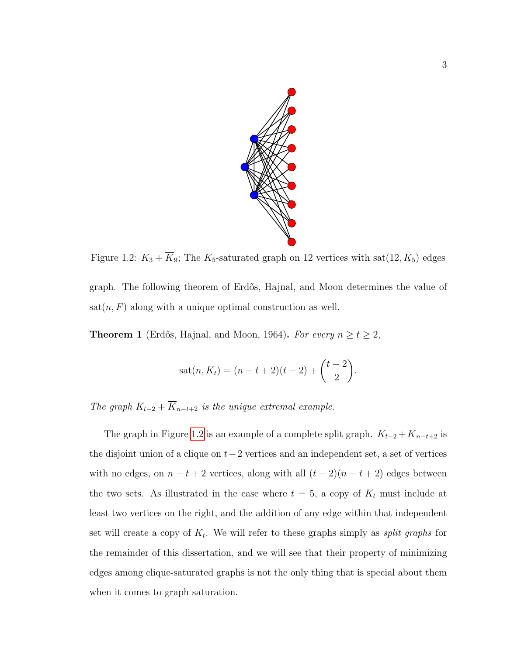<span id="page-11-0"></span>

Figure 1.2:  $K_3 + \overline{K}_9$ ; The  $K_5$ -saturated graph on 12 vertices with sat(12,  $K_5$ ) edges graph. The following theorem of Erdős, Hajnal, and Moon determines the value of  $sat(n, F)$  along with a unique optimal construction as well.

**Theorem 1** (Erdős, Hajnal, and Moon, 1964). For every  $n \ge t \ge 2$ ,

$$
sat(n, K_t) = (n - t + 2)(t - 2) + {t - 2 \choose 2}.
$$

The graph  $K_{t-2} + \overline{K}_{n-t+2}$  is the unique extremal example.

The graph in Figure [1.2](#page-11-0) is an example of a complete split graph.  $K_{t-2} + \overline{K}_{n-t+2}$  is the disjoint union of a clique on  $t-2$  vertices and an independent set, a set of vertices with no edges, on  $n - t + 2$  vertices, along with all  $(t - 2)(n - t + 2)$  edges between the two sets. As illustrated in the case where  $t = 5$ , a copy of  $K_t$  must include at least two vertices on the right, and the addition of any edge within that independent set will create a copy of  $K_t$ . We will refer to these graphs simply as *split graphs* for the remainder of this dissertation, and we will see that their property of minimizing edges among clique-saturated graphs is not the only thing that is special about them when it comes to graph saturation.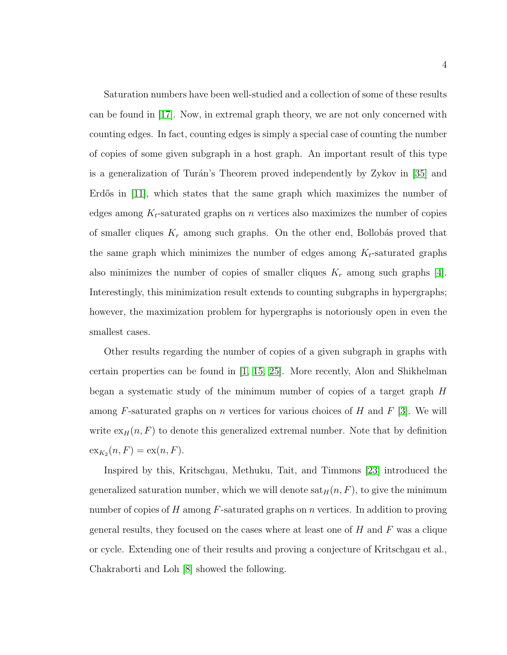Saturation numbers have been well-studied and a collection of some of these results can be found in [\[17\]](#page-117-0). Now, in extremal graph theory, we are not only concerned with counting edges. In fact, counting edges is simply a special case of counting the number of copies of some given subgraph in a host graph. An important result of this type is a generalization of Turán's Theorem proved independently by Zykov in [\[35\]](#page-119-2) and Erdős in  $|11|$ , which states that the same graph which maximizes the number of edges among  $K_t$ -saturated graphs on n vertices also maximizes the number of copies of smaller cliques  $K_r$  among such graphs. On the other end, Bollobás proved that the same graph which minimizes the number of edges among  $K_t$ -saturated graphs also minimizes the number of copies of smaller cliques  $K_r$  among such graphs [\[4\]](#page-116-2). Interestingly, this minimization result extends to counting subgraphs in hypergraphs; however, the maximization problem for hypergraphs is notoriously open in even the smallest cases.

Other results regarding the number of copies of a given subgraph in graphs with certain properties can be found in [\[1,](#page-116-3) [15,](#page-117-2) [25\]](#page-118-2). More recently, Alon and Shikhelman began a systematic study of the minimum number of copies of a target graph  $H$ among F-saturated graphs on n vertices for various choices of H and  $F$  [\[3\]](#page-116-4). We will write  $\exp(n, F)$  to denote this generalized extremal number. Note that by definition  $\operatorname{ex}_{K_2}(n, F) = \operatorname{ex}(n, F).$ 

Inspired by this, Kritschgau, Methuku, Tait, and Timmons [\[23\]](#page-118-3) introduced the generalized saturation number, which we will denote  $\text{sat}_{H}(n, F)$ , to give the minimum number of copies of H among  $F$ -saturated graphs on n vertices. In addition to proving general results, they focused on the cases where at least one of  $H$  and  $F$  was a clique or cycle. Extending one of their results and proving a conjecture of Kritschgau et al., Chakraborti and Loh [\[8\]](#page-116-5) showed the following.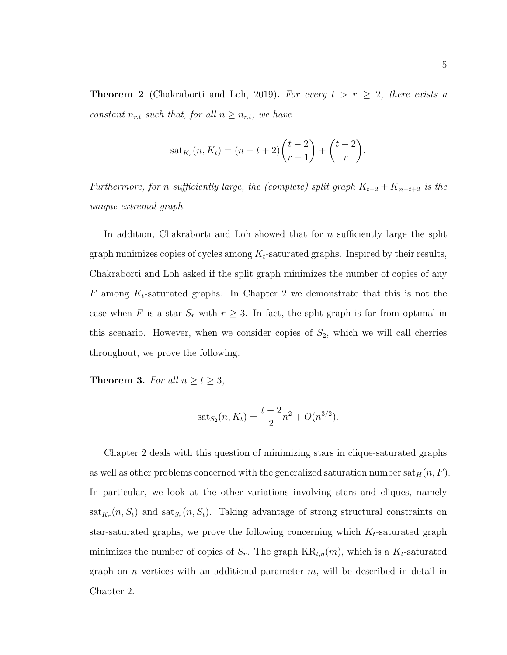**Theorem 2** (Chakraborti and Loh, 2019). For every  $t > r \geq 2$ , there exists a constant  $n_{r,t}$  such that, for all  $n \geq n_{r,t}$ , we have

$$
sat_{K_r}(n, K_t) = (n - t + 2) {t - 2 \choose r - 1} + {t - 2 \choose r}.
$$

Furthermore, for n sufficiently large, the (complete) split graph  $K_{t-2} + \overline{K}_{n-t+2}$  is the unique extremal graph.

In addition, Chakraborti and Loh showed that for  $n$  sufficiently large the split graph minimizes copies of cycles among  $K_t$ -saturated graphs. Inspired by their results, Chakraborti and Loh asked if the split graph minimizes the number of copies of any  $F$  among  $K_t$ -saturated graphs. In Chapter 2 we demonstrate that this is not the case when F is a star  $S_r$  with  $r \geq 3$ . In fact, the split graph is far from optimal in this scenario. However, when we consider copies of  $S_2$ , which we will call cherries throughout, we prove the following.

**Theorem 3.** For all  $n \ge t \ge 3$ ,

$$
sat_{S_2}(n, K_t) = \frac{t-2}{2}n^2 + O(n^{3/2}).
$$

Chapter 2 deals with this question of minimizing stars in clique-saturated graphs as well as other problems concerned with the generalized saturation number  $\text{sat}_H(n, F)$ . In particular, we look at the other variations involving stars and cliques, namely  $\text{sat}_{K_r}(n, S_t)$  and  $\text{sat}_{S_r}(n, S_t)$ . Taking advantage of strong structural constraints on star-saturated graphs, we prove the following concerning which  $K_t$ -saturated graph minimizes the number of copies of  $S_r$ . The graph  $KR_{t,n}(m)$ , which is a  $K_t$ -saturated graph on n vertices with an additional parameter  $m$ , will be described in detail in Chapter 2.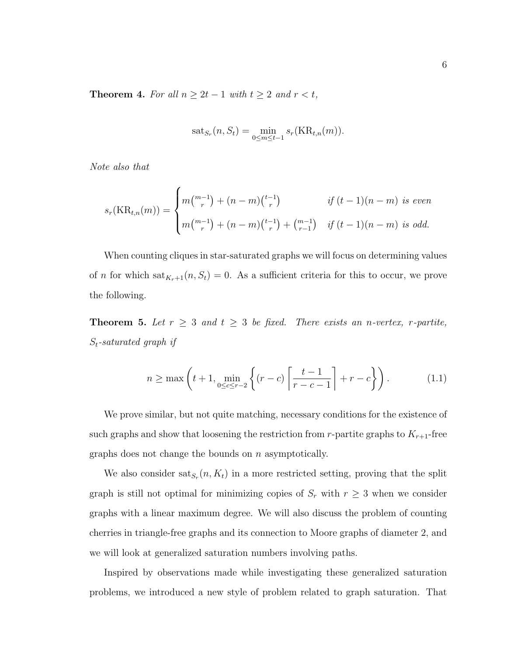<span id="page-14-0"></span>**Theorem 4.** For all  $n \geq 2t - 1$  with  $t \geq 2$  and  $r < t$ ,

$$
sat_{S_r}(n, S_t) = \min_{0 \le m \le t-1} s_r(\text{KR}_{t,n}(m)).
$$

Note also that

$$
s_r(\text{KR}_{t,n}(m)) = \begin{cases} m {m-1 \choose r} + (n-m) {t-1 \choose r} & \text{if } (t-1)(n-m) \text{ is even} \\ m {m-1 \choose r} + (n-m) {t-1 \choose r} + {m-1 \choose r-1} & \text{if } (t-1)(n-m) \text{ is odd.} \end{cases}
$$

When counting cliques in star-saturated graphs we will focus on determining values of *n* for which  $\text{sat}_{K_r+1}(n, S_t) = 0$ . As a sufficient criteria for this to occur, we prove the following.

<span id="page-14-1"></span>**Theorem 5.** Let  $r \geq 3$  and  $t \geq 3$  be fixed. There exists an n-vertex, r-partite,  $S_t$ -saturated graph if

$$
n \ge \max\left(t+1, \min_{0 \le c \le r-2} \left\{ (r-c) \left\lceil \frac{t-1}{r-c-1} \right\rceil + r - c \right\} \right). \tag{1.1}
$$

We prove similar, but not quite matching, necessary conditions for the existence of such graphs and show that loosening the restriction from r-partite graphs to  $K_{r+1}$ -free graphs does not change the bounds on n asymptotically.

We also consider  $\text{sat}_{S_r}(n, K_t)$  in a more restricted setting, proving that the split graph is still not optimal for minimizing copies of  $S_r$  with  $r \geq 3$  when we consider graphs with a linear maximum degree. We will also discuss the problem of counting cherries in triangle-free graphs and its connection to Moore graphs of diameter 2, and we will look at generalized saturation numbers involving paths.

Inspired by observations made while investigating these generalized saturation problems, we introduced a new style of problem related to graph saturation. That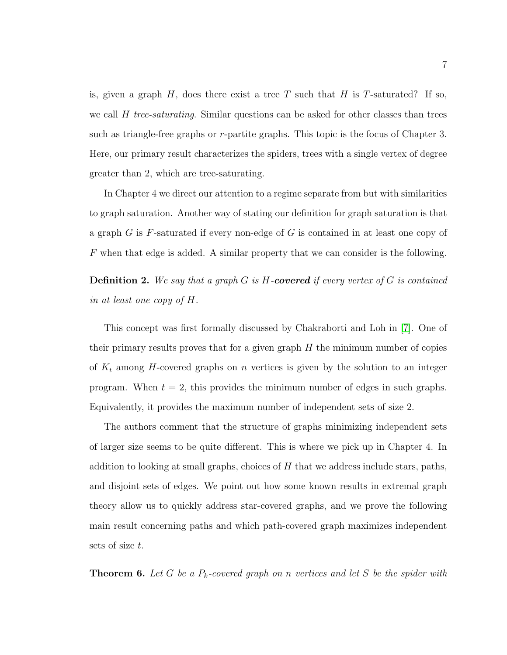is, given a graph  $H$ , does there exist a tree T such that  $H$  is T-saturated? If so, we call  $H$  tree-saturating. Similar questions can be asked for other classes than trees such as triangle-free graphs or r-partite graphs. This topic is the focus of Chapter 3. Here, our primary result characterizes the spiders, trees with a single vertex of degree greater than 2, which are tree-saturating.

In Chapter 4 we direct our attention to a regime separate from but with similarities to graph saturation. Another way of stating our definition for graph saturation is that a graph G is F-saturated if every non-edge of G is contained in at least one copy of F when that edge is added. A similar property that we can consider is the following.

**Definition 2.** We say that a graph  $G$  is H-covered if every vertex of  $G$  is contained in at least one copy of H.

This concept was first formally discussed by Chakraborti and Loh in [\[7\]](#page-116-6). One of their primary results proves that for a given graph  $H$  the minimum number of copies of  $K_t$  among H-covered graphs on n vertices is given by the solution to an integer program. When  $t = 2$ , this provides the minimum number of edges in such graphs. Equivalently, it provides the maximum number of independent sets of size 2.

The authors comment that the structure of graphs minimizing independent sets of larger size seems to be quite different. This is where we pick up in Chapter 4. In addition to looking at small graphs, choices of  $H$  that we address include stars, paths, and disjoint sets of edges. We point out how some known results in extremal graph theory allow us to quickly address star-covered graphs, and we prove the following main result concerning paths and which path-covered graph maximizes independent sets of size t.

**Theorem 6.** Let G be a  $P_k$ -covered graph on n vertices and let S be the spider with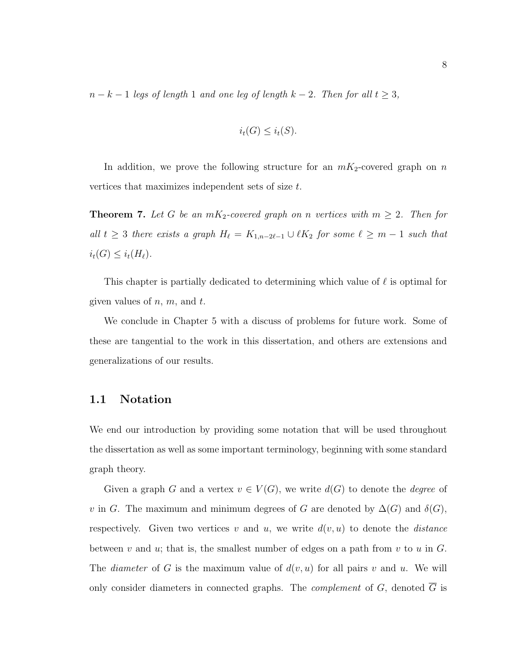$n - k - 1$  legs of length 1 and one leg of length  $k - 2$ . Then for all  $t \geq 3$ ,

$$
i_t(G) \leq i_t(S).
$$

In addition, we prove the following structure for an  $mK_2$ -covered graph on n vertices that maximizes independent sets of size t.

**Theorem 7.** Let G be an  $mK_2$ -covered graph on n vertices with  $m \geq 2$ . Then for all  $t \geq 3$  there exists a graph  $H_{\ell} = K_{1,n-2\ell-1} \cup \ell K_2$  for some  $\ell \geq m-1$  such that  $i_t(G) \leq i_t(H_\ell).$ 

This chapter is partially dedicated to determining which value of  $\ell$  is optimal for given values of  $n, m$ , and  $t$ .

We conclude in Chapter 5 with a discuss of problems for future work. Some of these are tangential to the work in this dissertation, and others are extensions and generalizations of our results.

#### <span id="page-16-0"></span>1.1 Notation

We end our introduction by providing some notation that will be used throughout the dissertation as well as some important terminology, beginning with some standard graph theory.

Given a graph G and a vertex  $v \in V(G)$ , we write  $d(G)$  to denote the *degree* of v in G. The maximum and minimum degrees of G are denoted by  $\Delta(G)$  and  $\delta(G)$ , respectively. Given two vertices v and u, we write  $d(v, u)$  to denote the *distance* between v and u; that is, the smallest number of edges on a path from v to u in  $G$ . The *diameter* of G is the maximum value of  $d(v, u)$  for all pairs v and u. We will only consider diameters in connected graphs. The *complement* of G, denoted  $\overline{G}$  is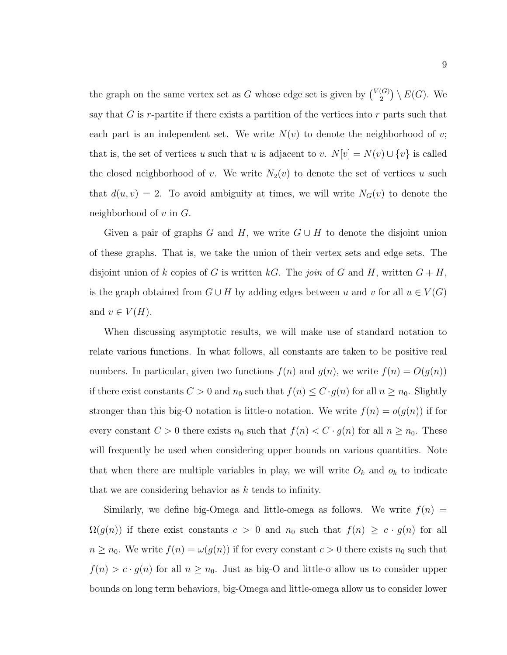the graph on the same vertex set as G whose edge set is given by  $\binom{V(G)}{2}$  $\binom{(G)}{2} \setminus E(G)$ . We say that  $G$  is r-partite if there exists a partition of the vertices into  $r$  parts such that each part is an independent set. We write  $N(v)$  to denote the neighborhood of v; that is, the set of vertices u such that u is adjacent to v.  $N[v] = N(v) \cup \{v\}$  is called the closed neighborhood of v. We write  $N_2(v)$  to denote the set of vertices u such that  $d(u, v) = 2$ . To avoid ambiguity at times, we will write  $N<sub>G</sub>(v)$  to denote the neighborhood of  $v$  in  $G$ .

Given a pair of graphs G and H, we write  $G \cup H$  to denote the disjoint union of these graphs. That is, we take the union of their vertex sets and edge sets. The disjoint union of k copies of G is written kG. The join of G and H, written  $G + H$ , is the graph obtained from  $G \cup H$  by adding edges between u and v for all  $u \in V(G)$ and  $v \in V(H)$ .

When discussing asymptotic results, we will make use of standard notation to relate various functions. In what follows, all constants are taken to be positive real numbers. In particular, given two functions  $f(n)$  and  $g(n)$ , we write  $f(n) = O(g(n))$ if there exist constants  $C > 0$  and  $n_0$  such that  $f(n) \leq C \cdot g(n)$  for all  $n \geq n_0$ . Slightly stronger than this big-O notation is little-o notation. We write  $f(n) = o(g(n))$  if for every constant  $C > 0$  there exists  $n_0$  such that  $f(n) < C \cdot g(n)$  for all  $n \ge n_0$ . These will frequently be used when considering upper bounds on various quantities. Note that when there are multiple variables in play, we will write  $O_k$  and  $o_k$  to indicate that we are considering behavior as  $k$  tends to infinity.

Similarly, we define big-Omega and little-omega as follows. We write  $f(n)$  =  $\Omega(g(n))$  if there exist constants  $c > 0$  and  $n_0$  such that  $f(n) \geq c \cdot g(n)$  for all  $n \geq n_0$ . We write  $f(n) = \omega(g(n))$  if for every constant  $c > 0$  there exists  $n_0$  such that  $f(n) > c \cdot g(n)$  for all  $n \geq n_0$ . Just as big-O and little-o allow us to consider upper bounds on long term behaviors, big-Omega and little-omega allow us to consider lower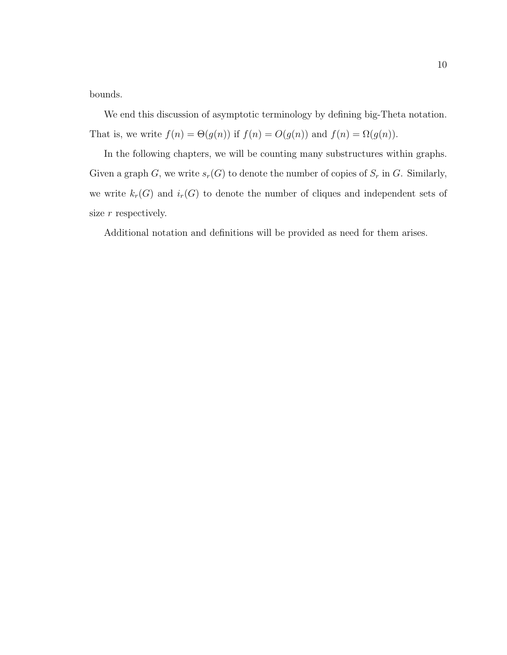bounds.

We end this discussion of asymptotic terminology by defining big-Theta notation. That is, we write  $f(n) = \Theta(g(n))$  if  $f(n) = O(g(n))$  and  $f(n) = \Omega(g(n))$ .

In the following chapters, we will be counting many substructures within graphs. Given a graph G, we write  $s_r(G)$  to denote the number of copies of  $S_r$  in G. Similarly, we write  $k_r(G)$  and  $i_r(G)$  to denote the number of cliques and independent sets of size  $r$  respectively.

Additional notation and definitions will be provided as need for them arises.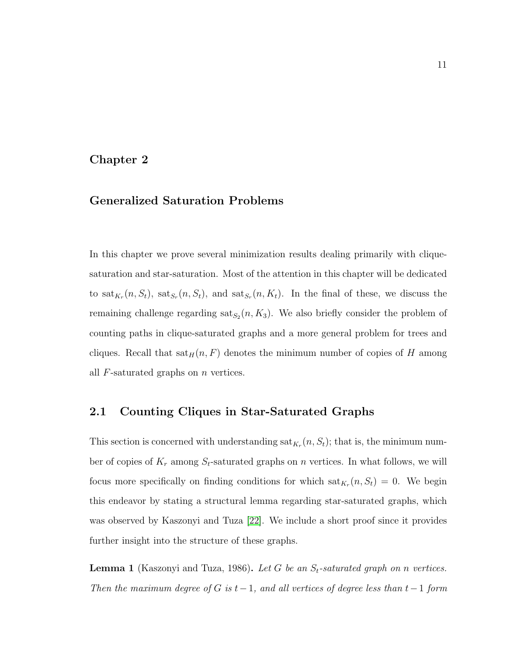#### <span id="page-19-0"></span>Chapter 2

### Generalized Saturation Problems

In this chapter we prove several minimization results dealing primarily with cliquesaturation and star-saturation. Most of the attention in this chapter will be dedicated to  $\text{sat}_{K_r}(n, S_t)$ ,  $\text{sat}_{S_r}(n, S_t)$ , and  $\text{sat}_{S_r}(n, K_t)$ . In the final of these, we discuss the remaining challenge regarding  $\text{sat}_{S_2}(n, K_3)$ . We also briefly consider the problem of counting paths in clique-saturated graphs and a more general problem for trees and cliques. Recall that  $\text{sat}_H(n, F)$  denotes the minimum number of copies of H among all  $F$ -saturated graphs on  $n$  vertices.

#### <span id="page-19-1"></span>2.1 Counting Cliques in Star-Saturated Graphs

This section is concerned with understanding  $\text{sat}_{K_r}(n, S_t)$ ; that is, the minimum number of copies of  $K_r$  among  $S_t$ -saturated graphs on n vertices. In what follows, we will focus more specifically on finding conditions for which  $\text{sat}_{K_r}(n, S_t) = 0$ . We begin this endeavor by stating a structural lemma regarding star-saturated graphs, which was observed by Kaszonyi and Tuza [\[22\]](#page-118-4). We include a short proof since it provides further insight into the structure of these graphs.

<span id="page-19-2"></span>**Lemma 1** (Kaszonyi and Tuza, 1986). Let G be an  $S_t$ -saturated graph on n vertices. Then the maximum degree of G is  $t-1$ , and all vertices of degree less than  $t-1$  form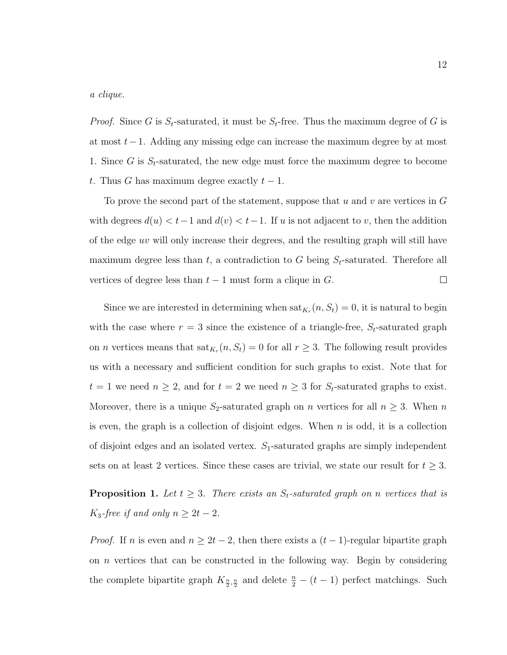a clique.

*Proof.* Since G is  $S_t$ -saturated, it must be  $S_t$ -free. Thus the maximum degree of G is at most t−1. Adding any missing edge can increase the maximum degree by at most 1. Since G is  $S_t$ -saturated, the new edge must force the maximum degree to become t. Thus G has maximum degree exactly  $t-1$ .

To prove the second part of the statement, suppose that u and v are vertices in  $G$ with degrees  $d(u) < t-1$  and  $d(v) < t-1$ . If u is not adjacent to v, then the addition of the edge uv will only increase their degrees, and the resulting graph will still have maximum degree less than t, a contradiction to G being  $S_t$ -saturated. Therefore all vertices of degree less than  $t-1$  must form a clique in  $G$ .  $\Box$ 

Since we are interested in determining when  $\text{sat}_{K_r}(n, S_t) = 0$ , it is natural to begin with the case where  $r = 3$  since the existence of a triangle-free,  $S_t$ -saturated graph on *n* vertices means that  $\text{sat}_{K_r}(n, S_t) = 0$  for all  $r \geq 3$ . The following result provides us with a necessary and sufficient condition for such graphs to exist. Note that for  $t = 1$  we need  $n \geq 2$ , and for  $t = 2$  we need  $n \geq 3$  for  $S_t$ -saturated graphs to exist. Moreover, there is a unique  $S_2$ -saturated graph on *n* vertices for all  $n \geq 3$ . When *n* is even, the graph is a collection of disjoint edges. When  $n$  is odd, it is a collection of disjoint edges and an isolated vertex.  $S_1$ -saturated graphs are simply independent sets on at least 2 vertices. Since these cases are trivial, we state our result for  $t \geq 3$ .

<span id="page-20-0"></span>**Proposition 1.** Let  $t \geq 3$ . There exists an  $S_t$ -saturated graph on n vertices that is K<sub>3</sub>-free if and only  $n \geq 2t - 2$ .

*Proof.* If n is even and  $n \geq 2t - 2$ , then there exists a  $(t - 1)$ -regular bipartite graph on n vertices that can be constructed in the following way. Begin by considering the complete bipartite graph  $K_{\frac{n}{2},\frac{n}{2}}$  and delete  $\frac{n}{2} - (t - 1)$  perfect matchings. Such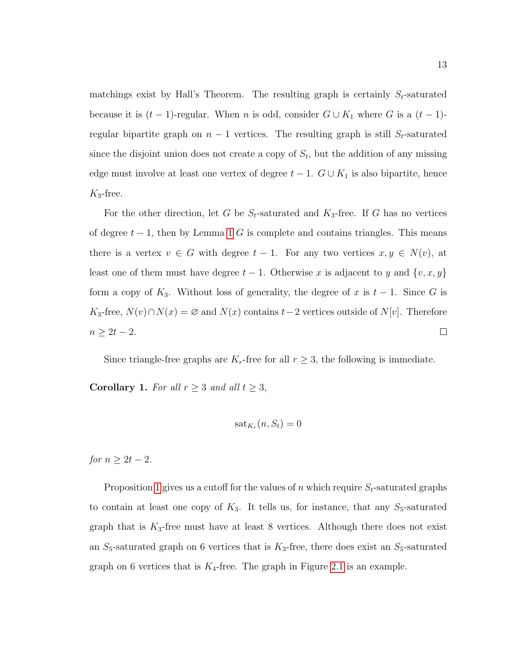matchings exist by Hall's Theorem. The resulting graph is certainly  $S_t$ -saturated because it is  $(t-1)$ -regular. When n is odd, consider  $G \cup K_1$  where G is a  $(t-1)$ regular bipartite graph on  $n-1$  vertices. The resulting graph is still  $S_t$ -saturated since the disjoint union does not create a copy of  $S_t$ , but the addition of any missing edge must involve at least one vertex of degree  $t-1$ .  $G \cup K_1$  is also bipartite, hence  $K_3$ -free.

For the other direction, let G be  $S_t$ -saturated and  $K_3$ -free. If G has no vertices of degree  $t - 1$  $t - 1$ , then by Lemma 1 G is complete and contains triangles. This means there is a vertex  $v \in G$  with degree  $t - 1$ . For any two vertices  $x, y \in N(v)$ , at least one of them must have degree  $t-1$ . Otherwise x is adjacent to y and  $\{v, x, y\}$ form a copy of  $K_3$ . Without loss of generality, the degree of x is  $t-1$ . Since G is K<sub>3</sub>-free,  $N(v) \cap N(x) = \emptyset$  and  $N(x)$  contains  $t-2$  vertices outside of  $N[v]$ . Therefore  $n \geq 2t-2$ .  $\Box$ 

Since triangle-free graphs are  $K_r$ -free for all  $r \geq 3$ , the following is immediate.

**Corollary 1.** For all  $r \geq 3$  and all  $t \geq 3$ ,

$$
\mathrm{sat}_{K_r}(n, S_t)=0
$$

for  $n \geq 2t-2$ .

Proposition [1](#page-20-0) gives us a cutoff for the values of n which require  $S_t$ -saturated graphs to contain at least one copy of  $K_3$ . It tells us, for instance, that any  $S_5$ -saturated graph that is  $K_3$ -free must have at least 8 vertices. Although there does not exist an  $S_5$ -saturated graph on 6 vertices that is  $K_3$ -free, there does exist an  $S_5$ -saturated graph on 6 vertices that is  $K_4$ -free. The graph in Figure [2.1](#page-22-0) is an example.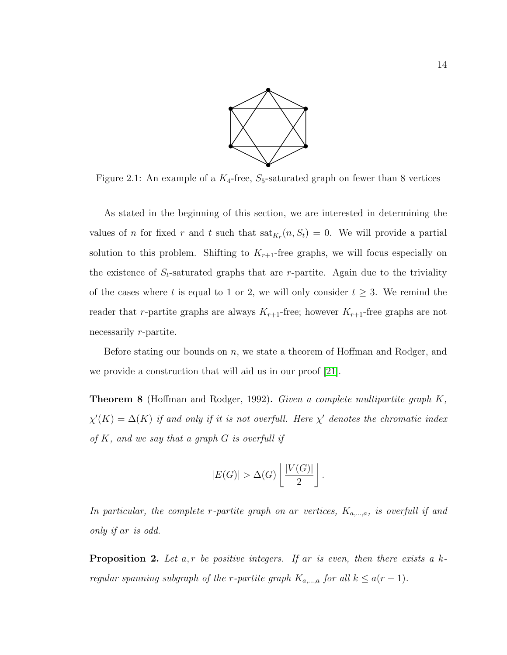

<span id="page-22-0"></span>Figure 2.1: An example of a  $K_4$ -free,  $S_5$ -saturated graph on fewer than 8 vertices

As stated in the beginning of this section, we are interested in determining the values of *n* for fixed *r* and *t* such that  $\text{sat}_{K_r}(n, S_t) = 0$ . We will provide a partial solution to this problem. Shifting to  $K_{r+1}$ -free graphs, we will focus especially on the existence of  $S_t$ -saturated graphs that are r-partite. Again due to the triviality of the cases where t is equal to 1 or 2, we will only consider  $t \geq 3$ . We remind the reader that r-partite graphs are always  $K_{r+1}$ -free; however  $K_{r+1}$ -free graphs are not necessarily r-partite.

Before stating our bounds on n, we state a theorem of Hoffman and Rodger, and we provide a construction that will aid us in our proof [\[21\]](#page-118-5).

<span id="page-22-1"></span>**Theorem 8** (Hoffman and Rodger, 1992). Given a complete multipartite graph  $K$ ,  $\chi'(K) = \Delta(K)$  if and only if it is not overfull. Here  $\chi'$  denotes the chromatic index of  $K$ , and we say that a graph  $G$  is overfull if

$$
|E(G)| > \Delta(G) \left\lfloor \frac{|V(G)|}{2} \right\rfloor.
$$

In particular, the complete r-partite graph on ar vertices,  $K_{a,\dots,a}$ , is overfull if and only if ar is odd.

<span id="page-22-2"></span>**Proposition 2.** Let  $a, r$  be positive integers. If ar is even, then there exists a  $k$ regular spanning subgraph of the r-partite graph  $K_{a,\dots,a}$  for all  $k \leq a(r-1)$ .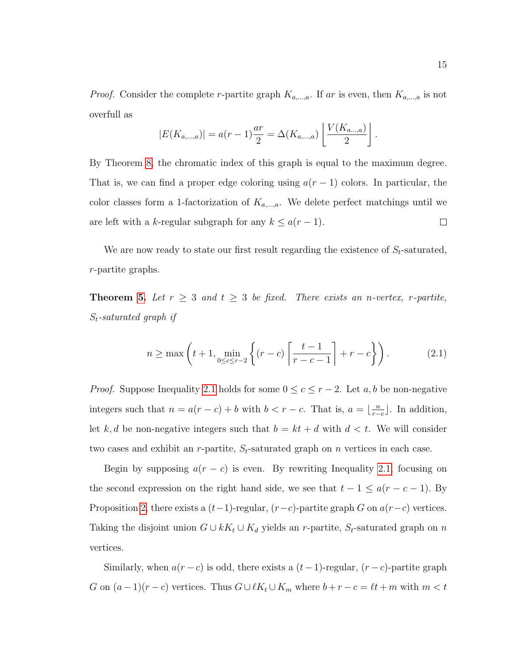*Proof.* Consider the complete r-partite graph  $K_{a,\dots,a}$ . If ar is even, then  $K_{a,\dots,a}$  is not overfull as

$$
|E(K_{a,\dots,a})| = a(r-1)\frac{ar}{2} = \Delta(K_{a,\dots,a})\left[\frac{V(K_{a\dots,a})}{2}\right].
$$

By Theorem [8,](#page-22-1) the chromatic index of this graph is equal to the maximum degree. That is, we can find a proper edge coloring using  $a(r-1)$  colors. In particular, the color classes form a 1-factorization of  $K_{a,\dots,a}$ . We delete perfect matchings until we are left with a k-regular subgraph for any  $k \leq a(r-1)$ .  $\Box$ 

We are now ready to state our first result regarding the existence of  $S_t$ -saturated, r-partite graphs.

**Theorem [5.](#page-14-1)** Let  $r \geq 3$  and  $t \geq 3$  be fixed. There exists an n-vertex, r-partite,  $S_t$ -saturated graph if

<span id="page-23-0"></span>
$$
n \ge \max\left(t+1, \min_{0 \le c \le r-2} \left\{ (r-c) \left\lceil \frac{t-1}{r-c-1} \right\rceil + r - c \right\} \right). \tag{2.1}
$$

*Proof.* Suppose Inequality [2.1](#page-23-0) holds for some  $0 \le c \le r - 2$ . Let a, b be non-negative integers such that  $n = a(r - c) + b$  with  $b < r - c$ . That is,  $a = \lfloor \frac{n}{r} \rfloor$  $\frac{n}{r-c}$ . In addition, let k, d be non-negative integers such that  $b = kt + d$  with  $d < t$ . We will consider two cases and exhibit an r-partite,  $S_t$ -saturated graph on n vertices in each case.

Begin by supposing  $a(r - c)$  is even. By rewriting Inequality [2.1,](#page-23-0) focusing on the second expression on the right hand side, we see that  $t - 1 \le a(r - c - 1)$ . By Proposition [2,](#page-22-2) there exists a  $(t-1)$ -regular,  $(r-c)$ -partite graph G on  $a(r-c)$  vertices. Taking the disjoint union  $G \cup kK_t \cup K_d$  yields an r-partite,  $S_t$ -saturated graph on n vertices.

Similarly, when  $a(r - c)$  is odd, there exists a  $(t - 1)$ -regular,  $(r - c)$ -partite graph G on  $(a-1)(r-c)$  vertices. Thus  $G \cup \ell K_t \cup K_m$  where  $b+r-c = \ell t+m$  with  $m < t$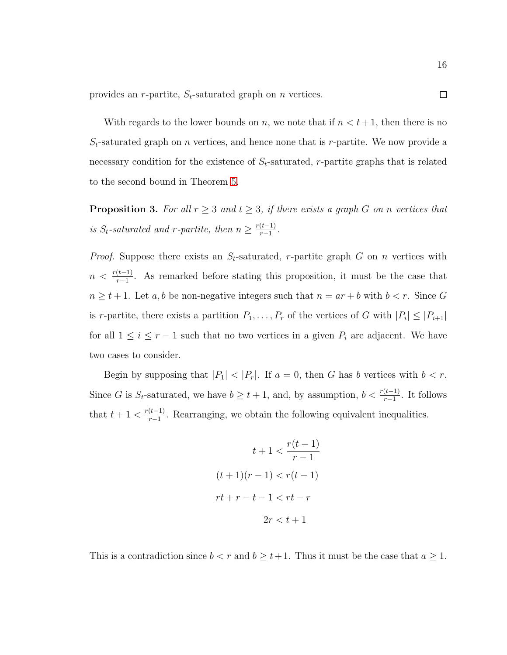provides an *r*-partite,  $S_t$ -saturated graph on *n* vertices.

With regards to the lower bounds on n, we note that if  $n < t+1$ , then there is no  $S_t$ -saturated graph on *n* vertices, and hence none that is *r*-partite. We now provide a necessary condition for the existence of  $S_t$ -saturated, r-partite graphs that is related to the second bound in Theorem [5.](#page-14-1)

<span id="page-24-0"></span>**Proposition 3.** For all  $r \geq 3$  and  $t \geq 3$ , if there exists a graph G on n vertices that is S<sub>t</sub>-saturated and r-partite, then  $n \geq \frac{r(t-1)}{r-1}$  $\frac{(t-1)}{r-1}$ .

*Proof.* Suppose there exists an  $S_t$ -saturated, r-partite graph G on n vertices with  $n < \frac{r(t-1)}{r-1}$ . As remarked before stating this proposition, it must be the case that  $n \geq t + 1$ . Let a, b be non-negative integers such that  $n = ar + b$  with  $b < r$ . Since G is r-partite, there exists a partition  $P_1, \ldots, P_r$  of the vertices of G with  $|P_i| \leq |P_{i+1}|$ for all  $1 \leq i \leq r-1$  such that no two vertices in a given  $P_i$  are adjacent. We have two cases to consider.

Begin by supposing that  $|P_1| < |P_r|$ . If  $a = 0$ , then G has b vertices with  $b < r$ . Since G is  $S_t$ -saturated, we have  $b \geq t+1$ , and, by assumption,  $b < \frac{r(t-1)}{r-1}$ . It follows that  $t + 1 < \frac{r(t-1)}{r-1}$  $\frac{(t-1)}{r-1}$ . Rearranging, we obtain the following equivalent inequalities.

$$
t + 1 < \frac{r(t - 1)}{r - 1}
$$
\n
$$
(t + 1)(r - 1) < r(t - 1)
$$
\n
$$
rt + r - t - 1 < rt - r
$$
\n
$$
2r < t + 1
$$

This is a contradiction since  $b < r$  and  $b \ge t+1$ . Thus it must be the case that  $a \ge 1$ .

 $\Box$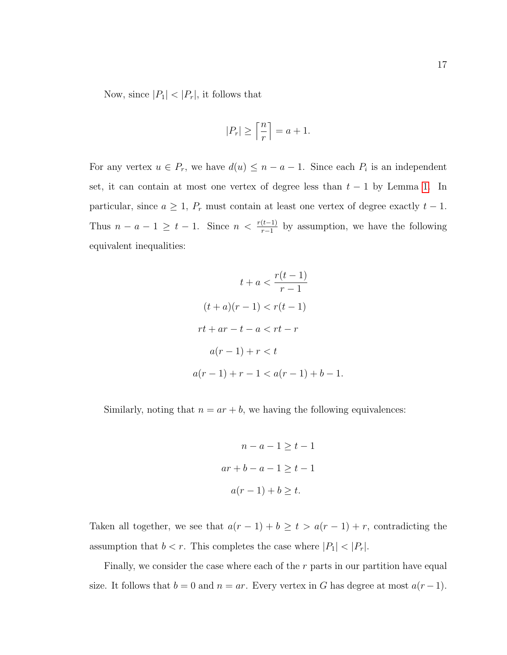Now, since  $|P_1|$  <  $|P_r|$ , it follows that

$$
|P_r| \ge \left\lceil \frac{n}{r} \right\rceil = a + 1.
$$

For any vertex  $u \in P_r$ , we have  $d(u) \leq n - a - 1$ . Since each  $P_i$  is an independent set, it can contain at most one vertex of degree less than  $t - 1$  by Lemma [1.](#page-19-2) In particular, since  $a \geq 1$ ,  $P_r$  must contain at least one vertex of degree exactly  $t - 1$ . Thus  $n - a - 1 \geq t - 1$ . Since  $n < \frac{r(t-1)}{r-1}$  by assumption, we have the following equivalent inequalities:

$$
t + a < \frac{r(t-1)}{r-1}
$$
\n
$$
(t + a)(r - 1) < r(t - 1)
$$
\n
$$
rt + ar - t - a < rt - r
$$
\n
$$
a(r - 1) + r < t
$$
\n
$$
a(r - 1) + r - 1 < a(r - 1) + b - 1.
$$

Similarly, noting that  $n = ar + b$ , we having the following equivalences:

$$
n - a - 1 \ge t - 1
$$

$$
ar + b - a - 1 \ge t - 1
$$

$$
a(r - 1) + b \ge t.
$$

Taken all together, we see that  $a(r - 1) + b \ge t > a(r - 1) + r$ , contradicting the assumption that  $b < r$ . This completes the case where  $|P_1| < |P_r|$ .

Finally, we consider the case where each of the  $r$  parts in our partition have equal size. It follows that  $b = 0$  and  $n = ar$ . Every vertex in G has degree at most  $a(r-1)$ .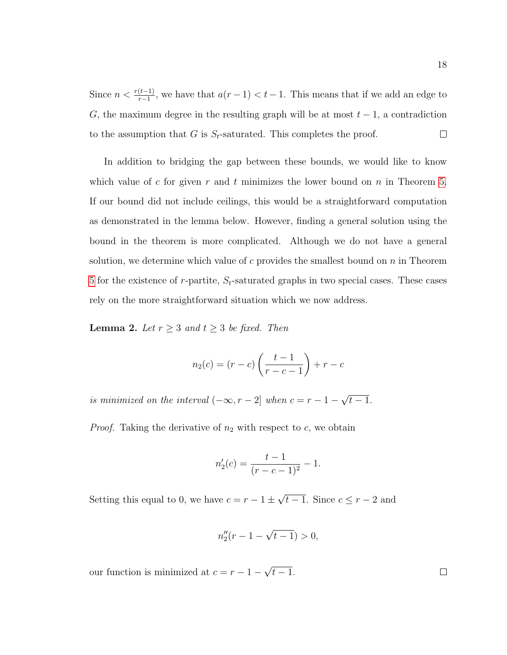Since  $n < \frac{r(t-1)}{r-1}$ , we have that  $a(r-1) < t-1$ . This means that if we add an edge to G, the maximum degree in the resulting graph will be at most  $t-1$ , a contradiction to the assumption that G is  $S_t$ -saturated. This completes the proof.  $\Box$ 

In addition to bridging the gap between these bounds, we would like to know which value of c for given r and t minimizes the lower bound on n in Theorem [5.](#page-14-1) If our bound did not include ceilings, this would be a straightforward computation as demonstrated in the lemma below. However, finding a general solution using the bound in the theorem is more complicated. Although we do not have a general solution, we determine which value of c provides the smallest bound on  $n$  in Theorem [5](#page-14-1) for the existence of r-partite,  $S_t$ -saturated graphs in two special cases. These cases rely on the more straightforward situation which we now address.

<span id="page-26-0"></span>**Lemma 2.** Let  $r \geq 3$  and  $t \geq 3$  be fixed. Then

$$
n_2(c) = (r - c) \left( \frac{t - 1}{r - c - 1} \right) + r - c
$$

is minimized on the interval  $(-\infty, r-2]$  when  $c = r-1-$ √  $\overline{t-1}.$ 

*Proof.* Taking the derivative of  $n_2$  with respect to  $c$ , we obtain

$$
n_2'(c) = \frac{t-1}{(r-c-1)^2} - 1.
$$

Setting this equal to 0, we have  $c = r - 1 \pm \sqrt{\frac{F}{r}}$ √  $t-1$ . Since  $c \leq r-2$  and

$$
n_2''(r-1-\sqrt{t-1})>0,
$$

our function is minimized at  $c = r - 1 -$ √  $t-1$ .

 $\Box$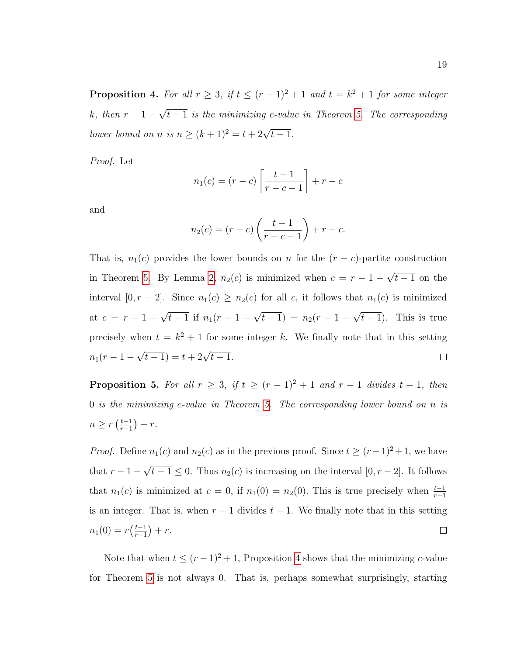<span id="page-27-0"></span>**Proposition 4.** For all  $r \geq 3$ , if  $t \leq (r-1)^2 + 1$  and  $t = k^2 + 1$  for some integer  $k, then r-1-$ √  $t-1$  is the minimizing c-value in Theorem [5.](#page-14-1) The corresponding lower bound on n is  $n \geq (k+1)^2 = t + 2\sqrt{t-1}$ .

Proof. Let

$$
n_1(c) = (r - c) \left[ \frac{t - 1}{r - c - 1} \right] + r - c
$$

and

$$
n_2(c) = (r - c) \left( \frac{t - 1}{r - c - 1} \right) + r - c.
$$

That is,  $n_1(c)$  provides the lower bounds on n for the  $(r - c)$ -partite construction √ in Theorem [5.](#page-14-1) By Lemma [2,](#page-26-0)  $n_2(c)$  is minimized when  $c = r - 1 \overline{t-1}$  on the interval  $[0, r - 2]$ . Since  $n_1(c) \geq n_2(c)$  for all c, it follows that  $n_1(c)$  is minimized √ √ √ at  $c = r - 1 \overline{t-1}$  if  $n_1(r-1-\$  $(t-1) = n_2(r-1 \overline{t-1}$ ). This is true precisely when  $t = k^2 + 1$  for some integer k. We finally note that in this setting  $\sqrt{t-1}$ ) =  $t + 2\sqrt{t-1}$ .  $n_1(r-1 \Box$ 

**Proposition 5.** For all  $r \geq 3$ , if  $t \geq (r-1)^2 + 1$  and  $r-1$  divides  $t-1$ , then 0 is the minimizing c-value in Theorem [5.](#page-14-1) The corresponding lower bound on n is  $n \geq r \left( \frac{t-1}{r-1} \right)$  $\frac{t-1}{r-1}\big) + r.$ 

*Proof.* Define  $n_1(c)$  and  $n_2(c)$  as in the previous proof. Since  $t \ge (r-1)^2 + 1$ , we have √ that  $r-1$  $t-1 \leq 0$ . Thus  $n_2(c)$  is increasing on the interval  $[0, r-2]$ . It follows that  $n_1(c)$  is minimized at  $c = 0$ , if  $n_1(0) = n_2(0)$ . This is true precisely when  $\frac{t-1}{r-1}$ is an integer. That is, when  $r - 1$  divides  $t - 1$ . We finally note that in this setting  $n_1(0) = r\left(\frac{t-1}{r-1}\right)$  $\frac{t-1}{r-1}$  + r.  $\Box$ 

Note that when  $t \leq (r-1)^2 + 1$ , Proposition [4](#page-27-0) shows that the minimizing c-value for Theorem [5](#page-14-1) is not always 0. That is, perhaps somewhat surprisingly, starting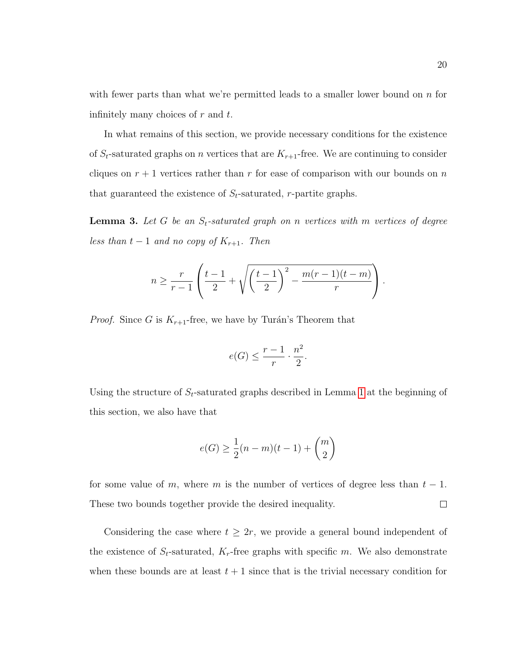with fewer parts than what we're permitted leads to a smaller lower bound on  $n$  for infinitely many choices of  $r$  and  $t$ .

In what remains of this section, we provide necessary conditions for the existence of  $S_t$ -saturated graphs on *n* vertices that are  $K_{r+1}$ -free. We are continuing to consider cliques on  $r + 1$  vertices rather than r for ease of comparison with our bounds on n that guaranteed the existence of  $S_t$ -saturated, r-partite graphs.

<span id="page-28-0"></span>**Lemma 3.** Let G be an  $S_t$ -saturated graph on n vertices with m vertices of degree less than  $t-1$  and no copy of  $K_{r+1}$ . Then

$$
n \geq \frac{r}{r-1} \left( \frac{t-1}{2} + \sqrt{\left(\frac{t-1}{2}\right)^2 - \frac{m(r-1)(t-m)}{r}} \right).
$$

*Proof.* Since G is  $K_{r+1}$ -free, we have by Turán's Theorem that

$$
e(G) \le \frac{r-1}{r} \cdot \frac{n^2}{2}.
$$

Using the structure of  $S_t$ -saturated graphs described in Lemma [1](#page-19-2) at the beginning of this section, we also have that

$$
e(G) \ge \frac{1}{2}(n-m)(t-1) + {m \choose 2}
$$

for some value of m, where m is the number of vertices of degree less than  $t - 1$ . These two bounds together provide the desired inequality.  $\Box$ 

Considering the case where  $t \geq 2r$ , we provide a general bound independent of the existence of  $S_t$ -saturated,  $K_r$ -free graphs with specific m. We also demonstrate when these bounds are at least  $t + 1$  since that is the trivial necessary condition for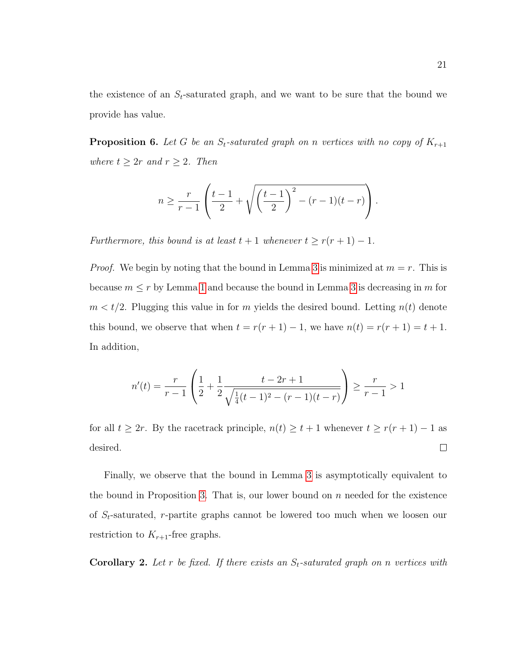the existence of an  $S_t$ -saturated graph, and we want to be sure that the bound we provide has value.

<span id="page-29-0"></span>**Proposition 6.** Let G be an  $S_t$ -saturated graph on n vertices with no copy of  $K_{r+1}$ where  $t \geq 2r$  and  $r \geq 2$ . Then

$$
n \geq \frac{r}{r-1} \left( \frac{t-1}{2} + \sqrt{\left(\frac{t-1}{2}\right)^2 - (r-1)(t-r)} \right).
$$

Furthermore, this bound is at least  $t + 1$  whenever  $t \ge r(r + 1) - 1$ .

*Proof.* We begin by noting that the bound in Lemma [3](#page-28-0) is minimized at  $m = r$ . This is because  $m \leq r$  by Lemma [1](#page-19-2) and because the bound in Lemma [3](#page-28-0) is decreasing in m for  $m < t/2$ . Plugging this value in for m yields the desired bound. Letting  $n(t)$  denote this bound, we observe that when  $t = r(r + 1) - 1$ , we have  $n(t) = r(r + 1) = t + 1$ . In addition,

$$
n'(t) = \frac{r}{r-1} \left( \frac{1}{2} + \frac{1}{2} \frac{t - 2r + 1}{\sqrt{\frac{1}{4}(t-1)^2 - (r-1)(t-r)}} \right) \ge \frac{r}{r-1} > 1
$$

for all  $t \geq 2r$ . By the racetrack principle,  $n(t) \geq t+1$  whenever  $t \geq r(r+1) - 1$  as desired.  $\Box$ 

Finally, we observe that the bound in Lemma [3](#page-28-0) is asymptotically equivalent to the bound in Proposition [3.](#page-24-0) That is, our lower bound on  $n$  needed for the existence of  $S_t$ -saturated, r-partite graphs cannot be lowered too much when we loosen our restriction to  $K_{r+1}$ -free graphs.

**Corollary 2.** Let r be fixed. If there exists an  $S_t$ -saturated graph on n vertices with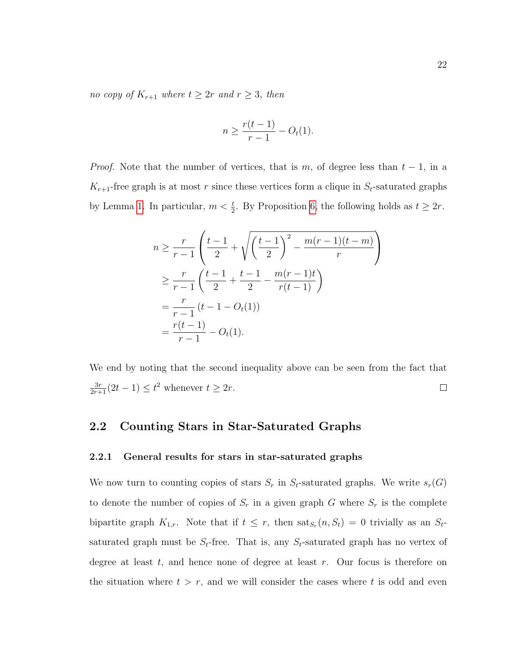no copy of  $K_{r+1}$  where  $t \geq 2r$  and  $r \geq 3$ , then

$$
n \ge \frac{r(t-1)}{r-1} - O_t(1).
$$

*Proof.* Note that the number of vertices, that is m, of degree less than  $t - 1$ , in a  $K_{r+1}$ -free graph is at most r since these vertices form a clique in  $S_t$ -saturated graphs by Lemma [1.](#page-19-2) In particular,  $m < \frac{t}{2}$ . By Proposition [6,](#page-29-0) the following holds as  $t \geq 2r$ .

$$
n \geq \frac{r}{r-1} \left( \frac{t-1}{2} + \sqrt{\left(\frac{t-1}{2}\right)^2 - \frac{m(r-1)(t-m)}{r}} \right)
$$
  
\n
$$
\geq \frac{r}{r-1} \left( \frac{t-1}{2} + \frac{t-1}{2} - \frac{m(r-1)t}{r(t-1)} \right)
$$
  
\n
$$
= \frac{r}{r-1} (t-1 - O_t(1))
$$
  
\n
$$
= \frac{r(t-1)}{r-1} - O_t(1).
$$

We end by noting that the second inequality above can be seen from the fact that  $\frac{3r}{2r+1}(2t-1) \leq t^2$  whenever  $t \geq 2r$ .  $\Box$ 

### <span id="page-30-0"></span>2.2 Counting Stars in Star-Saturated Graphs

#### <span id="page-30-1"></span>2.2.1 General results for stars in star-saturated graphs

We now turn to counting copies of stars  $S_r$  in  $S_t$ -saturated graphs. We write  $s_r(G)$ to denote the number of copies of  $S_r$  in a given graph G where  $S_r$  is the complete bipartite graph  $K_{1,r}$ . Note that if  $t \leq r$ , then  $\text{sat}_{S_r}(n, S_t) = 0$  trivially as an  $S_t$ saturated graph must be  $S_t$ -free. That is, any  $S_t$ -saturated graph has no vertex of degree at least  $t$ , and hence none of degree at least  $r$ . Our focus is therefore on the situation where  $t > r$ , and we will consider the cases where t is odd and even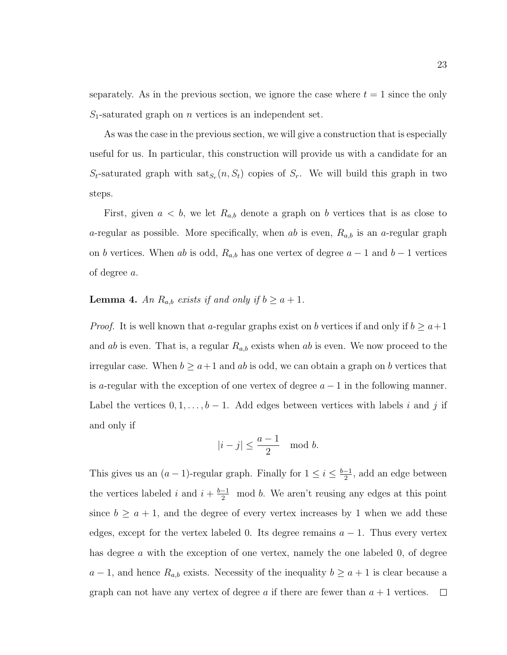separately. As in the previous section, we ignore the case where  $t = 1$  since the only  $S_1$ -saturated graph on *n* vertices is an independent set.

As was the case in the previous section, we will give a construction that is especially useful for us. In particular, this construction will provide us with a candidate for an  $S_t$ -saturated graph with  $\text{sat}_{S_r}(n, S_t)$  copies of  $S_r$ . We will build this graph in two steps.

First, given  $a < b$ , we let  $R_{a,b}$  denote a graph on b vertices that is as close to a-regular as possible. More specifically, when ab is even,  $R_{a,b}$  is an a-regular graph on b vertices. When ab is odd,  $R_{a,b}$  has one vertex of degree  $a-1$  and  $b-1$  vertices of degree a.

#### <span id="page-31-0"></span>**Lemma 4.** An  $R_{a,b}$  exists if and only if  $b \geq a+1$ .

*Proof.* It is well known that a-regular graphs exist on b vertices if and only if  $b \ge a+1$ and ab is even. That is, a regular  $R_{a,b}$  exists when ab is even. We now proceed to the irregular case. When  $b \ge a+1$  and ab is odd, we can obtain a graph on b vertices that is a-regular with the exception of one vertex of degree  $a - 1$  in the following manner. Label the vertices  $0, 1, \ldots, b-1$ . Add edges between vertices with labels i and j if and only if

$$
|i-j|\leq \frac{a-1}{2} \mod b.
$$

This gives us an  $(a-1)$ -regular graph. Finally for  $1 \leq i \leq \frac{b-1}{2}$  $\frac{-1}{2}$ , add an edge between the vertices labeled i and  $i + \frac{b-1}{2}$  mod b. We aren't reusing any edges at this point since  $b \ge a + 1$ , and the degree of every vertex increases by 1 when we add these edges, except for the vertex labeled 0. Its degree remains  $a - 1$ . Thus every vertex has degree a with the exception of one vertex, namely the one labeled 0, of degree  $a-1$ , and hence  $R_{a,b}$  exists. Necessity of the inequality  $b \ge a+1$  is clear because a graph can not have any vertex of degree a if there are fewer than  $a + 1$  vertices.  $\Box$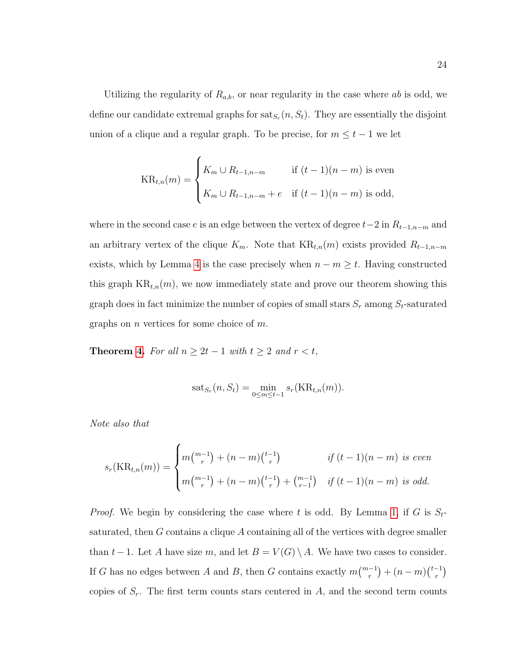Utilizing the regularity of  $R_{a,b}$ , or near regularity in the case where ab is odd, we define our candidate extremal graphs for  $\text{sat}_{S_r}(n, S_t)$ . They are essentially the disjoint union of a clique and a regular graph. To be precise, for  $m \leq t - 1$  we let

$$
KR_{t,n}(m) = \begin{cases} K_m \cup R_{t-1,n-m} & \text{if } (t-1)(n-m) \text{ is even} \\ K_m \cup R_{t-1,n-m} + e & \text{if } (t-1)(n-m) \text{ is odd,} \end{cases}
$$

where in the second case  $e$  is an edge between the vertex of degree  $t-2$  in  $R_{t-1,n-m}$  and an arbitrary vertex of the clique  $K_m$ . Note that  $KR_{t,n}(m)$  exists provided  $R_{t-1,n-m}$ exists, which by Lemma [4](#page-31-0) is the case precisely when  $n - m \geq t$ . Having constructed this graph  $KR_{t,n}(m)$ , we now immediately state and prove our theorem showing this graph does in fact minimize the number of copies of small stars  $S_r$  among  $S_t$ -saturated graphs on *n* vertices for some choice of  $m$ .

**Theorem [4.](#page-14-0)** For all  $n \geq 2t - 1$  with  $t \geq 2$  and  $r < t$ ,

$$
sat_{S_r}(n, S_t) = \min_{0 \le m \le t-1} s_r(\text{KR}_{t,n}(m)).
$$

Note also that

$$
s_r(\text{KR}_{t,n}(m)) = \begin{cases} m {m-1 \choose r} + (n-m) {t-1 \choose r} & \text{if } (t-1)(n-m) \text{ is even} \\ m {m-1 \choose r} + (n-m) {t-1 \choose r} + {m-1 \choose r-1} & \text{if } (t-1)(n-m) \text{ is odd.} \end{cases}
$$

*Proof.* We begin by considering the case where t is odd. By Lemma [1,](#page-19-2) if G is  $S_t$ saturated, then G contains a clique A containing all of the vertices with degree smaller than t – 1. Let A have size m, and let  $B = V(G) \setminus A$ . We have two cases to consider. If G has no edges between A and B, then G contains exactly  $m\binom{m-1}{r} + (n-m)\binom{t-1}{r}$  $\binom{-1}{r}$ copies of  $S_r$ . The first term counts stars centered in A, and the second term counts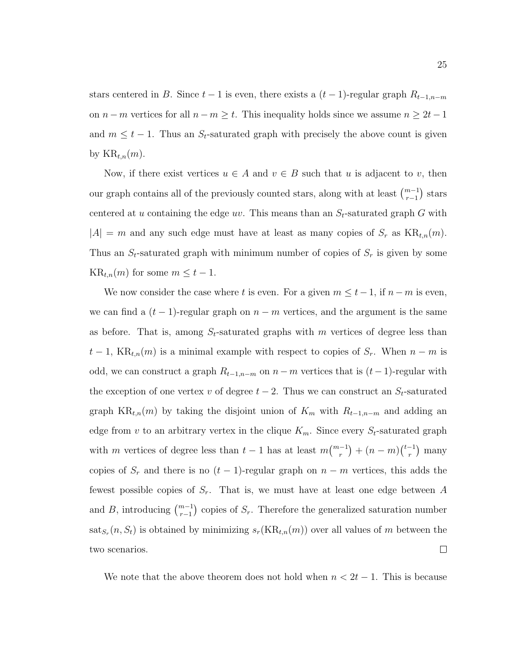stars centered in B. Since  $t-1$  is even, there exists a  $(t-1)$ -regular graph  $R_{t-1,n-m}$ on  $n - m$  vertices for all  $n - m \geq t$ . This inequality holds since we assume  $n \geq 2t - 1$ and  $m \leq t - 1$ . Thus an  $S_t$ -saturated graph with precisely the above count is given by  $KR_{t,n}(m)$ .

Now, if there exist vertices  $u \in A$  and  $v \in B$  such that u is adjacent to v, then our graph contains all of the previously counted stars, along with at least  $\binom{m-1}{r-1}$  stars centered at u containing the edge uv. This means than an  $S_t$ -saturated graph G with  $|A| = m$  and any such edge must have at least as many copies of  $S_r$  as  $KR_{t,n}(m)$ . Thus an  $S_t$ -saturated graph with minimum number of copies of  $S_r$  is given by some  $KR_{t,n}(m)$  for some  $m \leq t-1$ .

We now consider the case where t is even. For a given  $m \leq t - 1$ , if  $n - m$  is even, we can find a  $(t-1)$ -regular graph on  $n-m$  vertices, and the argument is the same as before. That is, among  $S_t$ -saturated graphs with m vertices of degree less than  $t-1$ , KR<sub>t,n</sub>(m) is a minimal example with respect to copies of  $S_r$ . When  $n-m$  is odd, we can construct a graph  $R_{t-1,n-m}$  on  $n-m$  vertices that is  $(t-1)$ -regular with the exception of one vertex v of degree  $t-2$ . Thus we can construct an  $S_t$ -saturated graph KR<sub>t,n</sub>(m) by taking the disjoint union of  $K_m$  with  $R_{t-1,n-m}$  and adding an edge from v to an arbitrary vertex in the clique  $K_m$ . Since every  $S_t$ -saturated graph with m vertices of degree less than  $t-1$  has at least  $m\binom{m-1}{r} + (n-m)\binom{t-1}{r}$  $r^{-1}$ ) many copies of  $S_r$  and there is no  $(t-1)$ -regular graph on  $n-m$  vertices, this adds the fewest possible copies of  $S_r$ . That is, we must have at least one edge between A and B, introducing  $\binom{m-1}{r-1}$  copies of  $S_r$ . Therefore the generalized saturation number  $\text{sat}_{S_r}(n, S_t)$  is obtained by minimizing  $s_r(\text{KR}_{t,n}(m))$  over all values of m between the  $\Box$ two scenarios.

We note that the above theorem does not hold when  $n < 2t - 1$ . This is because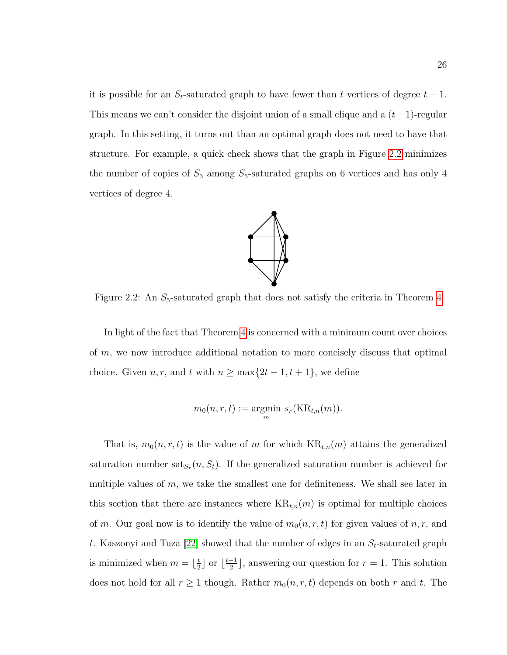it is possible for an  $S_t$ -saturated graph to have fewer than t vertices of degree  $t-1$ . This means we can't consider the disjoint union of a small clique and a  $(t-1)$ -regular graph. In this setting, it turns out than an optimal graph does not need to have that structure. For example, a quick check shows that the graph in Figure [2.2](#page-34-0) minimizes the number of copies of  $S_3$  among  $S_5$ -saturated graphs on 6 vertices and has only 4 vertices of degree 4.

<span id="page-34-0"></span>

Figure 2.2: An  $S_5$ -saturated graph that does not satisfy the criteria in Theorem [4](#page-14-0)

In light of the fact that Theorem [4](#page-14-0) is concerned with a minimum count over choices of m, we now introduce additional notation to more concisely discuss that optimal choice. Given  $n, r$ , and t with  $n \ge \max\{2t - 1, t + 1\}$ , we define

$$
m_0(n,r,t) := \underset{m}{\text{argmin}} \ s_r(\text{KR}_{t,n}(m)).
$$

That is,  $m_0(n, r, t)$  is the value of m for which  $KR_{t,n}(m)$  attains the generalized saturation number sat $s_r(n, S_t)$ . If the generalized saturation number is achieved for multiple values of  $m$ , we take the smallest one for definiteness. We shall see later in this section that there are instances where  $KR_{t,n}(m)$  is optimal for multiple choices of m. Our goal now is to identify the value of  $m_0(n, r, t)$  for given values of n, r, and t. Kaszonyi and Tuza [\[22\]](#page-118-4) showed that the number of edges in an  $S_t$ -saturated graph is minimized when  $m = \frac{t}{2}$  $\frac{t}{2}$  or  $\lfloor \frac{t+1}{2} \rfloor$  $\frac{+1}{2}$ , answering our question for  $r = 1$ . This solution does not hold for all  $r \geq 1$  though. Rather  $m_0(n, r, t)$  depends on both r and t. The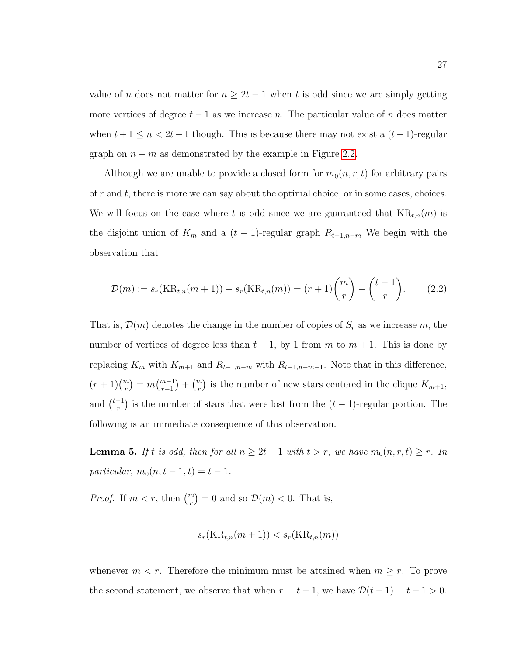value of n does not matter for  $n \geq 2t - 1$  when t is odd since we are simply getting more vertices of degree  $t - 1$  as we increase n. The particular value of n does matter when  $t + 1 \leq n < 2t - 1$  though. This is because there may not exist a  $(t-1)$ -regular graph on  $n - m$  as demonstrated by the example in Figure [2.2.](#page-34-0)

Although we are unable to provide a closed form for  $m_0(n, r, t)$  for arbitrary pairs of  $r$  and  $t$ , there is more we can say about the optimal choice, or in some cases, choices. We will focus on the case where t is odd since we are guaranteed that  $KR_{t,n}(m)$  is the disjoint union of  $K_m$  and a  $(t-1)$ -regular graph  $R_{t-1,n-m}$  We begin with the observation that

$$
\mathcal{D}(m) := s_r(\text{KR}_{t,n}(m+1)) - s_r(\text{KR}_{t,n}(m)) = (r+1) \binom{m}{r} - \binom{t-1}{r}.
$$
 (2.2)

That is,  $\mathcal{D}(m)$  denotes the change in the number of copies of  $S_r$  as we increase m, the number of vertices of degree less than  $t-1$ , by 1 from m to  $m+1$ . This is done by replacing  $K_m$  with  $K_{m+1}$  and  $R_{t-1,n-m}$  with  $R_{t-1,n-m-1}$ . Note that in this difference,  $(r+1)\binom{m}{r} = m\binom{m-1}{r-1} + \binom{m}{r}$  is the number of new stars centered in the clique  $K_{m+1}$ , and  $\binom{t-1}{r}$  $\binom{r}{r}$  is the number of stars that were lost from the  $(t-1)$ -regular portion. The following is an immediate consequence of this observation.

**Lemma 5.** If t is odd, then for all  $n \geq 2t - 1$  with  $t > r$ , we have  $m_0(n, r, t) \geq r$ . In particular,  $m_0(n, t - 1, t) = t - 1$ .

*Proof.* If  $m < r$ , then  $\binom{m}{r} = 0$  and so  $\mathcal{D}(m) < 0$ . That is,

$$
s_r(\text{KR}_{t,n}(m+1)) < s_r(\text{KR}_{t,n}(m))
$$

whenever  $m < r$ . Therefore the minimum must be attained when  $m \geq r$ . To prove the second statement, we observe that when  $r = t - 1$ , we have  $\mathcal{D}(t - 1) = t - 1 > 0$ .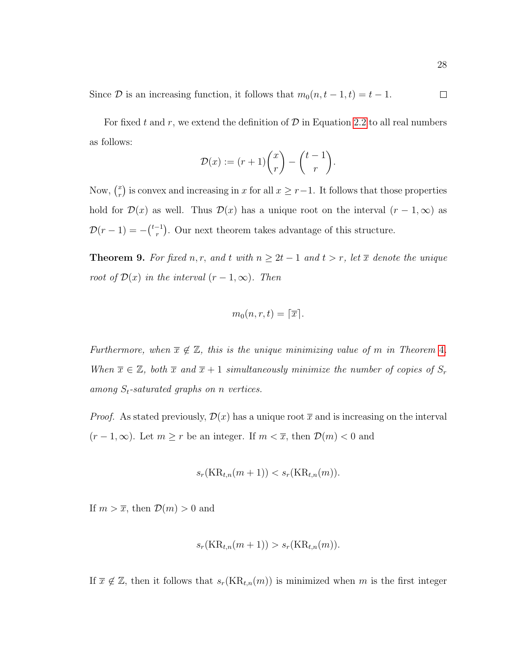Since  $D$  is an increasing function, it follows that  $m_0(n, t - 1, t) = t - 1$ .  $\Box$ 

For fixed t and r, we extend the definition of  $D$  in Equation [2.2](#page-35-0) to all real numbers as follows:

$$
\mathcal{D}(x) := (r+1)\binom{x}{r} - \binom{t-1}{r}.
$$

Now,  $\binom{x}{r}$  $\binom{x}{r}$  is convex and increasing in x for all  $x \geq r-1$ . It follows that those properties hold for  $\mathcal{D}(x)$  as well. Thus  $\mathcal{D}(x)$  has a unique root on the interval  $(r-1,\infty)$  as  $\mathcal{D}(r-1) = -\binom{t-1}{r}$  $r_r^{-1}$ ). Our next theorem takes advantage of this structure.

<span id="page-36-0"></span>**Theorem 9.** For fixed n, r, and t with  $n \geq 2t - 1$  and  $t > r$ , let  $\overline{x}$  denote the unique root of  $\mathcal{D}(x)$  in the interval  $(r-1,\infty)$ . Then

$$
m_0(n,r,t)=\lceil \overline{x} \rceil.
$$

Furthermore, when  $\overline{x} \notin \mathbb{Z}$ , this is the unique minimizing value of m in Theorem [4](#page-14-0). When  $\overline{x} \in \mathbb{Z}$ , both  $\overline{x}$  and  $\overline{x} + 1$  simultaneously minimize the number of copies of  $S_r$ among  $S_t$ -saturated graphs on n vertices.

*Proof.* As stated previously,  $\mathcal{D}(x)$  has a unique root  $\bar{x}$  and is increasing on the interval  $(r-1,\infty)$ . Let  $m \geq r$  be an integer. If  $m < \overline{x}$ , then  $\mathcal{D}(m) < 0$  and

$$
s_r(\text{KR}_{t,n}(m+1)) < s_r(\text{KR}_{t,n}(m)).
$$

If  $m > \overline{x}$ , then  $\mathcal{D}(m) > 0$  and

$$
s_r(\text{KR}_{t,n}(m+1)) > s_r(\text{KR}_{t,n}(m)).
$$

If  $\bar{x} \notin \mathbb{Z}$ , then it follows that  $s_r(KR_{t,n}(m))$  is minimized when m is the first integer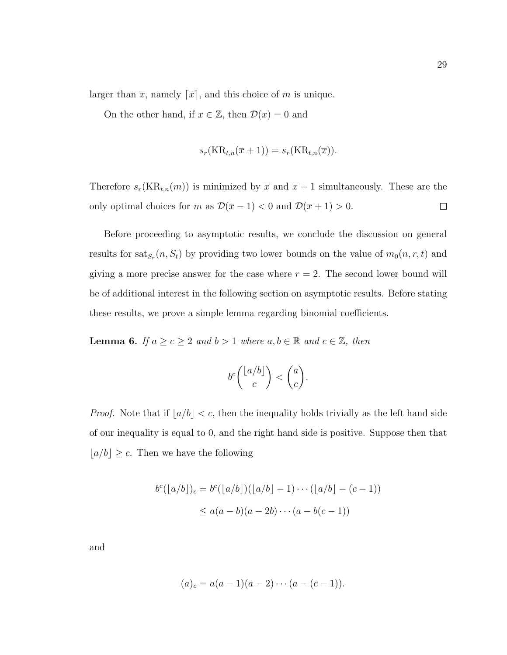larger than  $\bar{x}$ , namely  $[\bar{x}]$ , and this choice of m is unique.

On the other hand, if  $\overline{x} \in \mathbb{Z}$ , then  $\mathcal{D}(\overline{x}) = 0$  and

$$
s_r(\text{KR}_{t,n}(\overline{x}+1)) = s_r(\text{KR}_{t,n}(\overline{x})).
$$

Therefore  $s_r(KR_{t,n}(m))$  is minimized by  $\bar{x}$  and  $\bar{x} + 1$  simultaneously. These are the only optimal choices for m as  $\mathcal{D}(\bar{x} - 1) < 0$  and  $\mathcal{D}(\bar{x} + 1) > 0$ .  $\Box$ 

Before proceeding to asymptotic results, we conclude the discussion on general results for  $\text{sat}_{S_r}(n, S_t)$  by providing two lower bounds on the value of  $m_0(n, r, t)$  and giving a more precise answer for the case where  $r = 2$ . The second lower bound will be of additional interest in the following section on asymptotic results. Before stating these results, we prove a simple lemma regarding binomial coefficients.

<span id="page-37-0"></span>**Lemma 6.** If  $a \ge c \ge 2$  and  $b > 1$  where  $a, b \in \mathbb{R}$  and  $c \in \mathbb{Z}$ , then

$$
b^c \binom{\lfloor a/b \rfloor}{c} < \binom{a}{c}.
$$

*Proof.* Note that if  $\lfloor a/b \rfloor < c$ , then the inequality holds trivially as the left hand side of our inequality is equal to 0, and the right hand side is positive. Suppose then that  $\lfloor a/b \rfloor \geq c$ . Then we have the following

$$
b^{c}(\lfloor a/b \rfloor)_{c} = b^{c}(\lfloor a/b \rfloor)(\lfloor a/b \rfloor - 1) \cdots (\lfloor a/b \rfloor - (c - 1))
$$
  
 
$$
\leq a(a - b)(a - 2b) \cdots (a - b(c - 1))
$$

and

$$
(a)_c = a(a-1)(a-2)\cdots(a-(c-1)).
$$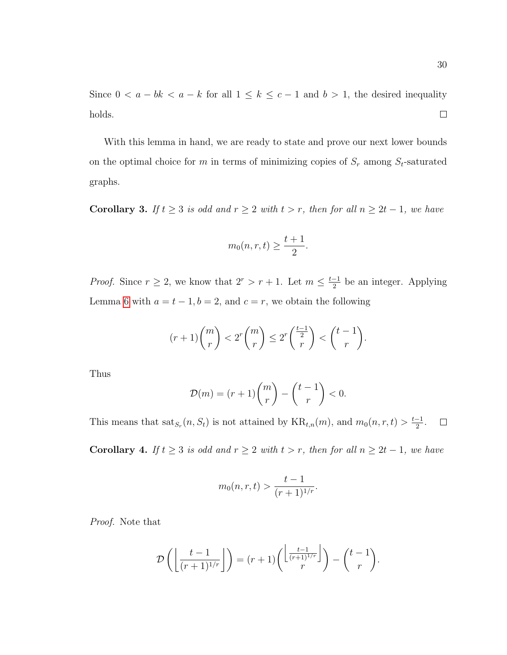With this lemma in hand, we are ready to state and prove our next lower bounds on the optimal choice for m in terms of minimizing copies of  $S_r$  among  $S_t$ -saturated graphs.

<span id="page-38-0"></span>Corollary 3. If  $t \geq 3$  is odd and  $r \geq 2$  with  $t > r$ , then for all  $n \geq 2t - 1$ , we have

$$
m_0(n,r,t) \ge \frac{t+1}{2}.
$$

*Proof.* Since  $r \geq 2$ , we know that  $2^r > r + 1$ . Let  $m \leq \frac{t-1}{2}$  $\frac{-1}{2}$  be an integer. Applying Lemma [6](#page-37-0) with  $a = t - 1$ ,  $b = 2$ , and  $c = r$ , we obtain the following

$$
(r+1)\binom{m}{r} < 2^r \binom{m}{r} \le 2^r \binom{\frac{t-1}{2}}{r} < \binom{t-1}{r}.
$$

Thus

$$
\mathcal{D}(m) = (r+1) \binom{m}{r} - \binom{t-1}{r} < 0.
$$

This means that  $\text{sat}_{S_r}(n, S_t)$  is not attained by  $\text{KR}_{t,n}(m)$ , and  $m_0(n, r, t) > \frac{t-1}{2}$  $\frac{-1}{2}$ .  $\Box$ 

Corollary 4. If  $t \geq 3$  is odd and  $r \geq 2$  with  $t > r$ , then for all  $n \geq 2t - 1$ , we have

$$
m_0(n,r,t) > \frac{t-1}{(r+1)^{1/r}}.
$$

Proof. Note that

$$
\mathcal{D}\left(\left\lfloor\frac{t-1}{(r+1)^{1/r}}\right\rfloor\right) = (r+1)\left(\left\lfloor\frac{t-1}{(r+1)^{1/r}}\right\rfloor\right) - \binom{t-1}{r}.
$$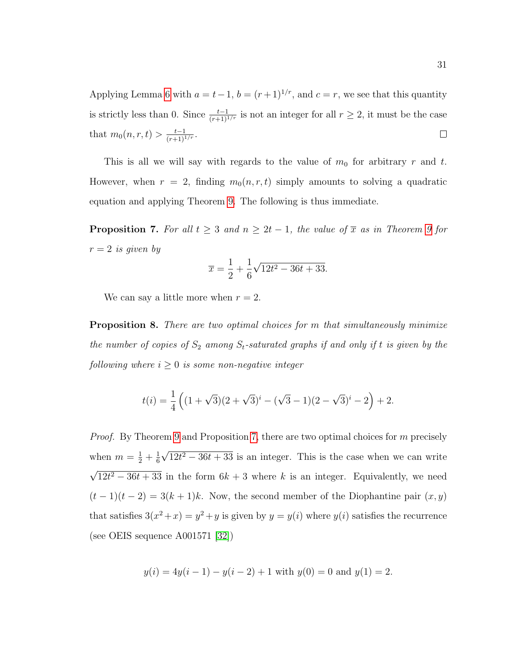Applying Lemma [6](#page-37-0) with  $a = t-1$ ,  $b = (r+1)^{1/r}$ , and  $c = r$ , we see that this quantity is strictly less than 0. Since  $\frac{t-1}{(r+1)^{1/r}}$  is not an integer for all  $r \geq 2$ , it must be the case that  $m_0(n, r, t) > \frac{t-1}{(r+1)^{1/r}}$ .  $\Box$ 

This is all we will say with regards to the value of  $m_0$  for arbitrary r and t. However, when  $r = 2$ , finding  $m_0(n, r, t)$  simply amounts to solving a quadratic equation and applying Theorem [9.](#page-36-0) The following is thus immediate.

<span id="page-39-0"></span>**Proposition 7.** For all  $t \geq 3$  and  $n \geq 2t - 1$ , the value of  $\overline{x}$  as in Theorem [9](#page-36-0) for  $r = 2$  is given by

$$
\overline{x} = \frac{1}{2} + \frac{1}{6}\sqrt{12t^2 - 36t + 33}.
$$

We can say a little more when  $r = 2$ .

**Proposition 8.** There are two optimal choices for m that simultaneously minimize the number of copies of  $S_2$  among  $S_t$ -saturated graphs if and only if t is given by the following where  $i \geq 0$  is some non-negative integer

$$
t(i) = \frac{1}{4} \left( (1 + \sqrt{3})(2 + \sqrt{3})^i - (\sqrt{3} - 1)(2 - \sqrt{3})^i - 2 \right) + 2.
$$

Proof. By Theorem [9](#page-36-0) and Proposition [7,](#page-39-0) there are two optimal choices for m precisely when  $m = \frac{1}{2} + \frac{1}{6}$ 6 √  $12t^2 - 36t + 33$  is an integer. This is the case when we can write √  $12t^2 - 36t + 33$  in the form  $6k + 3$  where k is an integer. Equivalently, we need  $(t-1)(t-2) = 3(k+1)k$ . Now, the second member of the Diophantine pair  $(x, y)$ that satisfies  $3(x^2+x) = y^2+y$  is given by  $y = y(i)$  where  $y(i)$  satisfies the recurrence (see OEIS sequence A001571 [\[32\]](#page-119-0))

$$
y(i) = 4y(i - 1) - y(i - 2) + 1
$$
 with  $y(0) = 0$  and  $y(1) = 2$ .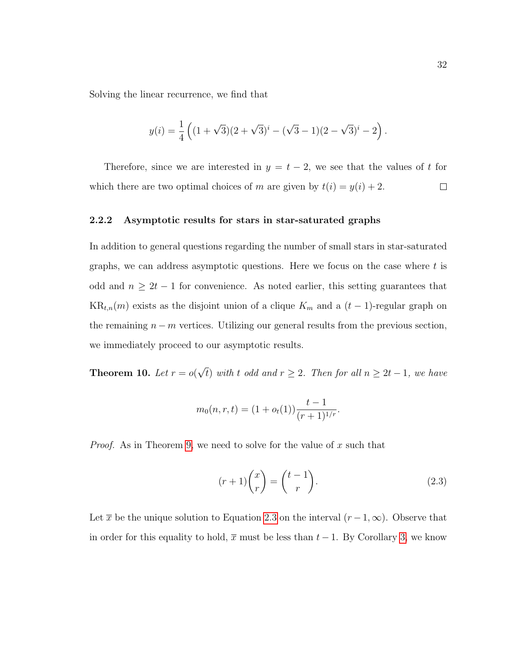Solving the linear recurrence, we find that

$$
y(i) = \frac{1}{4} \left( (1 + \sqrt{3})(2 + \sqrt{3})^{i} - (\sqrt{3} - 1)(2 - \sqrt{3})^{i} - 2 \right).
$$

Therefore, since we are interested in  $y = t - 2$ , we see that the values of t for which there are two optimal choices of m are given by  $t(i) = y(i) + 2$ .  $\Box$ 

### 2.2.2 Asymptotic results for stars in star-saturated graphs

In addition to general questions regarding the number of small stars in star-saturated graphs, we can address asymptotic questions. Here we focus on the case where  $t$  is odd and  $n \geq 2t - 1$  for convenience. As noted earlier, this setting guarantees that  $KR_{t,n}(m)$  exists as the disjoint union of a clique  $K_m$  and a  $(t-1)$ -regular graph on the remaining  $n - m$  vertices. Utilizing our general results from the previous section, we immediately proceed to our asymptotic results.

**Theorem 10.** Let  $r = o(r)$ √ t) with t odd and  $r \geq 2$ . Then for all  $n \geq 2t - 1$ , we have

$$
m_0(n,r,t) = (1 + o_t(1)) \frac{t-1}{(r+1)^{1/r}}.
$$

*Proof.* As in Theorem [9,](#page-36-0) we need to solve for the value of  $x$  such that

<span id="page-40-0"></span>
$$
(r+1)\binom{x}{r} = \binom{t-1}{r}.\tag{2.3}
$$

Let  $\bar{x}$  be the unique solution to Equation [2.3](#page-40-0) on the interval  $(r-1,\infty)$ . Observe that in order for this equality to hold,  $\bar{x}$  must be less than  $t - 1$ . By Corollary [3,](#page-38-0) we know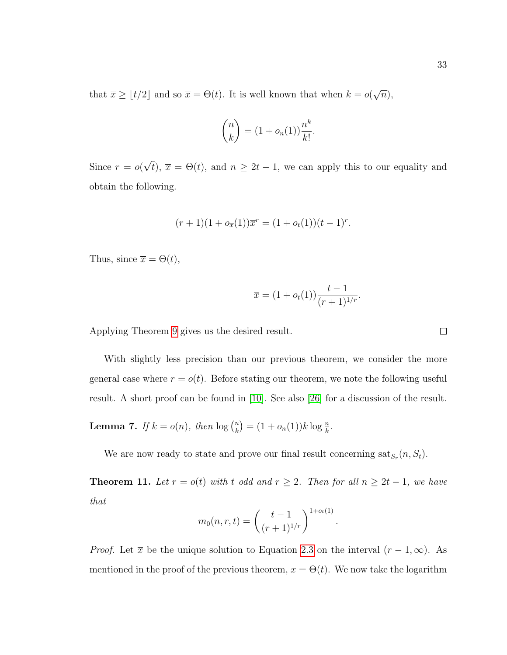that  $\bar{x} \geq \lfloor t/2 \rfloor$  and so  $\bar{x} = \Theta(t)$ . It is well known that when  $k = o(t)$ √  $\overline{n}),$ 

$$
\binom{n}{k} = (1 + o_n(1)) \frac{n^k}{k!}.
$$

Since  $r = o($ √  $\overline{t}$ ,  $\overline{x} = \Theta(t)$ , and  $n \geq 2t - 1$ , we can apply this to our equality and obtain the following.

$$
(r+1)(1+o_{\overline{x}}(1))\overline{x}^{r} = (1+o_{t}(1))(t-1)^{r}.
$$

Thus, since  $\overline{x} = \Theta(t)$ ,

$$
\overline{x} = (1 + o_t(1)) \frac{t - 1}{(r + 1)^{1/r}}.
$$

Applying Theorem [9](#page-36-0) gives us the desired result.

With slightly less precision than our previous theorem, we consider the more general case where  $r = o(t)$ . Before stating our theorem, we note the following useful result. A short proof can be found in [\[10\]](#page-117-0). See also [\[26\]](#page-118-0) for a discussion of the result.

<span id="page-41-0"></span>**Lemma 7.** If  $k = o(n)$ , then  $\log \binom{n}{k}$  ${k \choose k} = (1 + o_n(1))k \log \frac{n}{k}.$ 

We are now ready to state and prove our final result concerning  $\text{sat}_{S_r}(n, S_t)$ .

**Theorem 11.** Let  $r = o(t)$  with t odd and  $r \geq 2$ . Then for all  $n \geq 2t - 1$ , we have that

$$
m_0(n,r,t) = \left(\frac{t-1}{(r+1)^{1/r}}\right)^{1+o_t(1)}
$$

.

*Proof.* Let  $\bar{x}$  be the unique solution to Equation [2.3](#page-40-0) on the interval  $(r - 1, \infty)$ . As mentioned in the proof of the previous theorem,  $\bar{x} = \Theta(t)$ . We now take the logarithm

 $\Box$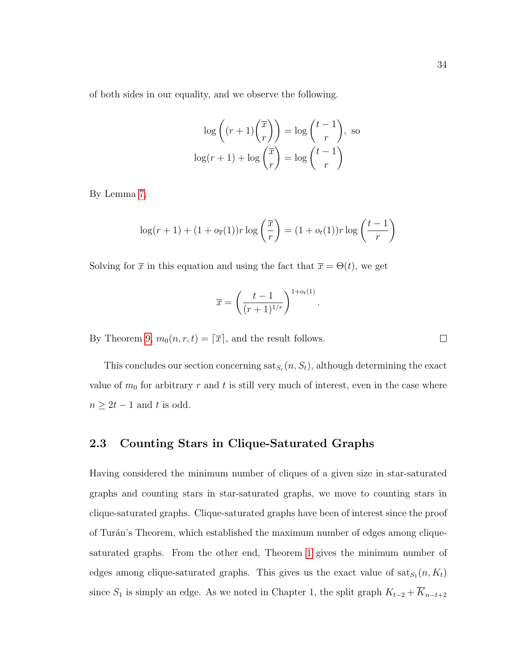$$
\log\left((r+1)\binom{\overline{x}}{r}\right) = \log\binom{t-1}{r}, \text{ so}
$$

$$
\log(r+1) + \log\binom{\overline{x}}{r} = \log\binom{t-1}{r}
$$

By Lemma [7,](#page-41-0)

$$
\log(r+1) + (1 + o_{\overline{x}}(1))r \log\left(\frac{\overline{x}}{r}\right) = (1 + o_t(1))r \log\left(\frac{t-1}{r}\right)
$$

Solving for  $\bar{x}$  in this equation and using the fact that  $\bar{x} = \Theta(t)$ , we get

$$
\overline{x} = \left(\frac{t-1}{(r+1)^{1/r}}\right)^{1+o_t(1)}
$$

.

By Theorem [9,](#page-36-0)  $m_0(n, r, t) = \lceil \overline{x} \rceil$ , and the result follows.

This concludes our section concerning  $\text{sat}_{S_r}(n, S_t)$ , although determining the exact value of  $m_0$  for arbitrary r and t is still very much of interest, even in the case where  $n \geq 2t - 1$  and t is odd.

# <span id="page-42-0"></span>2.3 Counting Stars in Clique-Saturated Graphs

Having considered the minimum number of cliques of a given size in star-saturated graphs and counting stars in star-saturated graphs, we move to counting stars in clique-saturated graphs. Clique-saturated graphs have been of interest since the proof of Turán's Theorem, which established the maximum number of edges among cliquesaturated graphs. From the other end, Theorem [1](#page-11-0) gives the minimum number of edges among clique-saturated graphs. This gives us the exact value of  $\text{sat}_{S_1}(n, K_t)$ since  $S_1$  is simply an edge. As we noted in Chapter 1, the split graph  $K_{t-2} + \overline{K}_{n-t+2}$ 

 $\Box$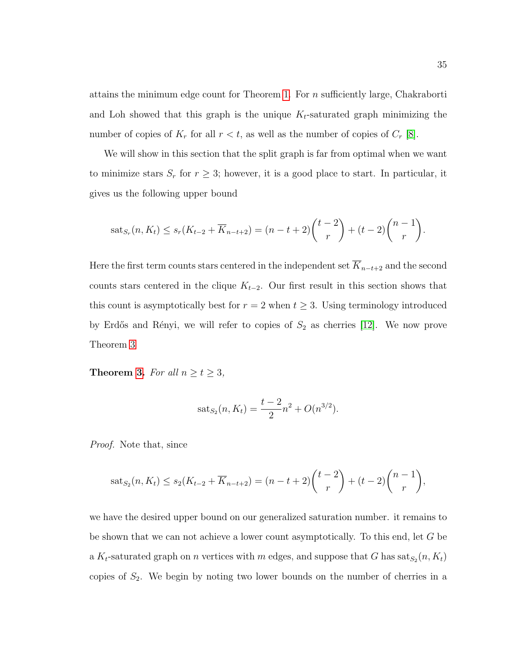attains the minimum edge count for Theorem [1.](#page-11-0) For  $n$  sufficiently large, Chakraborti and Loh showed that this graph is the unique  $K_t$ -saturated graph minimizing the number of copies of  $K_r$  for all  $r < t$ , as well as the number of copies of  $C_r$  [\[8\]](#page-116-0).

We will show in this section that the split graph is far from optimal when we want to minimize stars  $S_r$  for  $r \geq 3$ ; however, it is a good place to start. In particular, it gives us the following upper bound

$$
sat_{S_r}(n, K_t) \le s_r(K_{t-2} + \overline{K}_{n-t+2}) = (n-t+2) {t-2 \choose r} + (t-2) {n-1 \choose r}.
$$

Here the first term counts stars centered in the independent set  $\overline{K}_{n-t+2}$  and the second counts stars centered in the clique  $K_{t-2}$ . Our first result in this section shows that this count is asymptotically best for  $r = 2$  when  $t \geq 3$ . Using terminology introduced by Erdős and Rényi, we will refer to copies of  $S_2$  as cherries [\[12\]](#page-117-1). We now prove Theorem [3](#page-13-0)

**Theorem [3.](#page-13-0)** For all  $n \ge t \ge 3$ ,

$$
sat_{S_2}(n, K_t) = \frac{t-2}{2}n^2 + O(n^{3/2}).
$$

Proof. Note that, since

$$
sat_{S_2}(n, K_t) \leq s_2(K_{t-2} + \overline{K}_{n-t+2}) = (n-t+2) {t-2 \choose r} + (t-2) {n-1 \choose r},
$$

we have the desired upper bound on our generalized saturation number. it remains to be shown that we can not achieve a lower count asymptotically. To this end, let G be a  $K_t$ -saturated graph on n vertices with m edges, and suppose that G has  $\text{sat}_{S_2}(n, K_t)$ copies of  $S_2$ . We begin by noting two lower bounds on the number of cherries in a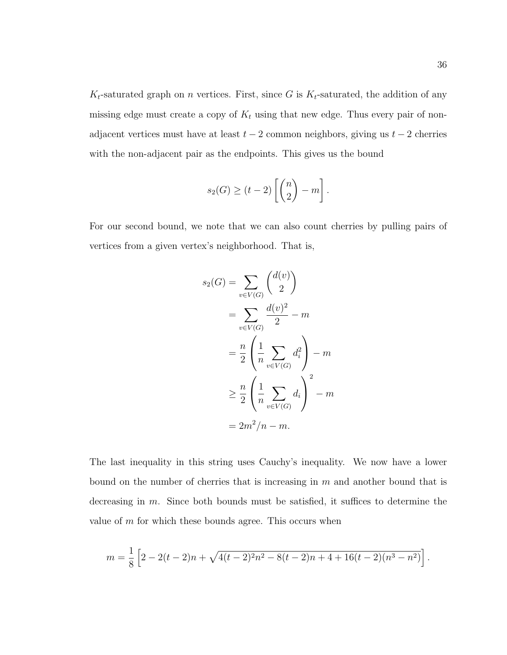$K_t$ -saturated graph on *n* vertices. First, since G is  $K_t$ -saturated, the addition of any missing edge must create a copy of  $K_t$  using that new edge. Thus every pair of nonadjacent vertices must have at least  $t - 2$  common neighbors, giving us  $t - 2$  cherries with the non-adjacent pair as the endpoints. This gives us the bound

$$
s_2(G) \ge (t-2) \left[ \binom{n}{2} - m \right].
$$

For our second bound, we note that we can also count cherries by pulling pairs of vertices from a given vertex's neighborhood. That is,

$$
s_2(G) = \sum_{v \in V(G)} \binom{d(v)}{2}
$$

$$
= \sum_{v \in V(G)} \frac{d(v)^2}{2} - m
$$

$$
= \frac{n}{2} \left( \frac{1}{n} \sum_{v \in V(G)} d_i^2 \right) - m
$$

$$
\geq \frac{n}{2} \left( \frac{1}{n} \sum_{v \in V(G)} d_i \right)^2 - m
$$

$$
= 2m^2/n - m.
$$

The last inequality in this string uses Cauchy's inequality. We now have a lower bound on the number of cherries that is increasing in m and another bound that is decreasing in m. Since both bounds must be satisfied, it suffices to determine the value of  $m$  for which these bounds agree. This occurs when

$$
m = \frac{1}{8} \left[ 2 - 2(t - 2)n + \sqrt{4(t - 2)^2 n^2 - 8(t - 2)n + 4 + 16(t - 2)(n^3 - n^2)} \right].
$$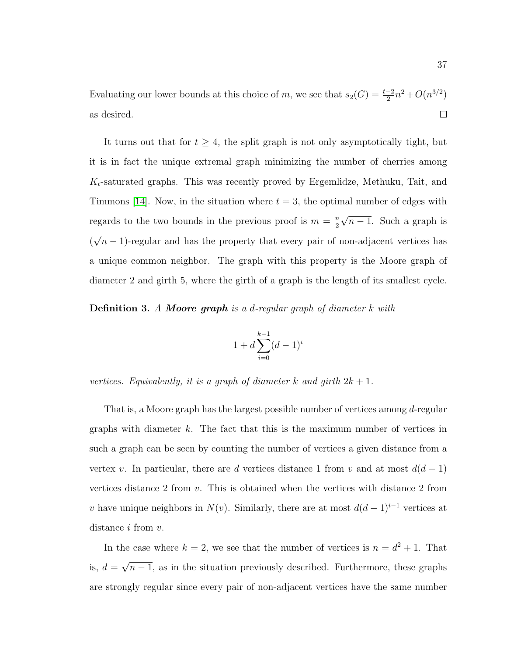Evaluating our lower bounds at this choice of m, we see that  $s_2(G) = \frac{t-2}{2}n^2 + O(n^{3/2})$ as desired.  $\Box$ 

It turns out that for  $t \geq 4$ , the split graph is not only asymptotically tight, but it is in fact the unique extremal graph minimizing the number of cherries among  $K_t$ -saturated graphs. This was recently proved by Ergemlidze, Methuku, Tait, and Timmons [\[14\]](#page-117-2). Now, in the situation where  $t = 3$ , the optimal number of edges with regards to the two bounds in the previous proof is  $m = \frac{n}{2}$ 2 √  $n-1$ . Such a graph is ( √  $n-1$ )-regular and has the property that every pair of non-adjacent vertices has a unique common neighbor. The graph with this property is the Moore graph of diameter 2 and girth 5, where the girth of a graph is the length of its smallest cycle.

**Definition 3.** A **Moore graph** is a d-regular graph of diameter  $k$  with

$$
1 + d \sum_{i=0}^{k-1} (d-1)^i
$$

vertices. Equivalently, it is a graph of diameter k and girth  $2k + 1$ .

That is, a Moore graph has the largest possible number of vertices among d-regular graphs with diameter k. The fact that this is the maximum number of vertices in such a graph can be seen by counting the number of vertices a given distance from a vertex v. In particular, there are d vertices distance 1 from v and at most  $d(d-1)$ vertices distance 2 from v. This is obtained when the vertices with distance 2 from v have unique neighbors in  $N(v)$ . Similarly, there are at most  $d(d-1)^{i-1}$  vertices at distance *i* from *v*.

In the case where  $k = 2$ , we see that the number of vertices is  $n = d^2 + 1$ . That is,  $d =$ √  $n-1$ , as in the situation previously described. Furthermore, these graphs are strongly regular since every pair of non-adjacent vertices have the same number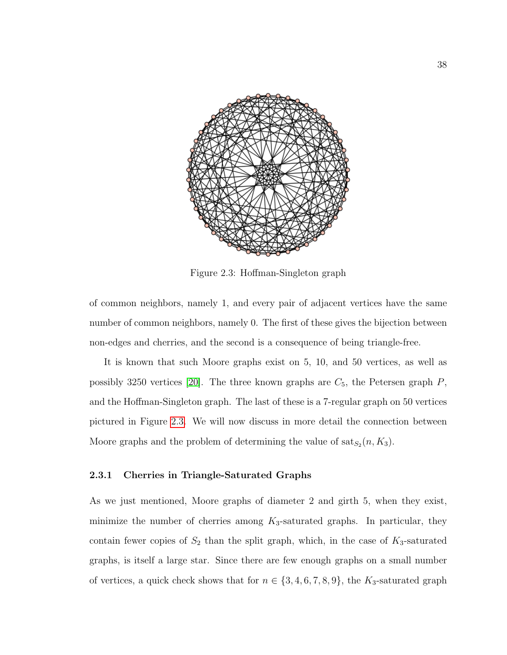<span id="page-46-0"></span>

Figure 2.3: Hoffman-Singleton graph

of common neighbors, namely 1, and every pair of adjacent vertices have the same number of common neighbors, namely 0. The first of these gives the bijection between non-edges and cherries, and the second is a consequence of being triangle-free.

It is known that such Moore graphs exist on 5, 10, and 50 vertices, as well as possibly 3250 vertices [\[20\]](#page-118-1). The three known graphs are  $C_5$ , the Petersen graph  $P$ , and the Hoffman-Singleton graph. The last of these is a 7-regular graph on 50 vertices pictured in Figure [2.3.](#page-46-0) We will now discuss in more detail the connection between Moore graphs and the problem of determining the value of  $\text{sat}_{S_2}(n, K_3)$ .

#### 2.3.1 Cherries in Triangle-Saturated Graphs

As we just mentioned, Moore graphs of diameter 2 and girth 5, when they exist, minimize the number of cherries among  $K_3$ -saturated graphs. In particular, they contain fewer copies of  $S_2$  than the split graph, which, in the case of  $K_3$ -saturated graphs, is itself a large star. Since there are few enough graphs on a small number of vertices, a quick check shows that for  $n \in \{3, 4, 6, 7, 8, 9\}$ , the  $K_3$ -saturated graph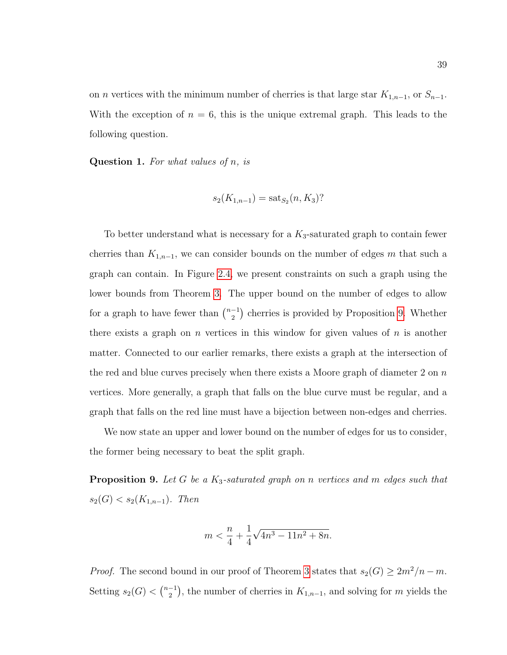on *n* vertices with the minimum number of cherries is that large star  $K_{1,n-1}$ , or  $S_{n-1}$ . With the exception of  $n = 6$ , this is the unique extremal graph. This leads to the following question.

**Question 1.** For what values of  $n$ , is

$$
s_2(K_{1,n-1}) = \text{sat}_{S_2}(n, K_3)?
$$

To better understand what is necessary for a  $K_3$ -saturated graph to contain fewer cherries than  $K_{1,n-1}$ , we can consider bounds on the number of edges m that such a graph can contain. In Figure [2.4,](#page-48-0) we present constraints on such a graph using the lower bounds from Theorem [3.](#page-13-0) The upper bound on the number of edges to allow for a graph to have fewer than  $\binom{n-1}{2}$  $\binom{-1}{2}$  cherries is provided by Proposition [9.](#page-47-0) Whether there exists a graph on n vertices in this window for given values of n is another matter. Connected to our earlier remarks, there exists a graph at the intersection of the red and blue curves precisely when there exists a Moore graph of diameter 2 on  $n$ vertices. More generally, a graph that falls on the blue curve must be regular, and a graph that falls on the red line must have a bijection between non-edges and cherries.

We now state an upper and lower bound on the number of edges for us to consider, the former being necessary to beat the split graph.

<span id="page-47-0"></span>**Proposition 9.** Let G be a  $K_3$ -saturated graph on n vertices and m edges such that  $s_2(G) < s_2(K_{1,n-1})$ . Then

$$
m<\frac{n}{4}+\frac{1}{4}\sqrt{4n^3-11n^2+8n}.
$$

*Proof.* The second bound in our proof of Theorem [3](#page-13-0) states that  $s_2(G) \geq 2m^2/n - m$ . Setting  $s_2(G) < \binom{n-1}{2}$  $\binom{-1}{2}$ , the number of cherries in  $K_{1,n-1}$ , and solving for m yields the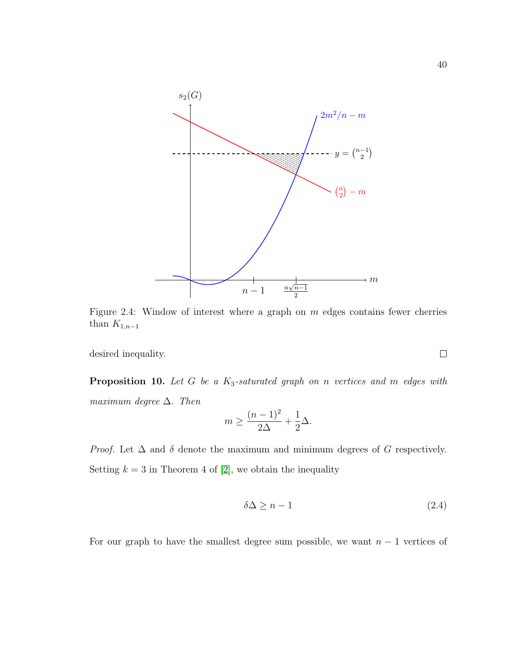<span id="page-48-0"></span>

Figure 2.4: Window of interest where a graph on  $m$  edges contains fewer cherries than  $K_{1,n-1}$ 

desired inequality.

<span id="page-48-2"></span>**Proposition 10.** Let G be a  $K_3$ -saturated graph on n vertices and m edges with maximum degree  $\Delta$ . Then

$$
m \ge \frac{(n-1)^2}{2\Delta} + \frac{1}{2}\Delta.
$$

*Proof.* Let  $\Delta$  and  $\delta$  denote the maximum and minimum degrees of G respectively. Setting  $k = 3$  in Theorem 4 of [\[2\]](#page-116-1), we obtain the inequality

<span id="page-48-1"></span>
$$
\delta \Delta \ge n - 1 \tag{2.4}
$$

For our graph to have the smallest degree sum possible, we want  $n-1$  vertices of

 $\Box$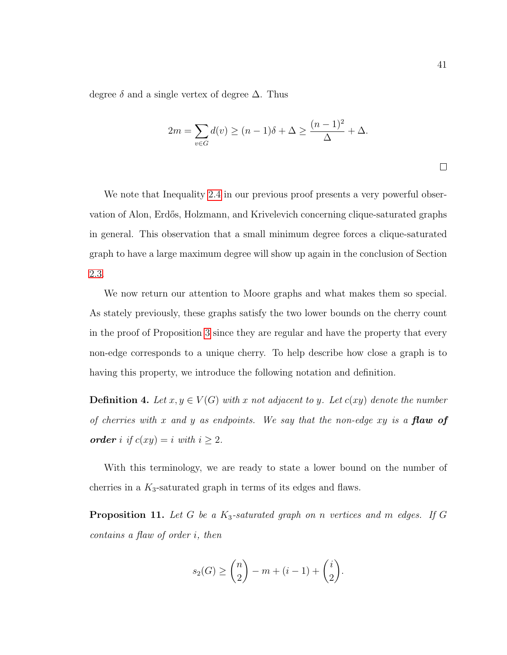degree  $\delta$  and a single vertex of degree  $\Delta$ . Thus

$$
2m = \sum_{v \in G} d(v) \ge (n-1)\delta + \Delta \ge \frac{(n-1)^2}{\Delta} + \Delta.
$$

We note that Inequality [2.4](#page-48-1) in our previous proof presents a very powerful observation of Alon, Erdős, Holzmann, and Krivelevich concerning clique-saturated graphs in general. This observation that a small minimum degree forces a clique-saturated graph to have a large maximum degree will show up again in the conclusion of Section [2.3.](#page-42-0)

We now return our attention to Moore graphs and what makes them so special. As stately previously, these graphs satisfy the two lower bounds on the cherry count in the proof of Proposition [3](#page-13-0) since they are regular and have the property that every non-edge corresponds to a unique cherry. To help describe how close a graph is to having this property, we introduce the following notation and definition.

**Definition 4.** Let  $x, y \in V(G)$  with x not adjacent to y. Let  $c(xy)$  denote the number of cherries with x and y as endpoints. We say that the non-edge xy is a **flaw of order** i if  $c(xy) = i$  with  $i \geq 2$ .

With this terminology, we are ready to state a lower bound on the number of cherries in a  $K_3$ -saturated graph in terms of its edges and flaws.

**Proposition 11.** Let G be a  $K_3$ -saturated graph on n vertices and m edges. If G contains a flaw of order i, then

$$
s_2(G) \geq {n \choose 2} - m + (i - 1) + {i \choose 2}.
$$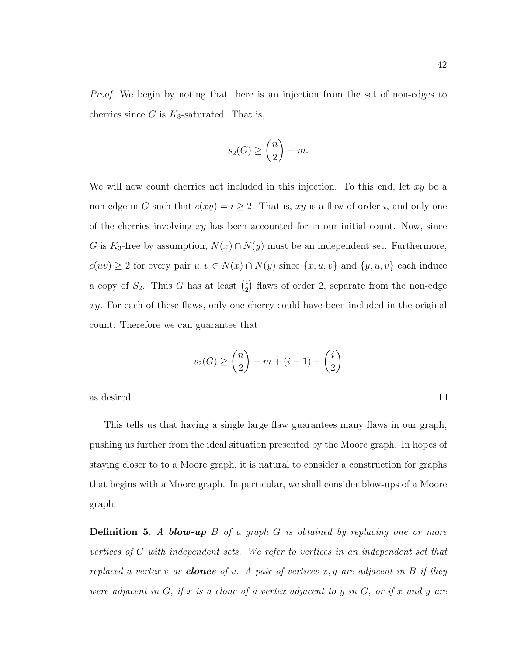*Proof.* We begin by noting that there is an injection from the set of non-edges to cherries since G is  $K_3$ -saturated. That is,

$$
s_2(G) \ge \binom{n}{2} - m.
$$

We will now count cherries not included in this injection. To this end, let  $xy$  be a non-edge in G such that  $c(xy) = i \geq 2$ . That is, xy is a flaw of order i, and only one of the cherries involving  $xy$  has been accounted for in our initial count. Now, since G is  $K_3$ -free by assumption,  $N(x) \cap N(y)$  must be an independent set. Furthermore,  $c(uv) \geq 2$  for every pair  $u, v \in N(x) \cap N(y)$  since  $\{x, u, v\}$  and  $\{y, u, v\}$  each induce a copy of  $S_2$ . Thus G has at least  $\binom{i}{2}$  $i<sub>2</sub>$ ) flaws of order 2, separate from the non-edge  $xy$ . For each of these flaws, only one cherry could have been included in the original count. Therefore we can guarantee that

$$
s_2(G) \ge \binom{n}{2} - m + (i - 1) + \binom{i}{2}
$$

as desired.

This tells us that having a single large flaw guarantees many flaws in our graph, pushing us further from the ideal situation presented by the Moore graph. In hopes of staying closer to to a Moore graph, it is natural to consider a construction for graphs that begins with a Moore graph. In particular, we shall consider blow-ups of a Moore graph.

**Definition 5.** A **blow-up**  $B$  of a graph  $G$  is obtained by replacing one or more vertices of G with independent sets. We refer to vertices in an independent set that replaced a vertex v as **clones** of v. A pair of vertices  $x, y$  are adjacent in B if they were adjacent in  $G$ , if x is a clone of a vertex adjacent to y in  $G$ , or if x and y are

 $\Box$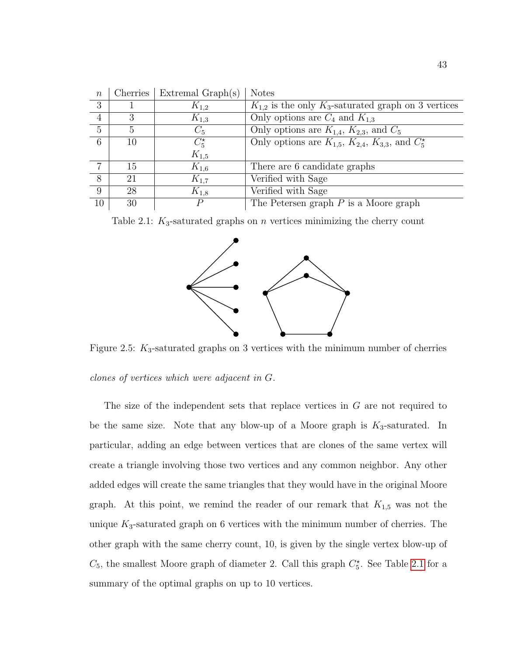<span id="page-51-0"></span>

| $\, n$         | Cherries | Extremal Graph(s) | <b>Notes</b>                                                     |
|----------------|----------|-------------------|------------------------------------------------------------------|
| 3              |          | $K_{1,2}$         | $K_{1,2}$ is the only $K_3$ -saturated graph on 3 vertices       |
| $\overline{4}$ | З        | $K_{1,3}$         | Only options are $C_4$ and $K_{1,3}$                             |
| $\overline{5}$ | 5        | $C_5$             | Only options are $K_{1,4}$ , $K_{2,3}$ , and $C_5$               |
| 6              | 10       | $C_5^{\star}$     | Only options are $K_{1,5}$ , $K_{2,4}$ , $K_{3,3}$ , and $C_5^*$ |
|                |          | $K_{1,5}$         |                                                                  |
| $\overline{7}$ | 15       | $K_{1,6}$         | There are 6 candidate graphs                                     |
| 8              | 21       | $K_{1,7}$         | Verified with Sage                                               |
| 9              | 28       | $K_{1,8}$         | Verified with Sage                                               |
| 10             | 30       | $\,P$             | The Petersen graph $P$ is a Moore graph                          |

 $n \mid$  Cherries | Extremal Graph(s) | Notes

Table 2.1:  $K_3$ -saturated graphs on n vertices minimizing the cherry count



Figure 2.5:  $K_3$ -saturated graphs on 3 vertices with the minimum number of cherries

clones of vertices which were adjacent in G.

The size of the independent sets that replace vertices in G are not required to be the same size. Note that any blow-up of a Moore graph is  $K_3$ -saturated. In particular, adding an edge between vertices that are clones of the same vertex will create a triangle involving those two vertices and any common neighbor. Any other added edges will create the same triangles that they would have in the original Moore graph. At this point, we remind the reader of our remark that  $K_{1,5}$  was not the unique  $K_3$ -saturated graph on 6 vertices with the minimum number of cherries. The other graph with the same cherry count, 10, is given by the single vertex blow-up of  $C_5$ , the smallest Moore graph of diameter 2. Call this graph  $C_5^{\star}$ . See Table [2.1](#page-51-0) for a summary of the optimal graphs on up to 10 vertices.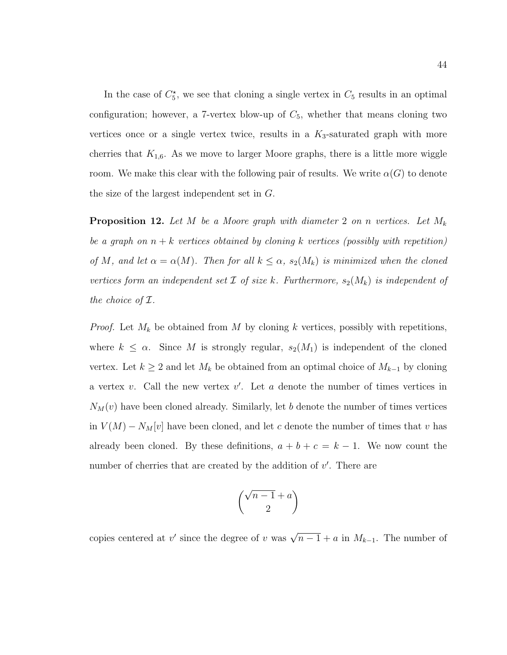In the case of  $C_5^*$ , we see that cloning a single vertex in  $C_5$  results in an optimal configuration; however, a 7-vertex blow-up of  $C_5$ , whether that means cloning two vertices once or a single vertex twice, results in a  $K_3$ -saturated graph with more cherries that  $K_{1,6}$ . As we move to larger Moore graphs, there is a little more wiggle room. We make this clear with the following pair of results. We write  $\alpha(G)$  to denote the size of the largest independent set in G.

**Proposition 12.** Let M be a Moore graph with diameter 2 on n vertices. Let  $M_k$ be a graph on  $n + k$  vertices obtained by cloning k vertices (possibly with repetition) of M, and let  $\alpha = \alpha(M)$ . Then for all  $k \leq \alpha$ ,  $s_2(M_k)$  is minimized when the cloned vertices form an independent set  $\mathcal I$  of size k. Furthermore,  $s_2(M_k)$  is independent of the choice of  $\mathcal I$ .

*Proof.* Let  $M_k$  be obtained from M by cloning k vertices, possibly with repetitions, where  $k \leq \alpha$ . Since M is strongly regular,  $s_2(M_1)$  is independent of the cloned vertex. Let  $k \geq 2$  and let  $M_k$  be obtained from an optimal choice of  $M_{k-1}$  by cloning a vertex  $v$ . Call the new vertex  $v'$ . Let  $a$  denote the number of times vertices in  $N_M(v)$  have been cloned already. Similarly, let b denote the number of times vertices in  $V(M) - N_M[v]$  have been cloned, and let c denote the number of times that v has already been cloned. By these definitions,  $a + b + c = k - 1$ . We now count the number of cherries that are created by the addition of  $v'$ . There are

$$
\binom{\sqrt{n-1}+a}{2}
$$

copies centered at v' since the degree of v was  $\sqrt{n-1} + a$  in  $M_{k-1}$ . The number of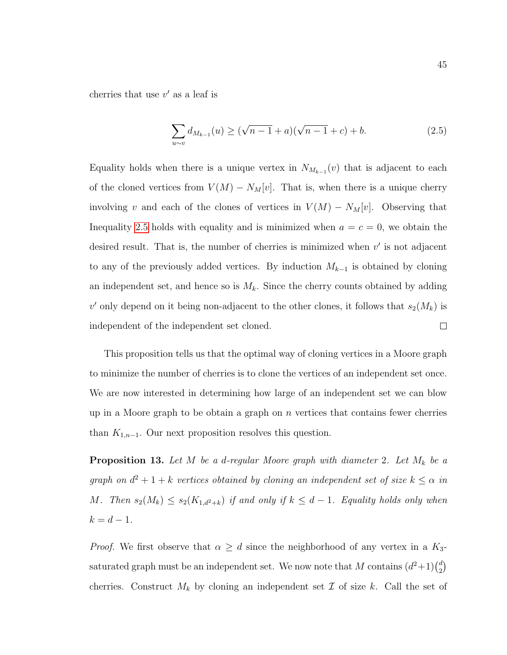cherries that use  $v'$  as a leaf is

<span id="page-53-0"></span>
$$
\sum_{u \sim v} d_{M_{k-1}}(u) \ge (\sqrt{n-1} + a)(\sqrt{n-1} + c) + b.
$$
 (2.5)

Equality holds when there is a unique vertex in  $N_{M_{k-1}}(v)$  that is adjacent to each of the cloned vertices from  $V(M) - N_M[v]$ . That is, when there is a unique cherry involving v and each of the clones of vertices in  $V(M) - N_M[v]$ . Observing that Inequality [2.5](#page-53-0) holds with equality and is minimized when  $a = c = 0$ , we obtain the desired result. That is, the number of cherries is minimized when  $v'$  is not adjacent to any of the previously added vertices. By induction  $M_{k-1}$  is obtained by cloning an independent set, and hence so is  $M_k$ . Since the cherry counts obtained by adding v' only depend on it being non-adjacent to the other clones, it follows that  $s_2(M_k)$  is independent of the independent set cloned.  $\Box$ 

This proposition tells us that the optimal way of cloning vertices in a Moore graph to minimize the number of cherries is to clone the vertices of an independent set once. We are now interested in determining how large of an independent set we can blow up in a Moore graph to be obtain a graph on  $n$  vertices that contains fewer cherries than  $K_{1,n-1}$ . Our next proposition resolves this question.

**Proposition 13.** Let M be a d-regular Moore graph with diameter 2. Let  $M_k$  be a graph on  $d^2 + 1 + k$  vertices obtained by cloning an independent set of size  $k \leq \alpha$  in M. Then  $s_2(M_k) \leq s_2(K_{1,d^2+k})$  if and only if  $k \leq d-1$ . Equality holds only when  $k = d - 1.$ 

*Proof.* We first observe that  $\alpha \geq d$  since the neighborhood of any vertex in a  $K_3$ saturated graph must be an independent set. We now note that M contains  $(d^2+1)\binom{d}{2}$  $\binom{d}{2}$ cherries. Construct  $M_k$  by cloning an independent set  $\mathcal I$  of size k. Call the set of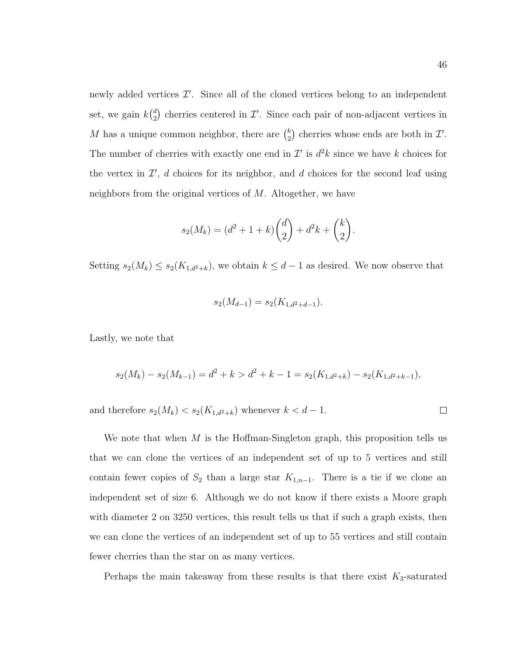newly added vertices  $\mathcal{I}'$ . Since all of the cloned vertices belong to an independent set, we gain  $k\binom{d}{2}$  $\binom{d}{2}$  cherries centered in  $\mathcal{I}'$ . Since each pair of non-adjacent vertices in M has a unique common neighbor, there are  $\binom{k}{2}$  $\binom{k}{2}$  cherries whose ends are both in  $\mathcal{I}'$ . The number of cherries with exactly one end in  $\mathcal{I}'$  is  $d^2k$  since we have k choices for the vertex in  $\mathcal{I}'$ , d choices for its neighbor, and d choices for the second leaf using neighbors from the original vertices of M. Altogether, we have

$$
s_2(M_k) = (d^2 + 1 + k) \binom{d}{2} + d^2k + \binom{k}{2}.
$$

Setting  $s_2(M_k) \leq s_2(K_{1,d^2+k})$ , we obtain  $k \leq d-1$  as desired. We now observe that

$$
s_2(M_{d-1}) = s_2(K_{1,d^2+d-1}).
$$

Lastly, we note that

$$
s_2(M_k) - s_2(M_{k-1}) = d^2 + k > d^2 + k - 1 = s_2(K_{1,d^2+k}) - s_2(K_{1,d^2+k-1}),
$$

and therefore  $s_2(M_k) < s_2(K_{1,d^2+k})$  whenever  $k < d-1$ .

We note that when  $M$  is the Hoffman-Singleton graph, this proposition tells us that we can clone the vertices of an independent set of up to 5 vertices and still contain fewer copies of  $S_2$  than a large star  $K_{1,n-1}$ . There is a tie if we clone an independent set of size 6. Although we do not know if there exists a Moore graph with diameter 2 on 3250 vertices, this result tells us that if such a graph exists, then we can clone the vertices of an independent set of up to 55 vertices and still contain fewer cherries than the star on as many vertices.

Perhaps the main takeaway from these results is that there exist  $K_3$ -saturated

 $\Box$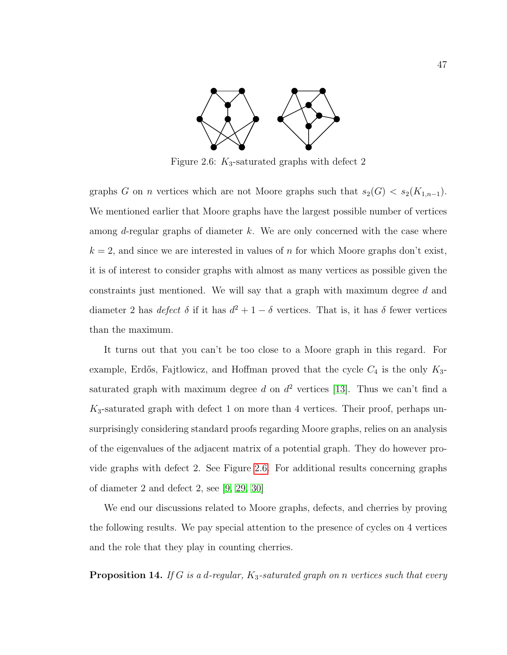<span id="page-55-0"></span>

Figure 2.6:  $K_3$ -saturated graphs with defect 2

graphs G on n vertices which are not Moore graphs such that  $s_2(G) < s_2(K_{1,n-1})$ . We mentioned earlier that Moore graphs have the largest possible number of vertices among  $d$ -regular graphs of diameter  $k$ . We are only concerned with the case where  $k = 2$ , and since we are interested in values of n for which Moore graphs don't exist, it is of interest to consider graphs with almost as many vertices as possible given the constraints just mentioned. We will say that a graph with maximum degree d and diameter 2 has *defect*  $\delta$  if it has  $d^2 + 1 - \delta$  vertices. That is, it has  $\delta$  fewer vertices than the maximum.

It turns out that you can't be too close to a Moore graph in this regard. For example, Erdős, Fajtlowicz, and Hoffman proved that the cycle  $C_4$  is the only  $K_3$ saturated graph with maximum degree d on  $d^2$  vertices [\[13\]](#page-117-3). Thus we can't find a  $K_3$ -saturated graph with defect 1 on more than 4 vertices. Their proof, perhaps unsurprisingly considering standard proofs regarding Moore graphs, relies on an analysis of the eigenvalues of the adjacent matrix of a potential graph. They do however provide graphs with defect 2. See Figure [2.6.](#page-55-0) For additional results concerning graphs of diameter 2 and defect 2, see [\[9,](#page-116-2) [29,](#page-118-2) [30\]](#page-119-1)

We end our discussions related to Moore graphs, defects, and cherries by proving the following results. We pay special attention to the presence of cycles on 4 vertices and the role that they play in counting cherries.

**Proposition 14.** If G is a d-regular,  $K_3$ -saturated graph on n vertices such that every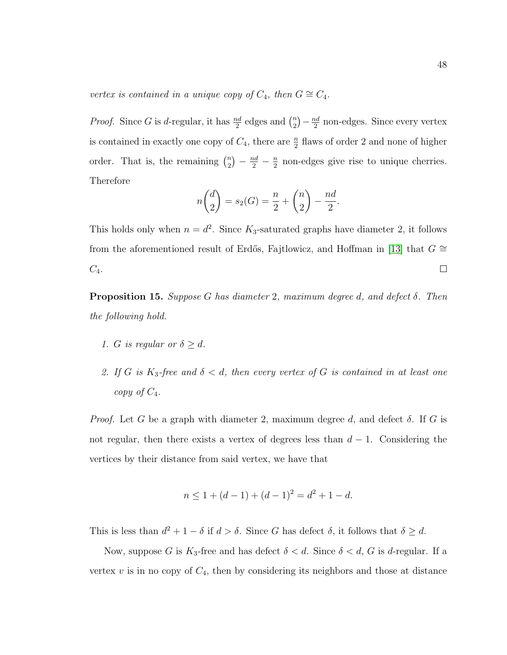vertex is contained in a unique copy of  $C_4$ , then  $G \cong C_4$ .

*Proof.* Since G is d-regular, it has  $\frac{nd}{2}$  edges and  $\binom{n}{2}$  $\binom{n}{2} - \frac{nd}{2}$  $\frac{ad}{2}$  non-edges. Since every vertex is contained in exactly one copy of  $C_4$ , there are  $\frac{n}{2}$  flaws of order 2 and none of higher order. That is, the remaining  $\binom{n}{2}$  $\binom{n}{2} - \frac{nd}{2} - \frac{n}{2}$  $\frac{n}{2}$  non-edges give rise to unique cherries. Therefore

$$
n\binom{d}{2} = s_2(G) = \frac{n}{2} + \binom{n}{2} - \frac{nd}{2}.
$$

This holds only when  $n = d^2$ . Since  $K_3$ -saturated graphs have diameter 2, it follows from the aforementioned result of Erdős, Fajtlowicz, and Hoffman in [\[13\]](#page-117-3) that  $G ≅$  $C_4$ .  $\Box$ 

**Proposition 15.** Suppose G has diameter 2, maximum degree d, and defect  $\delta$ . Then the following hold.

- 1. G is regular or  $\delta \geq d$ .
- 2. If G is K<sub>3</sub>-free and  $\delta < d$ , then every vertex of G is contained in at least one copy of  $C_4$ .

*Proof.* Let G be a graph with diameter 2, maximum degree d, and defect  $\delta$ . If G is not regular, then there exists a vertex of degrees less than  $d-1$ . Considering the vertices by their distance from said vertex, we have that

$$
n \le 1 + (d - 1) + (d - 1)^2 = d^2 + 1 - d.
$$

This is less than  $d^2 + 1 - \delta$  if  $d > \delta$ . Since G has defect  $\delta$ , it follows that  $\delta \geq d$ .

Now, suppose G is  $K_3$ -free and has defect  $\delta < d$ . Since  $\delta < d$ , G is d-regular. If a vertex  $v$  is in no copy of  $C_4$ , then by considering its neighbors and those at distance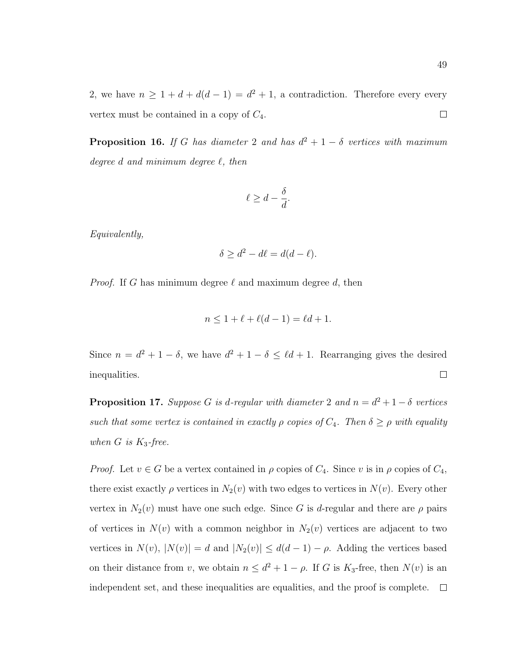2, we have  $n \geq 1 + d + d(d-1) = d^2 + 1$ , a contradiction. Therefore every every vertex must be contained in a copy of  $C_4$ .  $\Box$ 

**Proposition 16.** If G has diameter 2 and has  $d^2 + 1 - \delta$  vertices with maximum degree d and minimum degree  $\ell$ , then

$$
\ell \ge d - \frac{\delta}{d}.
$$

Equivalently,

$$
\delta \ge d^2 - d\ell = d(d - \ell).
$$

*Proof.* If G has minimum degree  $\ell$  and maximum degree d, then

$$
n \le 1 + \ell + \ell(d-1) = \ell d + 1.
$$

Since  $n = d^2 + 1 - \delta$ , we have  $d^2 + 1 - \delta \leq \ell d + 1$ . Rearranging gives the desired inequalities.  $\Box$ 

**Proposition 17.** Suppose G is d-regular with diameter 2 and  $n = d^2 + 1 - \delta$  vertices such that some vertex is contained in exactly  $\rho$  copies of  $C_4$ . Then  $\delta \geq \rho$  with equality when  $G$  is  $K_3$ -free.

*Proof.* Let  $v \in G$  be a vertex contained in  $\rho$  copies of  $C_4$ . Since v is in  $\rho$  copies of  $C_4$ , there exist exactly  $\rho$  vertices in  $N_2(v)$  with two edges to vertices in  $N(v)$ . Every other vertex in  $N_2(v)$  must have one such edge. Since G is d-regular and there are  $\rho$  pairs of vertices in  $N(v)$  with a common neighbor in  $N_2(v)$  vertices are adjacent to two vertices in  $N(v)$ ,  $|N(v)| = d$  and  $|N_2(v)| \leq d(d-1) - \rho$ . Adding the vertices based on their distance from v, we obtain  $n \leq d^2 + 1 - \rho$ . If G is  $K_3$ -free, then  $N(v)$  is an independent set, and these inequalities are equalities, and the proof is complete.  $\Box$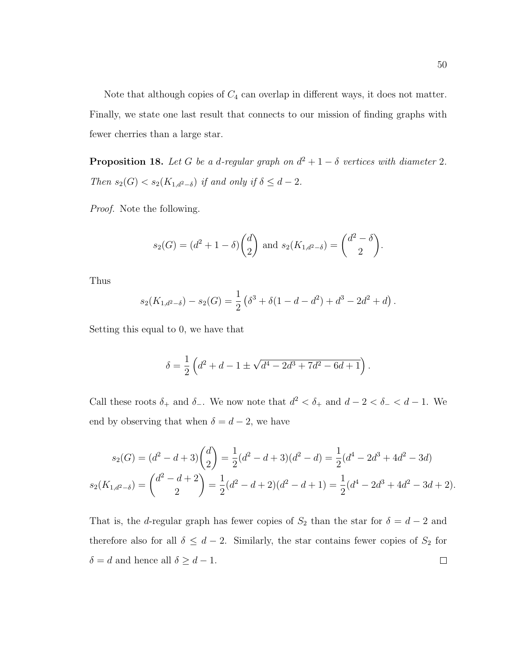Note that although copies of  $C_4$  can overlap in different ways, it does not matter. Finally, we state one last result that connects to our mission of finding graphs with fewer cherries than a large star.

**Proposition 18.** Let G be a d-regular graph on  $d^2 + 1 - \delta$  vertices with diameter 2. Then  $s_2(G) < s_2(K_{1,d^2-\delta})$  if and only if  $\delta \leq d-2$ .

Proof. Note the following.

$$
s_2(G) = (d^2 + 1 - \delta) {d \choose 2}
$$
 and  $s_2(K_{1,d^2-\delta}) = {d^2 - \delta \choose 2}$ .

Thus

$$
s_2(K_{1,d^2-\delta}) - s_2(G) = \frac{1}{2} \left( \delta^3 + \delta(1 - d - d^2) + d^3 - 2d^2 + d \right).
$$

Setting this equal to 0, we have that

$$
\delta = \frac{1}{2} \left( d^2 + d - 1 \pm \sqrt{d^4 - 2d^3 + 7d^2 - 6d + 1} \right).
$$

Call these roots  $\delta_+$  and  $\delta_-$ . We now note that  $d^2 < \delta_+$  and  $d-2 < \delta_- < d-1$ . We end by observing that when  $\delta = d - 2$ , we have

$$
s_2(G) = (d^2 - d + 3) {d \choose 2} = \frac{1}{2}(d^2 - d + 3)(d^2 - d) = \frac{1}{2}(d^4 - 2d^3 + 4d^2 - 3d)
$$
  

$$
s_2(K_{1,d^2-\delta}) = {d^2 - d + 2 \choose 2} = \frac{1}{2}(d^2 - d + 2)(d^2 - d + 1) = \frac{1}{2}(d^4 - 2d^3 + 4d^2 - 3d + 2).
$$

That is, the d-regular graph has fewer copies of  $S_2$  than the star for  $\delta = d - 2$  and therefore also for all  $\delta \leq d-2$ . Similarly, the star contains fewer copies of  $S_2$  for  $\delta = d$  and hence all  $\delta \geq d - 1$ .  $\Box$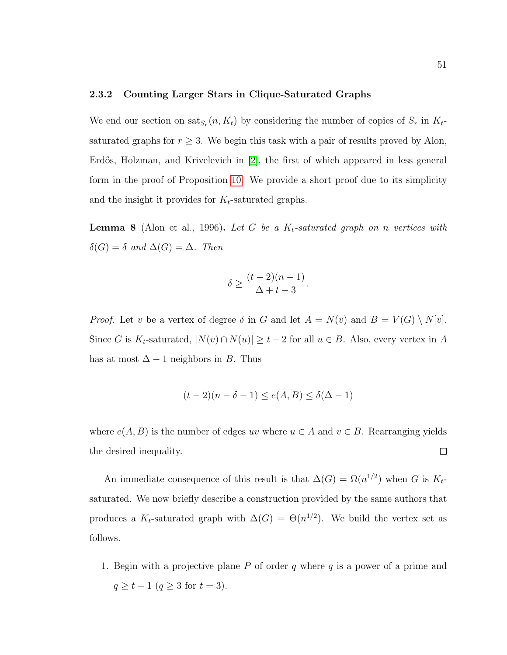#### 2.3.2 Counting Larger Stars in Clique-Saturated Graphs

We end our section on  $\text{sat}_{S_r}(n, K_t)$  by considering the number of copies of  $S_r$  in  $K_t$ saturated graphs for  $r \geq 3$ . We begin this task with a pair of results proved by Alon, Erdős, Holzman, and Krivelevich in [\[2\]](#page-116-1), the first of which appeared in less general form in the proof of Proposition [10.](#page-48-2) We provide a short proof due to its simplicity and the insight it provides for  $K_t$ -saturated graphs.

**Lemma 8** (Alon et al., 1996). Let G be a  $K_t$ -saturated graph on n vertices with  $\delta(G) = \delta$  and  $\Delta(G) = \Delta$ . Then

$$
\delta \ge \frac{(t-2)(n-1)}{\Delta + t - 3}.
$$

*Proof.* Let v be a vertex of degree  $\delta$  in G and let  $A = N(v)$  and  $B = V(G) \setminus N[v]$ . Since G is  $K_t$ -saturated,  $|N(v) \cap N(u)| \ge t-2$  for all  $u \in B$ . Also, every vertex in A has at most  $\Delta - 1$  neighbors in B. Thus

$$
(t-2)(n-\delta-1) \le e(A,B) \le \delta(\Delta - 1)
$$

where  $e(A, B)$  is the number of edges uv where  $u \in A$  and  $v \in B$ . Rearranging yields the desired inequality.  $\Box$ 

An immediate consequence of this result is that  $\Delta(G) = \Omega(n^{1/2})$  when G is  $K_t$ saturated. We now briefly describe a construction provided by the same authors that produces a  $K_t$ -saturated graph with  $\Delta(G) = \Theta(n^{1/2})$ . We build the vertex set as follows.

1. Begin with a projective plane  $P$  of order  $q$  where  $q$  is a power of a prime and  $q \ge t - 1$   $(q \ge 3$  for  $t = 3)$ .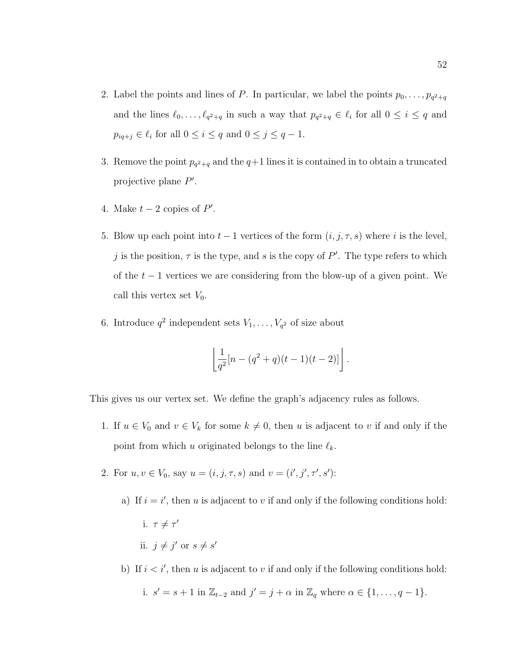- 2. Label the points and lines of P. In particular, we label the points  $p_0, \ldots, p_{q^2+q}$ and the lines  $\ell_0, \ldots, \ell_{q^2+q}$  in such a way that  $p_{q^2+q} \in \ell_i$  for all  $0 \leq i \leq q$  and  $p_{iq+j} \in \ell_i$  for all  $0 \leq i \leq q$  and  $0 \leq j \leq q-1$ .
- 3. Remove the point  $p_{q^2+q}$  and the  $q+1$  lines it is contained in to obtain a truncated projective plane  $P'$ .
- 4. Make  $t 2$  copies of  $P'$ .
- 5. Blow up each point into  $t-1$  vertices of the form  $(i, j, \tau, s)$  where i is the level, j is the position,  $\tau$  is the type, and s is the copy of P'. The type refers to which of the  $t-1$  vertices we are considering from the blow-up of a given point. We call this vertex set  $V_0$ .
- 6. Introduce  $q^2$  independent sets  $V_1, \ldots, V_{q^2}$  of size about

$$
\left\lfloor \frac{1}{q^2} [n - (q^2 + q)(t - 1)(t - 2)] \right\rfloor.
$$

This gives us our vertex set. We define the graph's adjacency rules as follows.

- 1. If  $u \in V_0$  and  $v \in V_k$  for some  $k \neq 0$ , then u is adjacent to v if and only if the point from which u originated belongs to the line  $\ell_k$ .
- 2. For  $u, v \in V_0$ , say  $u = (i, j, \tau, s)$  and  $v = (i', j', \tau', s')$ :
	- a) If  $i = i'$ , then u is adjacent to v if and only if the following conditions hold: i.  $\tau \neq \tau'$ ii.  $j \neq j'$  or  $s \neq s'$
	- b) If  $i < i'$ , then u is adjacent to v if and only if the following conditions hold:

i. 
$$
s' = s + 1
$$
 in  $\mathbb{Z}_{t-2}$  and  $j' = j + \alpha$  in  $\mathbb{Z}_q$  where  $\alpha \in \{1, \ldots, q-1\}$ .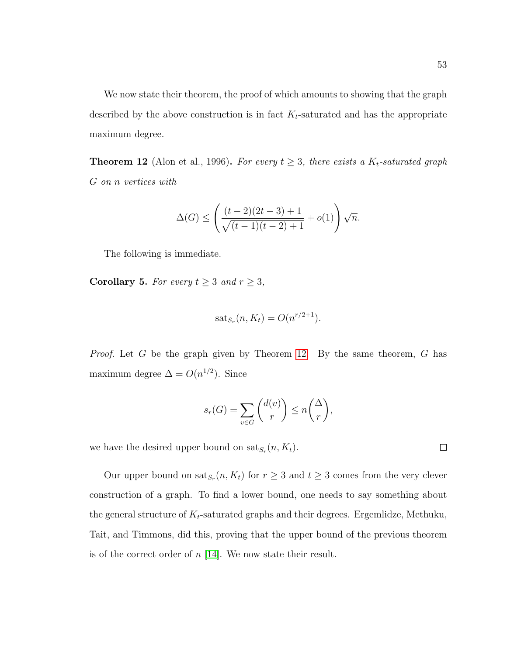We now state their theorem, the proof of which amounts to showing that the graph described by the above construction is in fact  $K_t$ -saturated and has the appropriate maximum degree.

<span id="page-61-0"></span>**Theorem 12** (Alon et al., 1996). For every  $t \geq 3$ , there exists a  $K_t$ -saturated graph G on n vertices with

$$
\Delta(G) \le \left(\frac{(t-2)(2t-3)+1}{\sqrt{(t-1)(t-2)+1}}+o(1)\right)\sqrt{n}.
$$

The following is immediate.

Corollary 5. For every  $t \geq 3$  and  $r \geq 3$ ,

$$
sat_{S_r}(n, K_t) = O(n^{r/2+1}).
$$

*Proof.* Let  $G$  be the graph given by Theorem [12.](#page-61-0) By the same theorem,  $G$  has maximum degree  $\Delta = O(n^{1/2})$ . Since

$$
s_r(G) = \sum_{v \in G} \binom{d(v)}{r} \le n \binom{\Delta}{r},
$$

we have the desired upper bound on  $\text{sat}_{S_r}(n, K_t)$ .

Our upper bound on  $\text{sat}_{S_r}(n, K_t)$  for  $r \geq 3$  and  $t \geq 3$  comes from the very clever construction of a graph. To find a lower bound, one needs to say something about the general structure of  $K_t$ -saturated graphs and their degrees. Ergemlidze, Methuku, Tait, and Timmons, did this, proving that the upper bound of the previous theorem is of the correct order of  $n$  [\[14\]](#page-117-2). We now state their result.

 $\Box$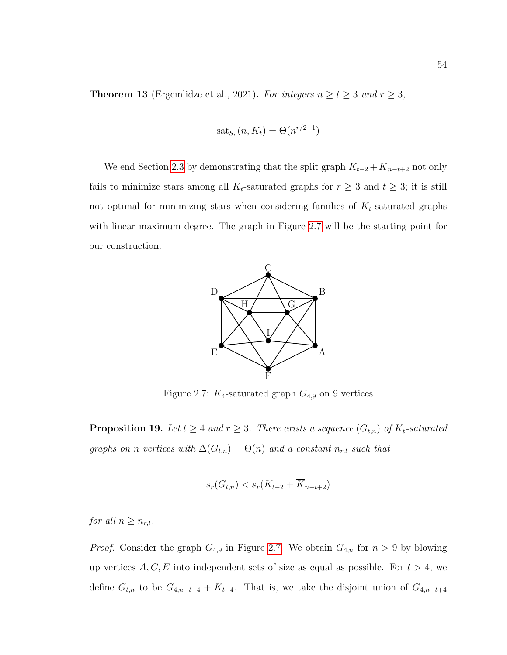**Theorem 13** (Ergemlidze et al., 2021). For integers  $n \ge t \ge 3$  and  $r \ge 3$ ,

$$
sat_{S_r}(n, K_t) = \Theta(n^{r/2+1})
$$

<span id="page-62-0"></span>We end Section [2.3](#page-42-0) by demonstrating that the split graph  $K_{t-2} + \overline{K}_{n-t+2}$  not only fails to minimize stars among all  $K_t$ -saturated graphs for  $r \geq 3$  and  $t \geq 3$ ; it is still not optimal for minimizing stars when considering families of  $K_t$ -saturated graphs with linear maximum degree. The graph in Figure [2.7](#page-62-0) will be the starting point for our construction.



Figure 2.7:  $K_4$ -saturated graph  $G_{4,9}$  on 9 vertices

**Proposition 19.** Let  $t \geq 4$  and  $r \geq 3$ . There exists a sequence  $(G_{t,n})$  of  $K_t$ -saturated graphs on n vertices with  $\Delta(G_{t,n}) = \Theta(n)$  and a constant  $n_{r,t}$  such that

$$
s_r(G_{t,n}) < s_r(K_{t-2} + \overline{K}_{n-t+2})
$$

for all  $n \geq n_{r,t}$ .

*Proof.* Consider the graph  $G_{4,9}$  in Figure [2.7.](#page-62-0) We obtain  $G_{4,n}$  for  $n > 9$  by blowing up vertices  $A, C, E$  into independent sets of size as equal as possible. For  $t > 4$ , we define  $G_{t,n}$  to be  $G_{4,n-t+4} + K_{t-4}$ . That is, we take the disjoint union of  $G_{4,n-t+4}$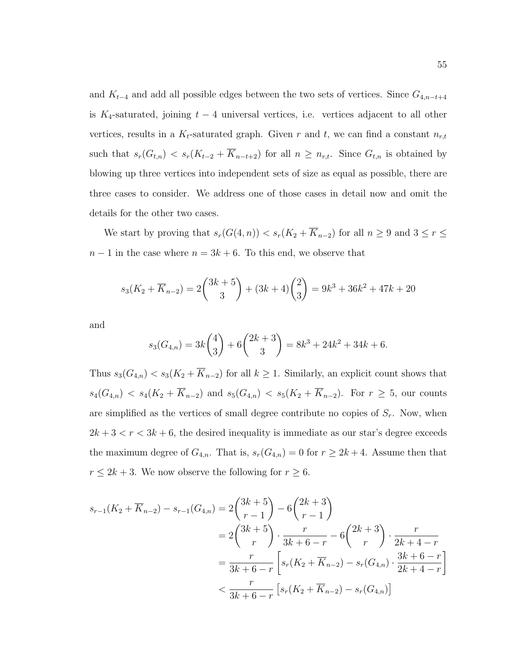and  $K_{t-4}$  and add all possible edges between the two sets of vertices. Since  $G_{4,n-t+4}$ is K<sub>4</sub>-saturated, joining  $t - 4$  universal vertices, i.e. vertices adjacent to all other vertices, results in a  $K_t$ -saturated graph. Given r and t, we can find a constant  $n_{r,t}$ such that  $s_r(G_{t,n}) < s_r(K_{t-2} + \overline{K}_{n-t+2})$  for all  $n \geq n_{r,t}$ . Since  $G_{t,n}$  is obtained by blowing up three vertices into independent sets of size as equal as possible, there are three cases to consider. We address one of those cases in detail now and omit the details for the other two cases.

We start by proving that  $s_r(G(4, n)) < s_r(K_2 + \overline{K}_{n-2})$  for all  $n \ge 9$  and  $3 \le r \le$  $n-1$  in the case where  $n = 3k + 6$ . To this end, we observe that

$$
s_3(K_2 + \overline{K}_{n-2}) = 2\binom{3k+5}{3} + (3k+4)\binom{2}{3} = 9k^3 + 36k^2 + 47k + 20
$$

and

$$
s_3(G_{4,n}) = 3k\binom{4}{3} + 6\binom{2k+3}{3} = 8k^3 + 24k^2 + 34k + 6.
$$

Thus  $s_3(G_{4,n}) < s_3(K_2 + \overline{K}_{n-2})$  for all  $k \ge 1$ . Similarly, an explicit count shows that  $s_4(G_{4,n}) < s_4(K_2 + \overline{K}_{n-2})$  and  $s_5(G_{4,n}) < s_5(K_2 + \overline{K}_{n-2})$ . For  $r \ge 5$ , our counts are simplified as the vertices of small degree contribute no copies of  $S_r$ . Now, when  $2k + 3 < r < 3k + 6$ , the desired inequality is immediate as our star's degree exceeds the maximum degree of  $G_{4,n}$ . That is,  $s_r(G_{4,n}) = 0$  for  $r \ge 2k+4$ . Assume then that  $r \leq 2k + 3$ . We now observe the following for  $r \geq 6$ .

$$
s_{r-1}(K_2 + \overline{K}_{n-2}) - s_{r-1}(G_{4,n}) = 2\binom{3k+5}{r-1} - 6\binom{2k+3}{r-1}
$$
  
=  $2\binom{3k+5}{r} \cdot \frac{r}{3k+6-r} - 6\binom{2k+3}{r} \cdot \frac{r}{2k+4-r}$   
=  $\frac{r}{3k+6-r} \left[ s_r(K_2 + \overline{K}_{n-2}) - s_r(G_{4,n}) \cdot \frac{3k+6-r}{2k+4-r} \right]$   
<  $\frac{r}{3k+6-r} \left[ s_r(K_2 + \overline{K}_{n-2}) - s_r(G_{4,n}) \right]$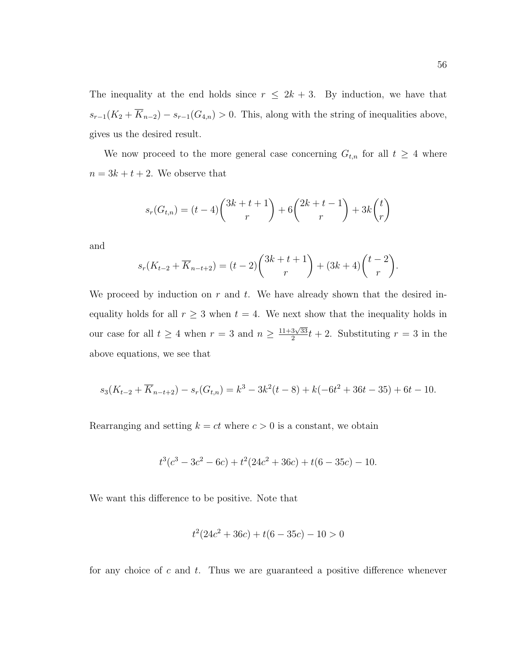The inequality at the end holds since  $r \leq 2k + 3$ . By induction, we have that  $s_{r-1}(K_2 + \overline{K}_{n-2}) - s_{r-1}(G_{4,n}) > 0$ . This, along with the string of inequalities above, gives us the desired result.

We now proceed to the more general case concerning  $G_{t,n}$  for all  $t \geq 4$  where  $n = 3k + t + 2$ . We observe that

$$
s_r(G_{t,n}) = (t-4)\binom{3k+t+1}{r} + 6\binom{2k+t-1}{r} + 3k\binom{t}{r}
$$

and

$$
s_r(K_{t-2} + \overline{K}_{n-t+2}) = (t-2)\binom{3k+t+1}{r} + (3k+4)\binom{t-2}{r}.
$$

We proceed by induction on  $r$  and  $t$ . We have already shown that the desired inequality holds for all  $r \geq 3$  when  $t = 4$ . We next show that the inequality holds in our case for all  $t \geq 4$  when  $r = 3$  and  $n \geq \frac{11+3\sqrt{33}}{2}$  $\frac{3\sqrt{33}}{2}t+2$ . Substituting  $r=3$  in the above equations, we see that

$$
s_3(K_{t-2} + \overline{K}_{n-t+2}) - s_r(G_{t,n}) = k^3 - 3k^2(t-8) + k(-6t^2 + 36t - 35) + 6t - 10.
$$

Rearranging and setting  $k = ct$  where  $c > 0$  is a constant, we obtain

$$
t^3(c^3 - 3c^2 - 6c) + t^2(24c^2 + 36c) + t(6 - 35c) - 10.
$$

We want this difference to be positive. Note that

$$
t^2(24c^2 + 36c) + t(6 - 35c) - 10 > 0
$$

for any choice of  $c$  and  $t$ . Thus we are guaranteed a positive difference whenever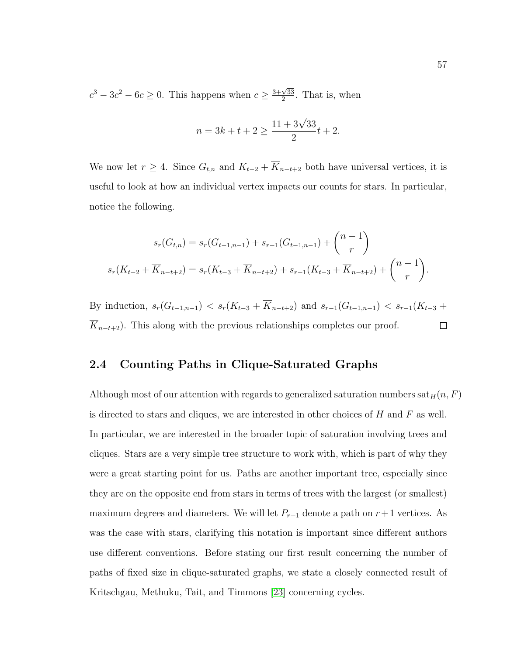$c^3 - 3c^2 - 6c \geq 0$ . This happens when  $c \geq \frac{3+\sqrt{33}}{2}$  $\frac{\sqrt{33}}{2}$ . That is, when

$$
n = 3k + t + 2 \ge \frac{11 + 3\sqrt{33}}{2}t + 2.
$$

We now let  $r \geq 4$ . Since  $G_{t,n}$  and  $K_{t-2} + \overline{K}_{n-t+2}$  both have universal vertices, it is useful to look at how an individual vertex impacts our counts for stars. In particular, notice the following.

$$
s_r(G_{t,n}) = s_r(G_{t-1,n-1}) + s_{r-1}(G_{t-1,n-1}) + {n-1 \choose r}
$$
  

$$
s_r(K_{t-2} + \overline{K}_{n-t+2}) = s_r(K_{t-3} + \overline{K}_{n-t+2}) + s_{r-1}(K_{t-3} + \overline{K}_{n-t+2}) + {n-1 \choose r}.
$$

By induction,  $s_r(G_{t-1,n-1}) < s_r(K_{t-3} + \overline{K}_{n-t+2})$  and  $s_{r-1}(G_{t-1,n-1}) < s_{r-1}(K_{t-3} +$  $\overline{K}_{n-t+2}$ ). This along with the previous relationships completes our proof.  $\Box$ 

### 2.4 Counting Paths in Clique-Saturated Graphs

Although most of our attention with regards to generalized saturation numbers  $\text{sat}_H(n, F)$ is directed to stars and cliques, we are interested in other choices of  $H$  and  $F$  as well. In particular, we are interested in the broader topic of saturation involving trees and cliques. Stars are a very simple tree structure to work with, which is part of why they were a great starting point for us. Paths are another important tree, especially since they are on the opposite end from stars in terms of trees with the largest (or smallest) maximum degrees and diameters. We will let  $P_{r+1}$  denote a path on  $r+1$  vertices. As was the case with stars, clarifying this notation is important since different authors use different conventions. Before stating our first result concerning the number of paths of fixed size in clique-saturated graphs, we state a closely connected result of Kritschgau, Methuku, Tait, and Timmons [\[23\]](#page-118-3) concerning cycles.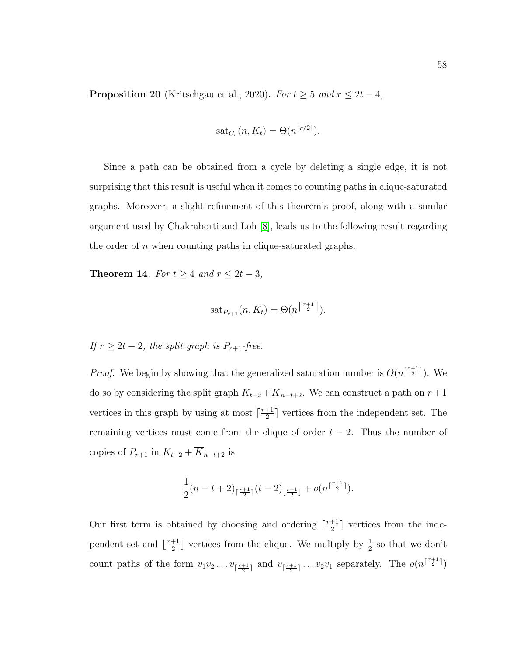**Proposition 20** (Kritschgau et al., 2020). For  $t \geq 5$  and  $r \leq 2t - 4$ ,

$$
sat_{C_r}(n, K_t) = \Theta(n^{\lfloor r/2 \rfloor}).
$$

Since a path can be obtained from a cycle by deleting a single edge, it is not surprising that this result is useful when it comes to counting paths in clique-saturated graphs. Moreover, a slight refinement of this theorem's proof, along with a similar argument used by Chakraborti and Loh [\[8\]](#page-116-0), leads us to the following result regarding the order of  $n$  when counting paths in clique-saturated graphs.

Theorem 14. For  $t \geq 4$  and  $r \leq 2t - 3$ ,

$$
\mathrm{sat}_{P_{r+1}}(n, K_t) = \Theta(n^{\left\lceil \frac{r+1}{2} \right\rceil}).
$$

If  $r \geq 2t - 2$ , the split graph is  $P_{r+1}$ -free.

*Proof.* We begin by showing that the generalized saturation number is  $O(n^{\lceil \frac{r+1}{2} \rceil})$ . We do so by considering the split graph  $K_{t-2} + \overline{K}_{n-t+2}$ . We can construct a path on  $r + 1$ vertices in this graph by using at most  $\lceil \frac{r+1}{2} \rceil$  $\frac{+1}{2}$  vertices from the independent set. The remaining vertices must come from the clique of order  $t - 2$ . Thus the number of copies of  $P_{r+1}$  in  $K_{t-2} + \overline{K}_{n-t+2}$  is

$$
\frac{1}{2}(n-t+2)_{\lceil \frac{r+1}{2} \rceil}(t-2)_{\lfloor \frac{r+1}{2} \rfloor}+o(n^{\lceil \frac{r+1}{2} \rceil}).
$$

Our first term is obtained by choosing and ordering  $\lceil \frac{r+1}{2} \rceil$  $\frac{+1}{2}$  vertices from the independent set and  $\frac{r+1}{2}$  $\frac{+1}{2}$  vertices from the clique. We multiply by  $\frac{1}{2}$  so that we don't count paths of the form  $v_1v_2 \ldots v_{\lceil \frac{r+1}{2} \rceil}$  and  $v_{\lceil \frac{r+1}{2} \rceil} \ldots v_2v_1$  separately. The  $o(n^{\lceil \frac{r+1}{2} \rceil})$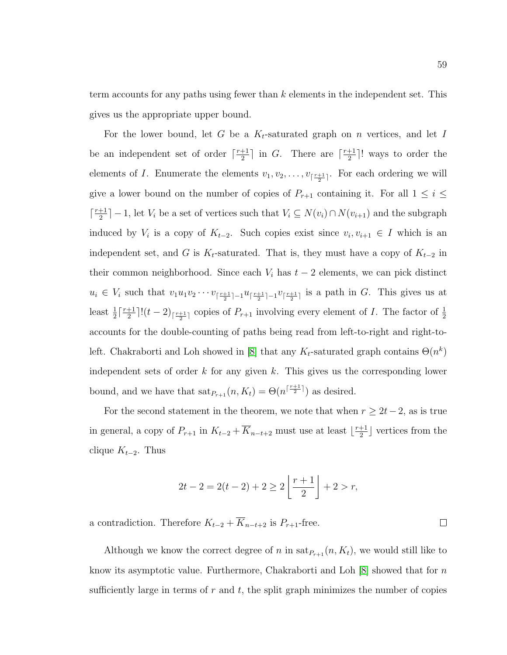term accounts for any paths using fewer than k elements in the independent set. This gives us the appropriate upper bound.

For the lower bound, let G be a  $K_t$ -saturated graph on n vertices, and let I be an independent set of order  $\lceil \frac{r+1}{2} \rceil$  $\frac{+1}{2}$  in *G*. There are  $\lceil \frac{r+1}{2} \rceil$  $\frac{+1}{2}$ ! ways to order the elements of *I*. Enumerate the elements  $v_1, v_2, \ldots, v_{\lceil \frac{r+1}{2} \rceil}$ . For each ordering we will give a lower bound on the number of copies of  $P_{r+1}$  containing it. For all  $1 \leq i \leq$  $\lceil \frac{r+1}{2} \rceil$  $\frac{+1}{2}$ ] – 1, let  $V_i$  be a set of vertices such that  $V_i \subseteq N(v_i) \cap N(v_{i+1})$  and the subgraph induced by  $V_i$  is a copy of  $K_{t-2}$ . Such copies exist since  $v_i, v_{i+1} \in I$  which is an independent set, and G is  $K_t$ -saturated. That is, they must have a copy of  $K_{t-2}$  in their common neighborhood. Since each  $V_i$  has  $t-2$  elements, we can pick distinct  $u_i \in V_i$  such that  $v_1 u_1 v_2 \cdots v_{\lceil \frac{r+1}{2} \rceil-1} u_{\lceil \frac{r+1}{2} \rceil-1} v_{\lceil \frac{r+1}{2} \rceil}$  is a path in G. This gives us at least  $\frac{1}{2} \lceil \frac{r+1}{2} \rceil$  $\frac{+1}{2}$ ]! $(t-2)$ <sub>[ $\frac{r+1}{2}$ ]</sub> copies of  $P_{r+1}$  involving every element of *I*. The factor of  $\frac{1}{2}$ accounts for the double-counting of paths being read from left-to-right and right-to-left. Chakraborti and Loh showed in [\[8\]](#page-116-0) that any  $K_t$ -saturated graph contains  $\Theta(n^k)$ independent sets of order k for any given k. This gives us the corresponding lower bound, and we have that  $\text{sat}_{P_{r+1}}(n, K_t) = \Theta(n^{\lceil \frac{r+1}{2} \rceil})$  as desired.

For the second statement in the theorem, we note that when  $r \geq 2t - 2$ , as is true in general, a copy of  $P_{r+1}$  in  $K_{t-2} + \overline{K}_{n-t+2}$  must use at least  $\lfloor \frac{r+1}{2} \rfloor$  $\frac{+1}{2}$  vertices from the clique  $K_{t-2}$ . Thus

$$
2t - 2 = 2(t - 2) + 2 \ge 2\left\lfloor \frac{r + 1}{2} \right\rfloor + 2 > r,
$$

a contradiction. Therefore  $K_{t-2} + \overline{K}_{n-t+2}$  is  $P_{r+1}$ -free.

Although we know the correct degree of n in  $\text{sat}_{P_{r+1}}(n, K_t)$ , we would still like to know its asymptotic value. Furthermore, Chakraborti and Loh  $[8]$  showed that for n sufficiently large in terms of  $r$  and  $t$ , the split graph minimizes the number of copies

 $\Box$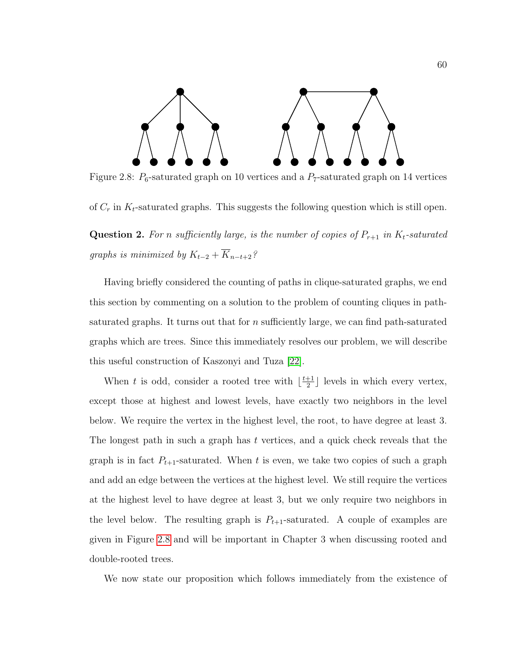<span id="page-68-0"></span>

Figure 2.8:  $P_6$ -saturated graph on 10 vertices and a  $P_7$ -saturated graph on 14 vertices

of  $C_r$  in  $K_t$ -saturated graphs. This suggests the following question which is still open.

**Question 2.** For n sufficiently large, is the number of copies of  $P_{r+1}$  in  $K_t$ -saturated graphs is minimized by  $K_{t-2} + \overline{K}_{n-t+2}$ ?

Having briefly considered the counting of paths in clique-saturated graphs, we end this section by commenting on a solution to the problem of counting cliques in pathsaturated graphs. It turns out that for  $n$  sufficiently large, we can find path-saturated graphs which are trees. Since this immediately resolves our problem, we will describe this useful construction of Kaszonyi and Tuza [\[22\]](#page-118-4).

When t is odd, consider a rooted tree with  $\lfloor \frac{t+1}{2} \rfloor$  $\frac{+1}{2}$  levels in which every vertex, except those at highest and lowest levels, have exactly two neighbors in the level below. We require the vertex in the highest level, the root, to have degree at least 3. The longest path in such a graph has t vertices, and a quick check reveals that the graph is in fact  $P_{t+1}$ -saturated. When t is even, we take two copies of such a graph and add an edge between the vertices at the highest level. We still require the vertices at the highest level to have degree at least 3, but we only require two neighbors in the level below. The resulting graph is  $P_{t+1}$ -saturated. A couple of examples are given in Figure [2.8](#page-68-0) and will be important in Chapter 3 when discussing rooted and double-rooted trees.

We now state our proposition which follows immediately from the existence of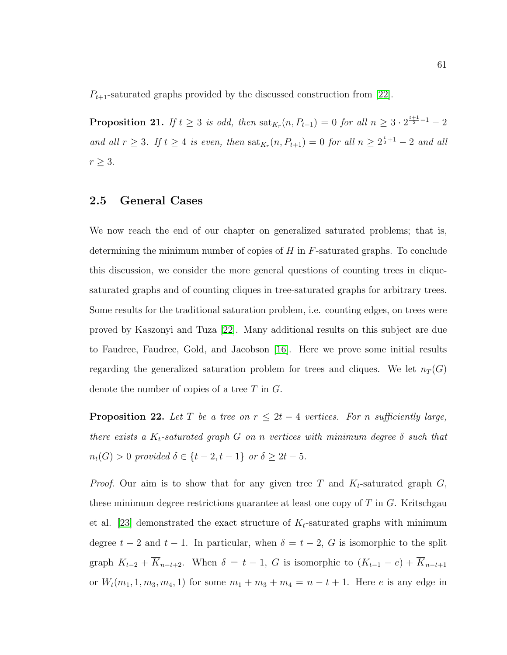$P_{t+1}$ -saturated graphs provided by the discussed construction from [\[22\]](#page-118-4).

**Proposition 21.** If  $t \geq 3$  is odd, then  $\text{sat}_{K_r}(n, P_{t+1}) = 0$  for all  $n \geq 3 \cdot 2^{\frac{t+1}{2}-1} - 2$ and all  $r \geq 3$ . If  $t \geq 4$  is even, then  $\text{sat}_{K_r}(n, P_{t+1}) = 0$  for all  $n \geq 2^{\frac{t}{2}+1} - 2$  and all  $r \geq 3$ .

# 2.5 General Cases

We now reach the end of our chapter on generalized saturated problems; that is, determining the minimum number of copies of  $H$  in  $F$ -saturated graphs. To conclude this discussion, we consider the more general questions of counting trees in cliquesaturated graphs and of counting cliques in tree-saturated graphs for arbitrary trees. Some results for the traditional saturation problem, i.e. counting edges, on trees were proved by Kaszonyi and Tuza [\[22\]](#page-118-4). Many additional results on this subject are due to Faudree, Faudree, Gold, and Jacobson [\[16\]](#page-117-4). Here we prove some initial results regarding the generalized saturation problem for trees and cliques. We let  $n_T(G)$ denote the number of copies of a tree  $T$  in  $G$ .

**Proposition 22.** Let T be a tree on  $r \leq 2t - 4$  vertices. For n sufficiently large, there exists a  $K_t$ -saturated graph G on n vertices with minimum degree  $\delta$  such that  $n_t(G) > 0$  provided  $\delta \in \{t - 2, t - 1\}$  or  $\delta \geq 2t - 5$ .

*Proof.* Our aim is to show that for any given tree T and  $K_t$ -saturated graph G, these minimum degree restrictions guarantee at least one copy of  $T$  in  $G$ . Kritschgau et al. [\[23\]](#page-118-3) demonstrated the exact structure of  $K_t$ -saturated graphs with minimum degree  $t - 2$  and  $t - 1$ . In particular, when  $\delta = t - 2$ , G is isomorphic to the split graph  $K_{t-2} + \overline{K}_{n-t+2}$ . When  $\delta = t - 1$ , G is isomorphic to  $(K_{t-1} - e) + \overline{K}_{n-t+1}$ or  $W_t(m_1, 1, m_3, m_4, 1)$  for some  $m_1 + m_3 + m_4 = n - t + 1$ . Here *e* is any edge in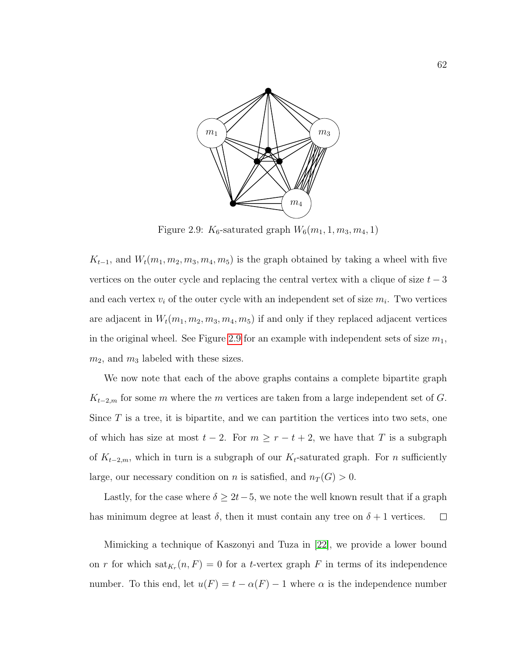<span id="page-70-0"></span>

Figure 2.9:  $K_6$ -saturated graph  $W_6(m_1, 1, m_3, m_4, 1)$ 

 $K_{t-1}$ , and  $W_t(m_1, m_2, m_3, m_4, m_5)$  is the graph obtained by taking a wheel with five vertices on the outer cycle and replacing the central vertex with a clique of size  $t - 3$ and each vertex  $v_i$  of the outer cycle with an independent set of size  $m_i$ . Two vertices are adjacent in  $W_t(m_1, m_2, m_3, m_4, m_5)$  if and only if they replaced adjacent vertices in the original wheel. See Figure [2.9](#page-70-0) for an example with independent sets of size  $m_1$ ,  $m_2$ , and  $m_3$  labeled with these sizes.

We now note that each of the above graphs contains a complete bipartite graph  $K_{t-2,m}$  for some m where the m vertices are taken from a large independent set of G. Since  $T$  is a tree, it is bipartite, and we can partition the vertices into two sets, one of which has size at most  $t - 2$ . For  $m \ge r - t + 2$ , we have that T is a subgraph of  $K_{t-2,m}$ , which in turn is a subgraph of our  $K_t$ -saturated graph. For *n* sufficiently large, our necessary condition on *n* is satisfied, and  $n_T(G) > 0$ .

Lastly, for the case where  $\delta \geq 2t-5$ , we note the well known result that if a graph has minimum degree at least  $\delta$ , then it must contain any tree on  $\delta + 1$  vertices.  $\Box$ 

Mimicking a technique of Kaszonyi and Tuza in [\[22\]](#page-118-4), we provide a lower bound on r for which  $\text{sat}_{K_r}(n, F) = 0$  for a t-vertex graph F in terms of its independence number. To this end, let  $u(F) = t - \alpha(F) - 1$  where  $\alpha$  is the independence number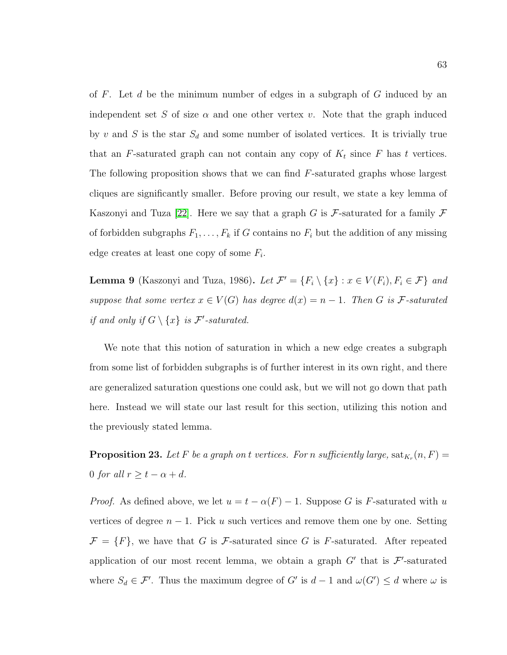of  $F$ . Let  $d$  be the minimum number of edges in a subgraph of  $G$  induced by an independent set S of size  $\alpha$  and one other vertex v. Note that the graph induced by v and S is the star  $S_d$  and some number of isolated vertices. It is trivially true that an F-saturated graph can not contain any copy of  $K_t$  since F has t vertices. The following proposition shows that we can find F-saturated graphs whose largest cliques are significantly smaller. Before proving our result, we state a key lemma of Kaszonyi and Tuza [\[22\]](#page-118-4). Here we say that a graph G is F-saturated for a family  $\mathcal F$ of forbidden subgraphs  $F_1, \ldots, F_k$  if G contains no  $F_i$  but the addition of any missing edge creates at least one copy of some  $F_i$ .

**Lemma 9** (Kaszonyi and Tuza, 1986). Let  $\mathcal{F}' = \{F_i \setminus \{x\} : x \in V(F_i), F_i \in \mathcal{F}\}\$ and suppose that some vertex  $x \in V(G)$  has degree  $d(x) = n - 1$ . Then G is F-saturated if and only if  $G \setminus \{x\}$  is  $\mathcal{F}'$ -saturated.

We note that this notion of saturation in which a new edge creates a subgraph from some list of forbidden subgraphs is of further interest in its own right, and there are generalized saturation questions one could ask, but we will not go down that path here. Instead we will state our last result for this section, utilizing this notion and the previously stated lemma.

**Proposition 23.** Let F be a graph on t vertices. For n sufficiently large,  $\text{sat}_{K_r}(n, F) =$ 0 for all  $r \ge t - \alpha + d$ .

*Proof.* As defined above, we let  $u = t - \alpha(F) - 1$ . Suppose G is F-saturated with u vertices of degree  $n - 1$ . Pick u such vertices and remove them one by one. Setting  $\mathcal{F} = \{F\}$ , we have that G is F-saturated since G is F-saturated. After repeated application of our most recent lemma, we obtain a graph  $G'$  that is  $\mathcal{F}'$ -saturated where  $S_d \in \mathcal{F}'$ . Thus the maximum degree of G' is  $d-1$  and  $\omega(G') \leq d$  where  $\omega$  is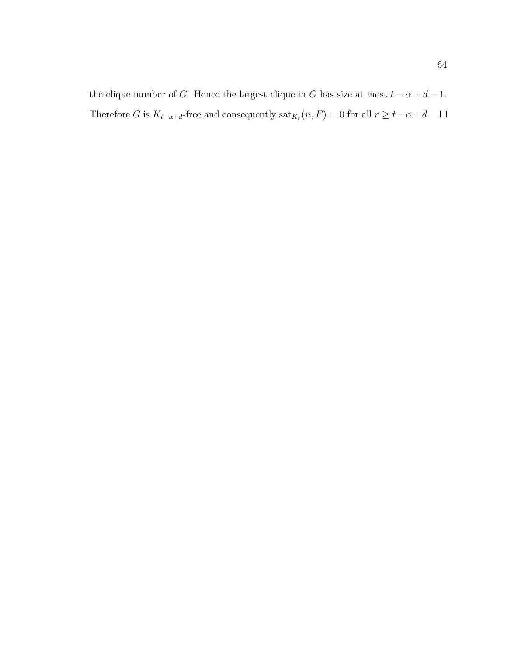the clique number of G. Hence the largest clique in G has size at most  $t - \alpha + d - 1$ . Therefore G is  $K_{t-\alpha+d}$ -free and consequently  $\text{sat}_{K_r}(n, F) = 0$  for all  $r \ge t-\alpha+d$ .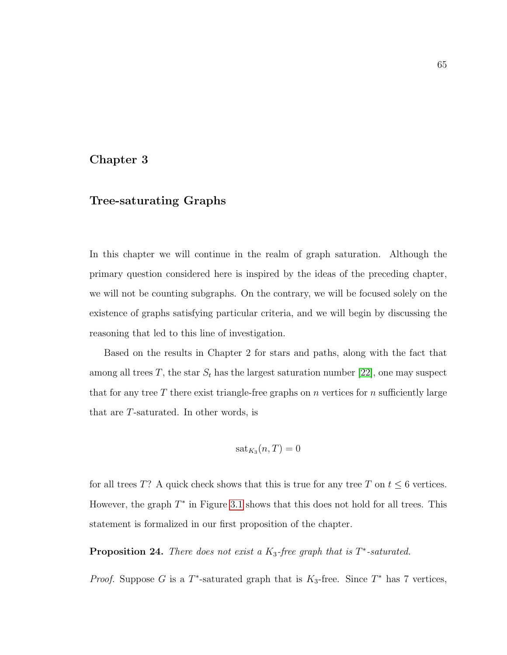### Chapter 3

# Tree-saturating Graphs

In this chapter we will continue in the realm of graph saturation. Although the primary question considered here is inspired by the ideas of the preceding chapter, we will not be counting subgraphs. On the contrary, we will be focused solely on the existence of graphs satisfying particular criteria, and we will begin by discussing the reasoning that led to this line of investigation.

Based on the results in Chapter 2 for stars and paths, along with the fact that among all trees  $T$ , the star  $S_t$  has the largest saturation number [\[22\]](#page-118-0), one may suspect that for any tree T there exist triangle-free graphs on n vertices for n sufficiently large that are T-saturated. In other words, is

$$
\mathrm{sat}_{K_3}(n,T)=0
$$

for all trees T? A quick check shows that this is true for any tree T on  $t \leq 6$  vertices. However, the graph  $T^*$  in Figure [3.1](#page-74-0) shows that this does not hold for all trees. This statement is formalized in our first proposition of the chapter.

**Proposition 24.** There does not exist a  $K_3$ -free graph that is  $T^*$ -saturated.

*Proof.* Suppose G is a  $T^*$ -saturated graph that is  $K_3$ -free. Since  $T^*$  has 7 vertices,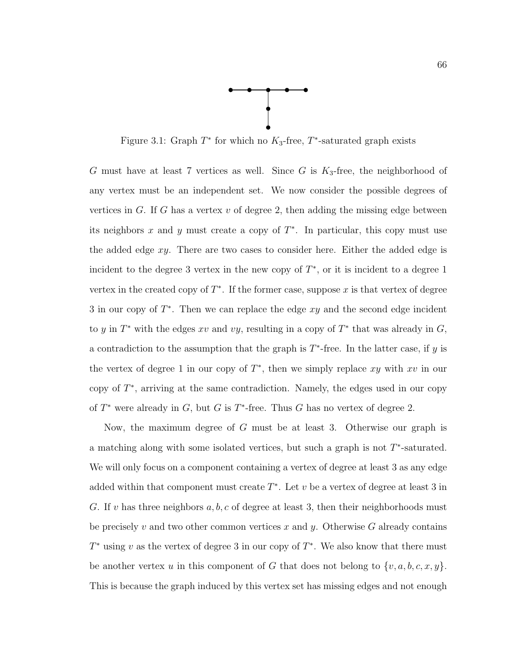

<span id="page-74-0"></span>Figure 3.1: Graph  $T^*$  for which no  $K_3$ -free,  $T^*$ -saturated graph exists

 $G$  must have at least 7 vertices as well. Since  $G$  is  $K_3$ -free, the neighborhood of any vertex must be an independent set. We now consider the possible degrees of vertices in G. If G has a vertex  $v$  of degree 2, then adding the missing edge between its neighbors x and y must create a copy of  $T^*$ . In particular, this copy must use the added edge  $xy$ . There are two cases to consider here. Either the added edge is incident to the degree 3 vertex in the new copy of  $T^*$ , or it is incident to a degree 1 vertex in the created copy of  $T^*$ . If the former case, suppose x is that vertex of degree 3 in our copy of  $T^*$ . Then we can replace the edge  $xy$  and the second edge incident to y in  $T^*$  with the edges xv and vy, resulting in a copy of  $T^*$  that was already in  $G$ , a contradiction to the assumption that the graph is  $T^*$ -free. In the latter case, if y is the vertex of degree 1 in our copy of  $T^*$ , then we simply replace xy with xv in our copy of  $T^*$ , arriving at the same contradiction. Namely, the edges used in our copy of  $T^*$  were already in  $G$ , but  $G$  is  $T^*$ -free. Thus  $G$  has no vertex of degree 2.

Now, the maximum degree of G must be at least 3. Otherwise our graph is a matching along with some isolated vertices, but such a graph is not  $T^*$ -saturated. We will only focus on a component containing a vertex of degree at least 3 as any edge added within that component must create  $T^*$ . Let v be a vertex of degree at least 3 in G. If v has three neighbors  $a, b, c$  of degree at least 3, then their neighborhoods must be precisely v and two other common vertices x and y. Otherwise G already contains  $T^*$  using v as the vertex of degree 3 in our copy of  $T^*$ . We also know that there must be another vertex u in this component of G that does not belong to  $\{v, a, b, c, x, y\}$ . This is because the graph induced by this vertex set has missing edges and not enough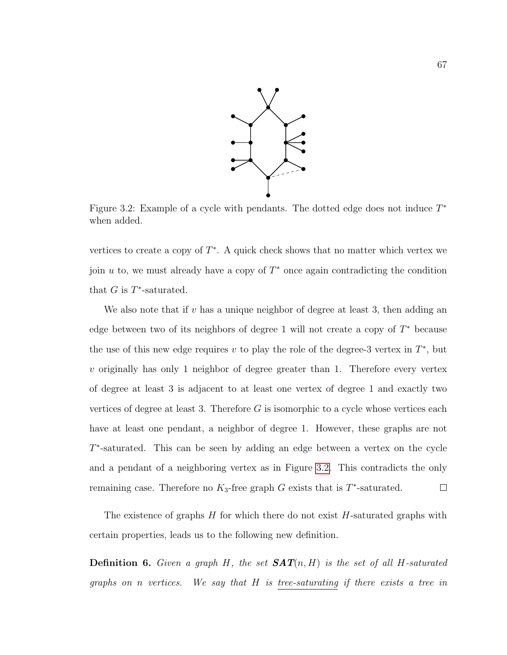

<span id="page-75-0"></span>Figure 3.2: Example of a cycle with pendants. The dotted edge does not induce  $T^*$ when added.

vertices to create a copy of  $T^*$ . A quick check shows that no matter which vertex we join  $u$  to, we must already have a copy of  $T^*$  once again contradicting the condition that  $G$  is  $T^*$ -saturated.

We also note that if  $v$  has a unique neighbor of degree at least 3, then adding an edge between two of its neighbors of degree 1 will not create a copy of  $T^*$  because the use of this new edge requires  $v$  to play the role of the degree-3 vertex in  $T^*$ , but  $v$  originally has only 1 neighbor of degree greater than 1. Therefore every vertex of degree at least 3 is adjacent to at least one vertex of degree 1 and exactly two vertices of degree at least 3. Therefore  $G$  is isomorphic to a cycle whose vertices each have at least one pendant, a neighbor of degree 1. However, these graphs are not T<sup>\*</sup>-saturated. This can be seen by adding an edge between a vertex on the cycle and a pendant of a neighboring vertex as in Figure [3.2.](#page-75-0) This contradicts the only remaining case. Therefore no  $K_3$ -free graph G exists that is  $T^*$ -saturated.  $\Box$ 

The existence of graphs  $H$  for which there do not exist  $H$ -saturated graphs with certain properties, leads us to the following new definition.

**Definition 6.** Given a graph H, the set  $SAT(n, H)$  is the set of all H-saturated graphs on n vertices. We say that H is tree-saturating if there exists a tree in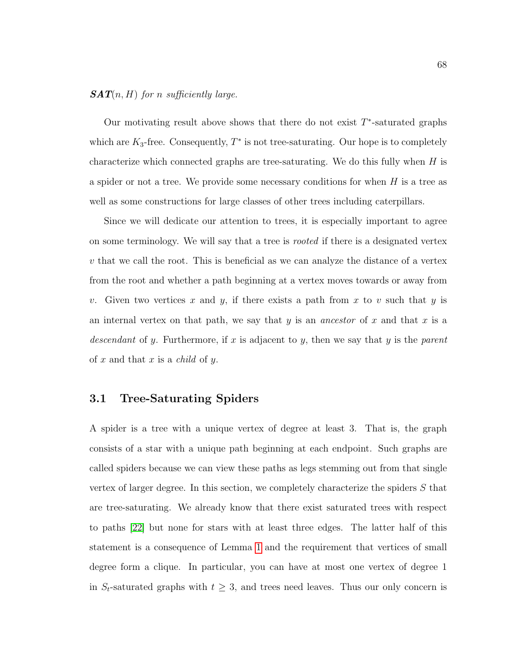### $SAT(n, H)$  for n sufficiently large.

Our motivating result above shows that there do not exist  $T^*$ -saturated graphs which are  $K_3$ -free. Consequently,  $T^*$  is not tree-saturating. Our hope is to completely characterize which connected graphs are tree-saturating. We do this fully when  $H$  is a spider or not a tree. We provide some necessary conditions for when  $H$  is a tree as well as some constructions for large classes of other trees including caterpillars.

Since we will dedicate our attention to trees, it is especially important to agree on some terminology. We will say that a tree is *rooted* if there is a designated vertex  $v$  that we call the root. This is beneficial as we can analyze the distance of a vertex from the root and whether a path beginning at a vertex moves towards or away from v. Given two vertices x and y, if there exists a path from x to v such that y is an internal vertex on that path, we say that y is an *ancestor* of x and that x is a descendant of y. Furthermore, if x is adjacent to y, then we say that y is the parent of x and that x is a *child* of y.

## 3.1 Tree-Saturating Spiders

A spider is a tree with a unique vertex of degree at least 3. That is, the graph consists of a star with a unique path beginning at each endpoint. Such graphs are called spiders because we can view these paths as legs stemming out from that single vertex of larger degree. In this section, we completely characterize the spiders  $S$  that are tree-saturating. We already know that there exist saturated trees with respect to paths [\[22\]](#page-118-0) but none for stars with at least three edges. The latter half of this statement is a consequence of Lemma [1](#page-19-0) and the requirement that vertices of small degree form a clique. In particular, you can have at most one vertex of degree 1 in  $S_t$ -saturated graphs with  $t \geq 3$ , and trees need leaves. Thus our only concern is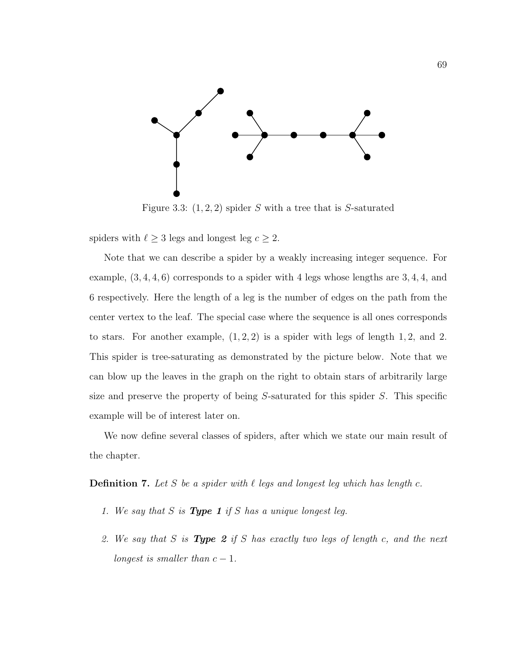

Figure 3.3:  $(1, 2, 2)$  spider S with a tree that is S-saturated

spiders with  $\ell \geq 3$  legs and longest leg  $c \geq 2$ .

Note that we can describe a spider by a weakly increasing integer sequence. For example,  $(3, 4, 4, 6)$  corresponds to a spider with 4 legs whose lengths are 3, 4, 4, and 6 respectively. Here the length of a leg is the number of edges on the path from the center vertex to the leaf. The special case where the sequence is all ones corresponds to stars. For another example,  $(1, 2, 2)$  is a spider with legs of length 1, 2, and 2. This spider is tree-saturating as demonstrated by the picture below. Note that we can blow up the leaves in the graph on the right to obtain stars of arbitrarily large size and preserve the property of being S-saturated for this spider S. This specific example will be of interest later on.

We now define several classes of spiders, after which we state our main result of the chapter.

**Definition 7.** Let S be a spider with  $\ell$  legs and longest leg which has length c.

- 1. We say that S is **Type 1** if S has a unique longest leg.
- 2. We say that S is **Type 2** if S has exactly two legs of length c, and the next longest is smaller than  $c - 1$ .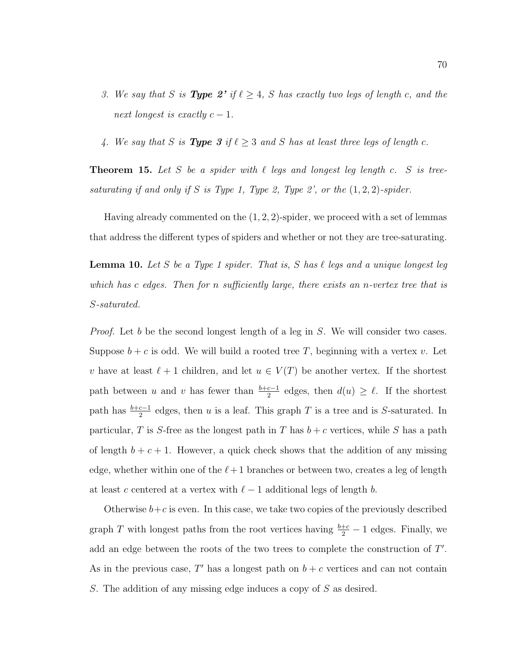- 3. We say that S is **Type 2'** if  $\ell \geq 4$ , S has exactly two legs of length c, and the next longest is exactly  $c-1$ .
- 4. We say that S is **Type 3** if  $\ell \geq 3$  and S has at least three legs of length c.

<span id="page-78-0"></span>**Theorem 15.** Let S be a spider with  $\ell$  legs and longest leg length c. S is treesaturating if and only if S is Type 1, Type 2, Type 2', or the  $(1, 2, 2)$ -spider.

Having already commented on the  $(1, 2, 2)$ -spider, we proceed with a set of lemmas that address the different types of spiders and whether or not they are tree-saturating.

**Lemma 10.** Let S be a Type 1 spider. That is, S has  $\ell$  legs and a unique longest leg which has c edges. Then for n sufficiently large, there exists an n-vertex tree that is S-saturated.

Proof. Let b be the second longest length of a leg in S. We will consider two cases. Suppose  $b + c$  is odd. We will build a rooted tree T, beginning with a vertex v. Let v have at least  $\ell + 1$  children, and let  $u \in V(T)$  be another vertex. If the shortest path between u and v has fewer than  $\frac{b+c-1}{2}$  edges, then  $d(u) \geq \ell$ . If the shortest path has  $\frac{b+c-1}{2}$  edges, then u is a leaf. This graph T is a tree and is S-saturated. In particular, T is S-free as the longest path in T has  $b + c$  vertices, while S has a path of length  $b + c + 1$ . However, a quick check shows that the addition of any missing edge, whether within one of the  $\ell+1$  branches or between two, creates a leg of length at least c centered at a vertex with  $\ell-1$  additional legs of length b.

Otherwise  $b+c$  is even. In this case, we take two copies of the previously described graph T with longest paths from the root vertices having  $\frac{b+c}{2} - 1$  edges. Finally, we add an edge between the roots of the two trees to complete the construction of T'. As in the previous case,  $T'$  has a longest path on  $b + c$  vertices and can not contain S. The addition of any missing edge induces a copy of S as desired.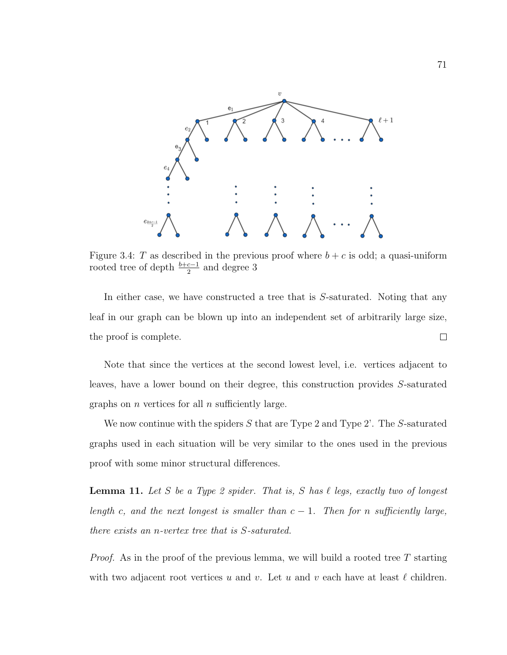<span id="page-79-0"></span>

Figure 3.4: T as described in the previous proof where  $b + c$  is odd; a quasi-uniform rooted tree of depth  $\frac{b+c-1}{2}$  and degree 3

In either case, we have constructed a tree that is S-saturated. Noting that any leaf in our graph can be blown up into an independent set of arbitrarily large size,  $\Box$ the proof is complete.

Note that since the vertices at the second lowest level, i.e. vertices adjacent to leaves, have a lower bound on their degree, this construction provides S-saturated graphs on  $n$  vertices for all  $n$  sufficiently large.

We now continue with the spiders  $S$  that are Type 2 and Type 2'. The  $S$ -saturated graphs used in each situation will be very similar to the ones used in the previous proof with some minor structural differences.

**Lemma 11.** Let S be a Type 2 spider. That is, S has  $\ell$  legs, exactly two of longest length c, and the next longest is smaller than  $c - 1$ . Then for n sufficiently large, there exists an n-vertex tree that is S-saturated.

*Proof.* As in the proof of the previous lemma, we will build a rooted tree  $T$  starting with two adjacent root vertices u and v. Let u and v each have at least  $\ell$  children.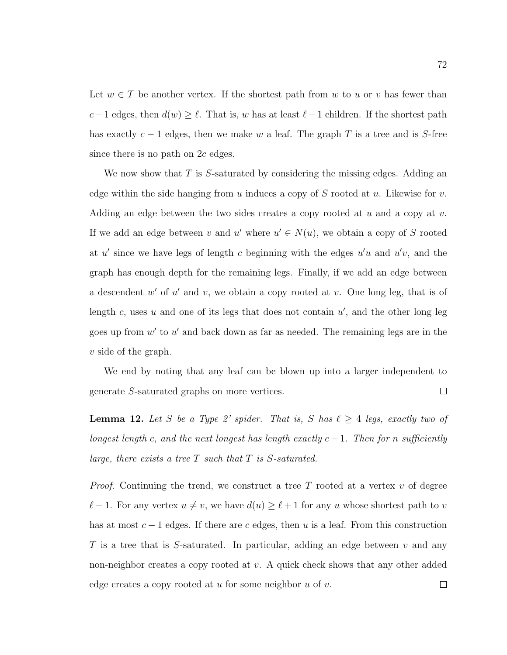Let  $w \in T$  be another vertex. If the shortest path from w to u or v has fewer than c−1 edges, then  $d(w) \geq \ell$ . That is, w has at least  $\ell-1$  children. If the shortest path has exactly  $c - 1$  edges, then we make w a leaf. The graph T is a tree and is S-free since there is no path on  $2c$  edges.

We now show that  $T$  is  $S$ -saturated by considering the missing edges. Adding an edge within the side hanging from  $u$  induces a copy of  $S$  rooted at  $u$ . Likewise for  $v$ . Adding an edge between the two sides creates a copy rooted at  $u$  and a copy at  $v$ . If we add an edge between v and u' where  $u' \in N(u)$ , we obtain a copy of S rooted at u' since we have legs of length c beginning with the edges  $u'u$  and  $u'v$ , and the graph has enough depth for the remaining legs. Finally, if we add an edge between a descendent  $w'$  of  $u'$  and  $v$ , we obtain a copy rooted at  $v$ . One long leg, that is of length  $c$ , uses  $u$  and one of its legs that does not contain  $u'$ , and the other long leg goes up from  $w'$  to  $u'$  and back down as far as needed. The remaining legs are in the v side of the graph.

We end by noting that any leaf can be blown up into a larger independent to generate S-saturated graphs on more vertices.  $\Box$ 

**Lemma 12.** Let S be a Type 2' spider. That is, S has  $\ell \geq 4$  legs, exactly two of longest length c, and the next longest has length exactly  $c-1$ . Then for n sufficiently large, there exists a tree  $T$  such that  $T$  is  $S$ -saturated.

*Proof.* Continuing the trend, we construct a tree T rooted at a vertex  $v$  of degree  $\ell-1$ . For any vertex  $u \neq v$ , we have  $d(u) \geq \ell+1$  for any u whose shortest path to v has at most  $c - 1$  edges. If there are c edges, then u is a leaf. From this construction T is a tree that is S-saturated. In particular, adding an edge between  $v$  and any non-neighbor creates a copy rooted at  $v$ . A quick check shows that any other added edge creates a copy rooted at u for some neighbor  $u$  of  $v$ .  $\Box$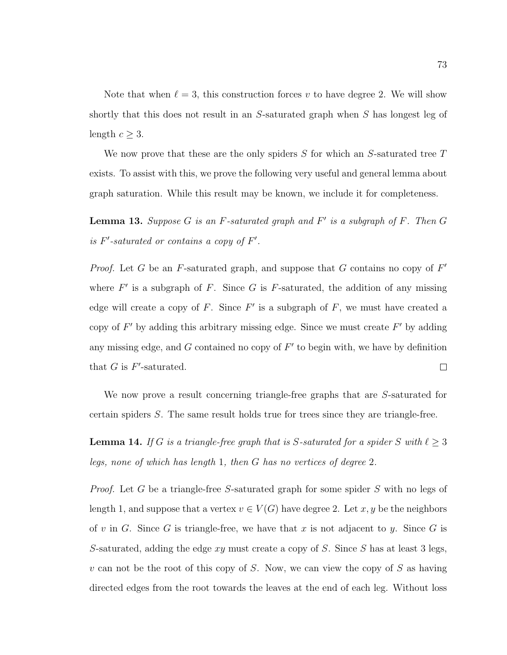Note that when  $\ell = 3$ , this construction forces v to have degree 2. We will show shortly that this does not result in an S-saturated graph when S has longest leg of length  $c \geq 3$ .

We now prove that these are the only spiders  $S$  for which an  $S$ -saturated tree  $T$ exists. To assist with this, we prove the following very useful and general lemma about graph saturation. While this result may be known, we include it for completeness.

<span id="page-81-0"></span>**Lemma 13.** Suppose  $G$  is an  $F$ -saturated graph and  $F'$  is a subgraph of  $F$ . Then  $G$ is  $F'$ -saturated or contains a copy of  $F'$ .

*Proof.* Let G be an F-saturated graph, and suppose that G contains no copy of  $F'$ where  $F'$  is a subgraph of F. Since G is F-saturated, the addition of any missing edge will create a copy of  $F$ . Since  $F'$  is a subgraph of  $F$ , we must have created a copy of  $F'$  by adding this arbitrary missing edge. Since we must create  $F'$  by adding any missing edge, and  $G$  contained no copy of  $F'$  to begin with, we have by definition that  $G$  is  $F'$ -saturated.  $\Box$ 

We now prove a result concerning triangle-free graphs that are S-saturated for certain spiders S. The same result holds true for trees since they are triangle-free.

<span id="page-81-1"></span>**Lemma 14.** If G is a triangle-free graph that is S-saturated for a spider S with  $\ell \geq 3$ legs, none of which has length 1, then G has no vertices of degree 2.

Proof. Let G be a triangle-free S-saturated graph for some spider S with no legs of length 1, and suppose that a vertex  $v \in V(G)$  have degree 2. Let x, y be the neighbors of v in G. Since G is triangle-free, we have that x is not adjacent to y. Since G is S-saturated, adding the edge  $xy$  must create a copy of S. Since S has at least 3 legs, v can not be the root of this copy of S. Now, we can view the copy of S as having directed edges from the root towards the leaves at the end of each leg. Without loss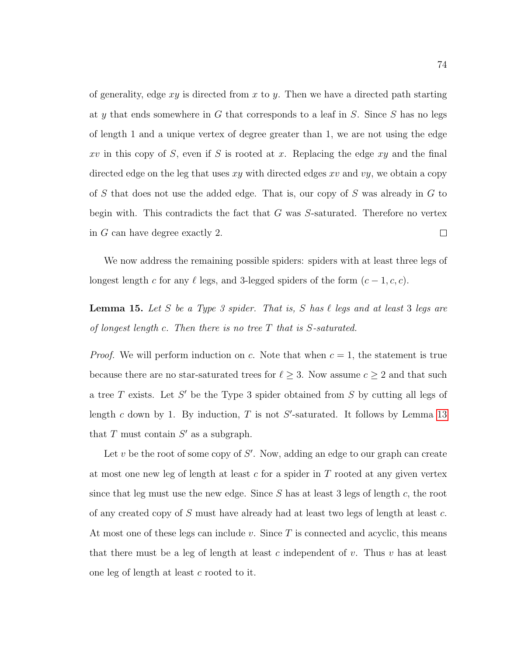of generality, edge  $xy$  is directed from  $x$  to  $y$ . Then we have a directed path starting at y that ends somewhere in  $G$  that corresponds to a leaf in  $S$ . Since  $S$  has no legs of length 1 and a unique vertex of degree greater than 1, we are not using the edge  $xv$  in this copy of S, even if S is rooted at x. Replacing the edge  $xy$  and the final directed edge on the leg that uses  $xy$  with directed edges  $xv$  and  $vy$ , we obtain a copy of S that does not use the added edge. That is, our copy of S was already in  $G$  to begin with. This contradicts the fact that  $G$  was  $S$ -saturated. Therefore no vertex in G can have degree exactly 2.  $\Box$ 

We now address the remaining possible spiders: spiders with at least three legs of longest length c for any  $\ell$  legs, and 3-legged spiders of the form  $(c-1, c, c)$ .

**Lemma 15.** Let S be a Type 3 spider. That is, S has  $\ell$  legs and at least 3 legs are of longest length  $c$ . Then there is no tree  $T$  that is  $S$ -saturated.

*Proof.* We will perform induction on c. Note that when  $c = 1$ , the statement is true because there are no star-saturated trees for  $\ell \geq 3$ . Now assume  $c \geq 2$  and that such a tree  $T$  exists. Let  $S'$  be the Type 3 spider obtained from  $S$  by cutting all legs of length c down by 1. By induction,  $T$  is not  $S'$ -saturated. It follows by Lemma [13](#page-81-0) that  $T$  must contain  $S'$  as a subgraph.

Let  $v$  be the root of some copy of  $S'$ . Now, adding an edge to our graph can create at most one new leg of length at least  $c$  for a spider in  $T$  rooted at any given vertex since that leg must use the new edge. Since  $S$  has at least 3 legs of length  $c$ , the root of any created copy of S must have already had at least two legs of length at least c. At most one of these legs can include  $v$ . Since T is connected and acyclic, this means that there must be a leg of length at least c independent of v. Thus v has at least one leg of length at least c rooted to it.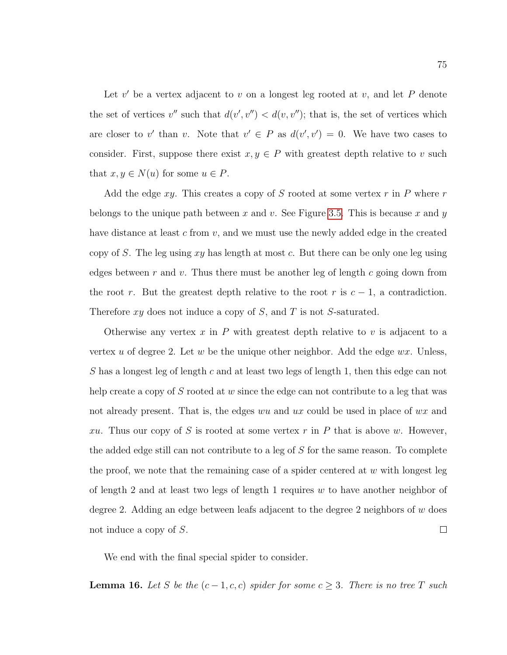Let  $v'$  be a vertex adjacent to  $v$  on a longest leg rooted at  $v$ , and let  $P$  denote the set of vertices  $v''$  such that  $d(v', v'') < d(v, v'')$ ; that is, the set of vertices which are closer to v' than v. Note that  $v' \in P$  as  $d(v', v') = 0$ . We have two cases to consider. First, suppose there exist  $x, y \in P$  with greatest depth relative to v such that  $x, y \in N(u)$  for some  $u \in P$ .

Add the edge  $xy$ . This creates a copy of S rooted at some vertex  $r$  in P where  $r$ belongs to the unique path between x and v. See Figure [3.5.](#page-84-0) This is because x and y have distance at least c from  $v$ , and we must use the newly added edge in the created copy of S. The leg using  $xy$  has length at most c. But there can be only one leg using edges between r and v. Thus there must be another leg of length c going down from the root r. But the greatest depth relative to the root r is  $c - 1$ , a contradiction. Therefore  $xy$  does not induce a copy of  $S$ , and  $T$  is not  $S$ -saturated.

Otherwise any vertex  $x$  in  $P$  with greatest depth relative to  $v$  is adjacent to a vertex u of degree 2. Let w be the unique other neighbor. Add the edge  $wx$ . Unless, S has a longest leg of length c and at least two legs of length 1, then this edge can not help create a copy of S rooted at  $w$  since the edge can not contribute to a leg that was not already present. That is, the edges wu and ux could be used in place of wx and xu. Thus our copy of S is rooted at some vertex  $r$  in P that is above w. However, the added edge still can not contribute to a leg of S for the same reason. To complete the proof, we note that the remaining case of a spider centered at  $w$  with longest leg of length 2 and at least two legs of length 1 requires  $w$  to have another neighbor of degree 2. Adding an edge between leafs adjacent to the degree 2 neighbors of  $w$  does  $\Box$ not induce a copy of S.

We end with the final special spider to consider.

**Lemma 16.** Let S be the  $(c-1, c, c)$  spider for some  $c \geq 3$ . There is no tree T such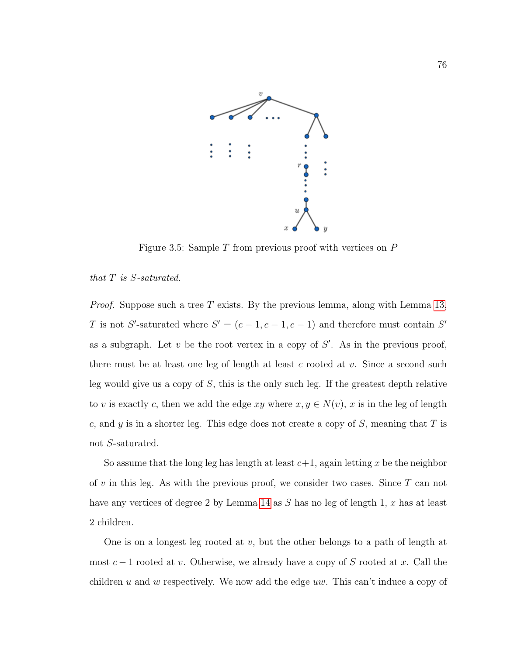<span id="page-84-0"></span>

Figure 3.5: Sample  $T$  from previous proof with vertices on  $P$ 

#### that T is S-saturated.

*Proof.* Suppose such a tree T exists. By the previous lemma, along with Lemma [13,](#page-81-0) T is not S'-saturated where  $S' = (c - 1, c - 1, c - 1)$  and therefore must contain S' as a subgraph. Let  $v$  be the root vertex in a copy of  $S'$ . As in the previous proof, there must be at least one leg of length at least c rooted at  $v$ . Since a second such leg would give us a copy of  $S$ , this is the only such leg. If the greatest depth relative to v is exactly c, then we add the edge xy where  $x, y \in N(v)$ , x is in the leg of length c, and y is in a shorter leg. This edge does not create a copy of  $S$ , meaning that  $T$  is not S-saturated.

So assume that the long leg has length at least  $c+1$ , again letting x be the neighbor of v in this leg. As with the previous proof, we consider two cases. Since  $T$  can not have any vertices of degree 2 by Lemma [14](#page-81-1) as S has no leg of length 1, x has at least 2 children.

One is on a longest leg rooted at  $v$ , but the other belongs to a path of length at most  $c-1$  rooted at v. Otherwise, we already have a copy of S rooted at x. Call the children u and w respectively. We now add the edge uw. This can't induce a copy of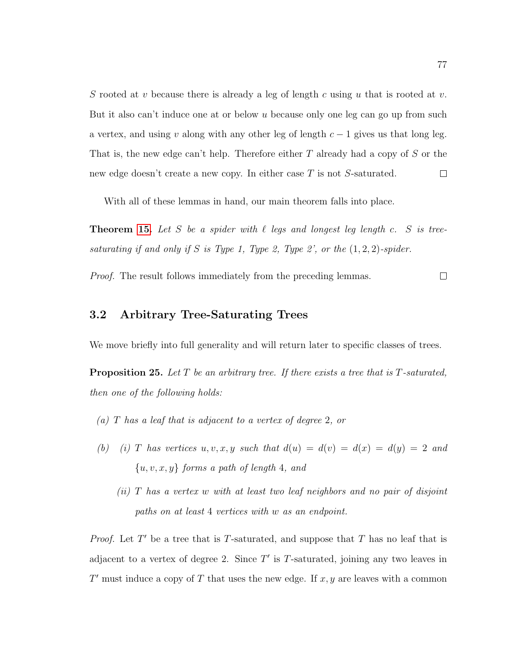S rooted at v because there is already a leg of length c using u that is rooted at v. But it also can't induce one at or below u because only one leg can go up from such a vertex, and using v along with any other leg of length  $c - 1$  gives us that long leg. That is, the new edge can't help. Therefore either T already had a copy of S or the  $\Box$ new edge doesn't create a new copy. In either case  $T$  is not S-saturated.

With all of these lemmas in hand, our main theorem falls into place.

**Theorem [15.](#page-78-0)** Let S be a spider with  $\ell$  legs and longest leg length c. S is treesaturating if and only if S is Type 1, Type 2, Type 2', or the  $(1, 2, 2)$ -spider.

Proof. The result follows immediately from the preceding lemmas.  $\Box$ 

# 3.2 Arbitrary Tree-Saturating Trees

We move briefly into full generality and will return later to specific classes of trees.

**Proposition 25.** Let T be an arbitrary tree. If there exists a tree that is T-saturated, then one of the following holds:

- (a) T has a leaf that is adjacent to a vertex of degree 2, or
- (b) (i) T has vertices u, v, x, y such that  $d(u) = d(v) = d(x) = d(y) = 2$  and  ${u, v, x, y}$  forms a path of length 4, and
	- (ii) T has a vertex w with at least two leaf neighbors and no pair of disjoint paths on at least 4 vertices with w as an endpoint.

*Proof.* Let  $T'$  be a tree that is T-saturated, and suppose that  $T$  has no leaf that is adjacent to a vertex of degree 2. Since  $T'$  is T-saturated, joining any two leaves in  $T'$  must induce a copy of T that uses the new edge. If  $x, y$  are leaves with a common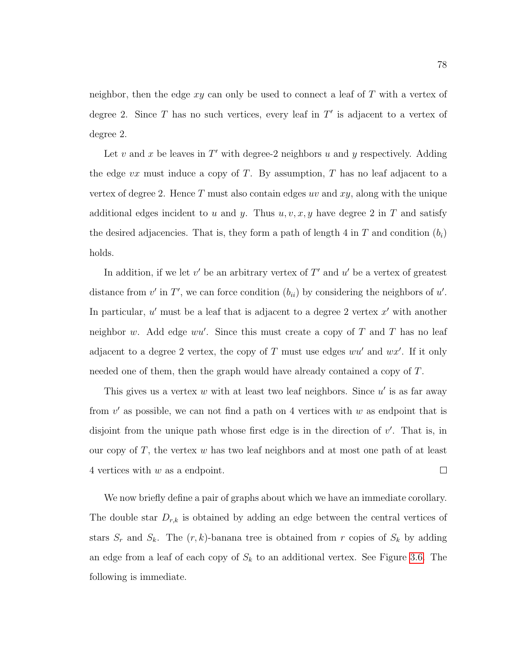neighbor, then the edge  $xy$  can only be used to connect a leaf of  $T$  with a vertex of degree 2. Since  $T$  has no such vertices, every leaf in  $T'$  is adjacent to a vertex of degree 2.

Let  $v$  and  $x$  be leaves in  $T'$  with degree-2 neighbors  $u$  and  $y$  respectively. Adding the edge  $vx$  must induce a copy of T. By assumption, T has no leaf adjacent to a vertex of degree 2. Hence  $T$  must also contain edges uv and  $xy$ , along with the unique additional edges incident to u and y. Thus  $u, v, x, y$  have degree 2 in T and satisfy the desired adjacencies. That is, they form a path of length 4 in T and condition  $(b_i)$ holds.

In addition, if we let  $v'$  be an arbitrary vertex of  $T'$  and  $u'$  be a vertex of greatest distance from  $v'$  in  $T'$ , we can force condition  $(b_{ii})$  by considering the neighbors of  $u'$ . In particular,  $u'$  must be a leaf that is adjacent to a degree 2 vertex  $x'$  with another neighbor w. Add edge  $wu'$ . Since this must create a copy of T and T has no leaf adjacent to a degree 2 vertex, the copy of T must use edges  $wu'$  and  $wx'$ . If it only needed one of them, then the graph would have already contained a copy of T.

This gives us a vertex  $w$  with at least two leaf neighbors. Since  $u'$  is as far away from  $v'$  as possible, we can not find a path on 4 vertices with  $w$  as endpoint that is disjoint from the unique path whose first edge is in the direction of  $v'$ . That is, in our copy of  $T$ , the vertex  $w$  has two leaf neighbors and at most one path of at least 4 vertices with w as a endpoint.  $\Box$ 

We now briefly define a pair of graphs about which we have an immediate corollary. The double star  $D_{r,k}$  is obtained by adding an edge between the central vertices of stars  $S_r$  and  $S_k$ . The  $(r, k)$ -banana tree is obtained from r copies of  $S_k$  by adding an edge from a leaf of each copy of  $S_k$  to an additional vertex. See Figure [3.6.](#page-87-0) The following is immediate.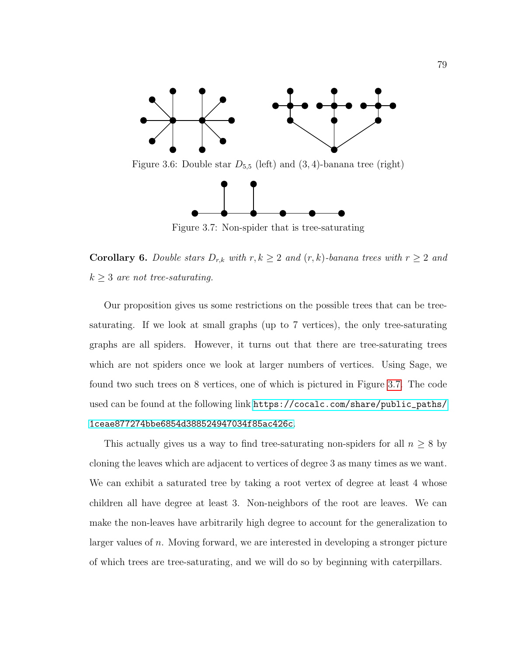<span id="page-87-0"></span>

<span id="page-87-1"></span>Figure 3.6: Double star  $D_{5,5}$  (left) and  $(3,4)$ -banana tree (right)



Figure 3.7: Non-spider that is tree-saturating

**Corollary 6.** Double stars  $D_{r,k}$  with  $r, k \geq 2$  and  $(r, k)$ -banana trees with  $r \geq 2$  and  $k \geq 3$  are not tree-saturating.

Our proposition gives us some restrictions on the possible trees that can be treesaturating. If we look at small graphs (up to 7 vertices), the only tree-saturating graphs are all spiders. However, it turns out that there are tree-saturating trees which are not spiders once we look at larger numbers of vertices. Using Sage, we found two such trees on 8 vertices, one of which is pictured in Figure [3.7.](#page-87-1) The code used can be found at the following link [https://cocalc.com/share/public\\_paths/](https://cocalc.com/share/public_paths/1ceae877274bbe6854d388524947034f85ac426c) [1ceae877274bbe6854d388524947034f85ac426c](https://cocalc.com/share/public_paths/1ceae877274bbe6854d388524947034f85ac426c).

This actually gives us a way to find tree-saturating non-spiders for all  $n \geq 8$  by cloning the leaves which are adjacent to vertices of degree 3 as many times as we want. We can exhibit a saturated tree by taking a root vertex of degree at least 4 whose children all have degree at least 3. Non-neighbors of the root are leaves. We can make the non-leaves have arbitrarily high degree to account for the generalization to larger values of n. Moving forward, we are interested in developing a stronger picture of which trees are tree-saturating, and we will do so by beginning with caterpillars.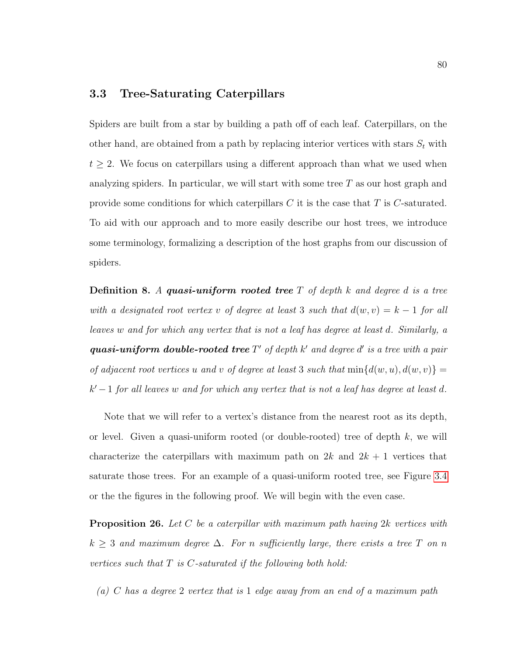### 3.3 Tree-Saturating Caterpillars

Spiders are built from a star by building a path off of each leaf. Caterpillars, on the other hand, are obtained from a path by replacing interior vertices with stars  $S_t$  with  $t \geq 2$ . We focus on caterpillars using a different approach than what we used when analyzing spiders. In particular, we will start with some tree  $T$  as our host graph and provide some conditions for which caterpillars  $C$  it is the case that  $T$  is  $C$ -saturated. To aid with our approach and to more easily describe our host trees, we introduce some terminology, formalizing a description of the host graphs from our discussion of spiders.

**Definition 8.** A quasi-uniform rooted tree  $T$  of depth  $k$  and degree d is a tree with a designated root vertex v of degree at least 3 such that  $d(w, v) = k - 1$  for all leaves w and for which any vertex that is not a leaf has degree at least d. Similarly, a quasi-uniform double-rooted tree  $T'$  of depth  $k'$  and degree  $d'$  is a tree with a pair of adjacent root vertices u and v of degree at least 3 such that  $min{d(w, u), d(w, v)}$  =  $k'-1$  for all leaves w and for which any vertex that is not a leaf has degree at least d.

Note that we will refer to a vertex's distance from the nearest root as its depth, or level. Given a quasi-uniform rooted (or double-rooted) tree of depth  $k$ , we will characterize the caterpillars with maximum path on  $2k$  and  $2k + 1$  vertices that saturate those trees. For an example of a quasi-uniform rooted tree, see Figure [3.4](#page-79-0) or the the figures in the following proof. We will begin with the even case.

**Proposition 26.** Let C be a caterpillar with maximum path having  $2k$  vertices with  $k \geq 3$  and maximum degree  $\Delta$ . For n sufficiently large, there exists a tree T on n vertices such that  $T$  is  $C$ -saturated if the following both hold:

(a) C has a degree 2 vertex that is 1 edge away from an end of a maximum path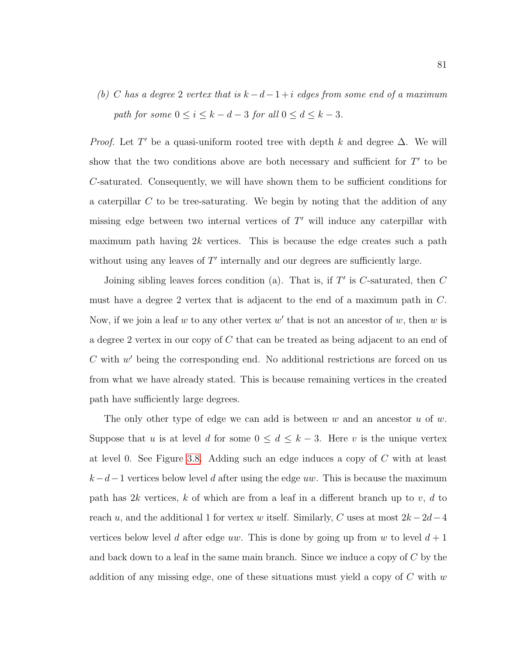(b) C has a degree 2 vertex that is  $k - d - 1 + i$  edges from some end of a maximum path for some  $0 \le i \le k - d - 3$  for all  $0 \le d \le k - 3$ .

*Proof.* Let T' be a quasi-uniform rooted tree with depth k and degree  $\Delta$ . We will show that the two conditions above are both necessary and sufficient for  $T'$  to be C-saturated. Consequently, we will have shown them to be sufficient conditions for a caterpillar  $C$  to be tree-saturating. We begin by noting that the addition of any missing edge between two internal vertices of  $T'$  will induce any caterpillar with maximum path having  $2k$  vertices. This is because the edge creates such a path without using any leaves of  $T'$  internally and our degrees are sufficiently large.

Joining sibling leaves forces condition (a). That is, if  $T'$  is  $C$ -saturated, then  $C$ must have a degree 2 vertex that is adjacent to the end of a maximum path in C. Now, if we join a leaf  $w$  to any other vertex  $w'$  that is not an ancestor of  $w$ , then  $w$  is a degree 2 vertex in our copy of C that can be treated as being adjacent to an end of  $C$  with  $w'$  being the corresponding end. No additional restrictions are forced on us from what we have already stated. This is because remaining vertices in the created path have sufficiently large degrees.

The only other type of edge we can add is between  $w$  and an ancestor  $u$  of  $w$ . Suppose that u is at level d for some  $0 \leq d \leq k-3$ . Here v is the unique vertex at level 0. See Figure [3.8.](#page-90-0) Adding such an edge induces a copy of C with at least  $k-d-1$  vertices below level d after using the edge uw. This is because the maximum path has 2k vertices, k of which are from a leaf in a different branch up to v, d to reach u, and the additional 1 for vertex w itself. Similarly, C uses at most  $2k - 2d - 4$ vertices below level d after edge uw. This is done by going up from w to level  $d+1$ and back down to a leaf in the same main branch. Since we induce a copy of  $C$  by the addition of any missing edge, one of these situations must yield a copy of  $C$  with  $w$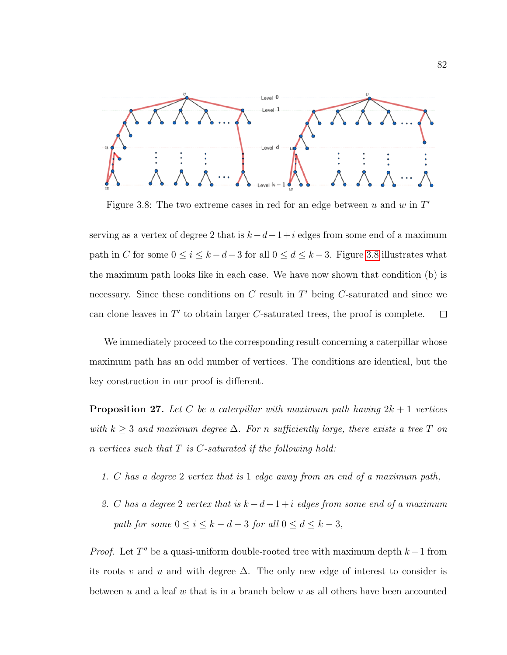<span id="page-90-0"></span>

Figure 3.8: The two extreme cases in red for an edge between  $u$  and  $w$  in  $T'$ 

serving as a vertex of degree 2 that is  $k-d-1+i$  edges from some end of a maximum path in C for some  $0 \le i \le k - d - 3$  for all  $0 \le d \le k - 3$ . Figure [3.8](#page-90-0) illustrates what the maximum path looks like in each case. We have now shown that condition (b) is necessary. Since these conditions on  $C$  result in  $T'$  being  $C$ -saturated and since we can clone leaves in  $T'$  to obtain larger  $C$ -saturated trees, the proof is complete.  $\Box$ 

We immediately proceed to the corresponding result concerning a caterpillar whose maximum path has an odd number of vertices. The conditions are identical, but the key construction in our proof is different.

**Proposition 27.** Let C be a caterpillar with maximum path having  $2k + 1$  vertices with  $k \geq 3$  and maximum degree  $\Delta$ . For n sufficiently large, there exists a tree T on n vertices such that  $T$  is  $C$ -saturated if the following hold:

- 1. C has a degree 2 vertex that is 1 edge away from an end of a maximum path,
- 2. C has a degree 2 vertex that is  $k d 1 + i$  edges from some end of a maximum path for some  $0 \le i \le k - d - 3$  for all  $0 \le d \le k - 3$ ,

*Proof.* Let  $T''$  be a quasi-uniform double-rooted tree with maximum depth  $k-1$  from its roots v and u and with degree  $\Delta$ . The only new edge of interest to consider is between u and a leaf w that is in a branch below v as all others have been accounted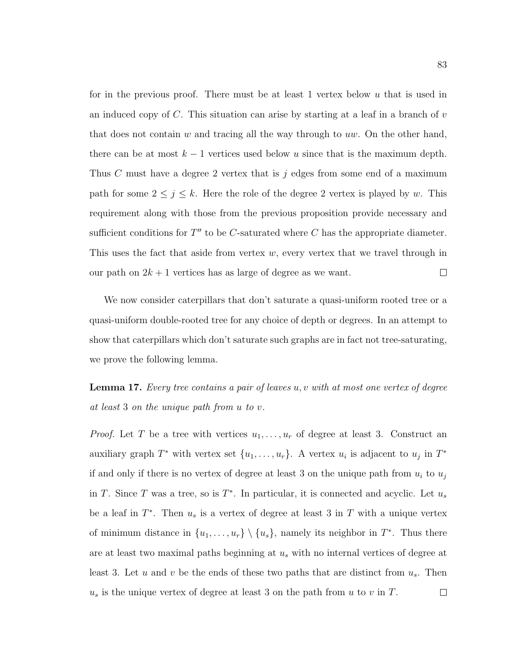for in the previous proof. There must be at least 1 vertex below  $u$  that is used in an induced copy of  $C$ . This situation can arise by starting at a leaf in a branch of  $v$ that does not contain  $w$  and tracing all the way through to uw. On the other hand, there can be at most  $k - 1$  vertices used below u since that is the maximum depth. Thus C must have a degree 2 vertex that is j edges from some end of a maximum path for some  $2 \leq j \leq k$ . Here the role of the degree 2 vertex is played by w. This requirement along with those from the previous proposition provide necessary and sufficient conditions for  $T''$  to be C-saturated where C has the appropriate diameter. This uses the fact that aside from vertex  $w$ , every vertex that we travel through in our path on  $2k + 1$  vertices has as large of degree as we want.  $\Box$ 

We now consider caterpillars that don't saturate a quasi-uniform rooted tree or a quasi-uniform double-rooted tree for any choice of depth or degrees. In an attempt to show that caterpillars which don't saturate such graphs are in fact not tree-saturating, we prove the following lemma.

<span id="page-91-0"></span>**Lemma 17.** Every tree contains a pair of leaves  $u, v$  with at most one vertex of degree at least 3 on the unique path from u to v.

*Proof.* Let T be a tree with vertices  $u_1, \ldots, u_r$  of degree at least 3. Construct an auxiliary graph  $T^*$  with vertex set  $\{u_1, \ldots, u_r\}$ . A vertex  $u_i$  is adjacent to  $u_j$  in  $T^*$ if and only if there is no vertex of degree at least 3 on the unique path from  $u_i$  to  $u_j$ in T. Since T was a tree, so is  $T^*$ . In particular, it is connected and acyclic. Let  $u_s$ be a leaf in  $T^*$ . Then  $u_s$  is a vertex of degree at least 3 in T with a unique vertex of minimum distance in  $\{u_1, \ldots, u_r\} \setminus \{u_s\}$ , namely its neighbor in  $T^*$ . Thus there are at least two maximal paths beginning at  $u_s$  with no internal vertices of degree at least 3. Let u and v be the ends of these two paths that are distinct from  $u_s$ . Then  $u<sub>s</sub>$  is the unique vertex of degree at least 3 on the path from u to v in T.  $\Box$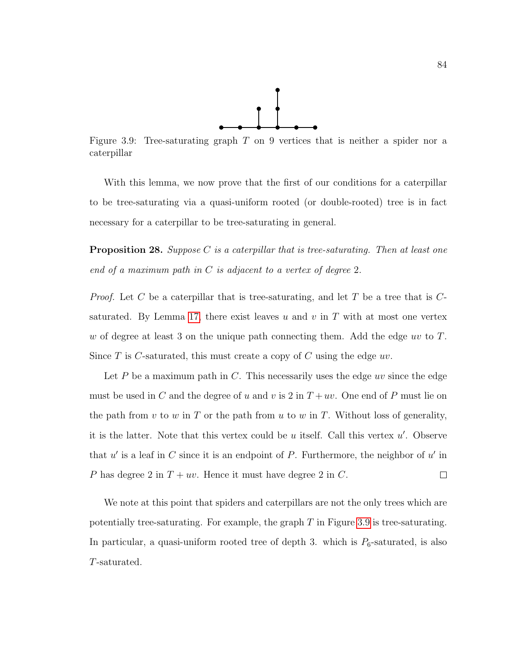

<span id="page-92-0"></span>Figure 3.9: Tree-saturating graph  $T$  on 9 vertices that is neither a spider nor a caterpillar

With this lemma, we now prove that the first of our conditions for a caterpillar to be tree-saturating via a quasi-uniform rooted (or double-rooted) tree is in fact necessary for a caterpillar to be tree-saturating in general.

**Proposition 28.** Suppose C is a caterpillar that is tree-saturating. Then at least one end of a maximum path in  $C$  is adjacent to a vertex of degree 2.

*Proof.* Let C be a caterpillar that is tree-saturating, and let T be a tree that is  $C$ -saturated. By Lemma [17,](#page-91-0) there exist leaves u and v in T with at most one vertex w of degree at least 3 on the unique path connecting them. Add the edge uv to  $T$ . Since T is C-saturated, this must create a copy of C using the edge  $uv$ .

Let P be a maximum path in C. This necessarily uses the edge  $uv$  since the edge must be used in C and the degree of u and v is 2 in  $T + uv$ . One end of P must lie on the path from v to w in T or the path from u to w in T. Without loss of generality, it is the latter. Note that this vertex could be  $u$  itself. Call this vertex  $u'$ . Observe that  $u'$  is a leaf in C since it is an endpoint of P. Furthermore, the neighbor of  $u'$  in P has degree 2 in  $T + uv$ . Hence it must have degree 2 in C.  $\Box$ 

We note at this point that spiders and caterpillars are not the only trees which are potentially tree-saturating. For example, the graph  $T$  in Figure [3.9](#page-92-0) is tree-saturating. In particular, a quasi-uniform rooted tree of depth 3. which is  $P_6$ -saturated, is also T-saturated.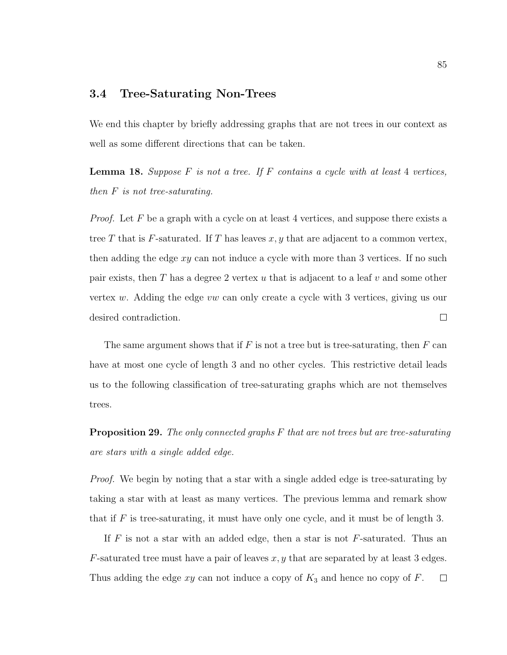### 3.4 Tree-Saturating Non-Trees

We end this chapter by briefly addressing graphs that are not trees in our context as well as some different directions that can be taken.

**Lemma 18.** Suppose F is not a tree. If F contains a cycle with at least 4 vertices, then F is not tree-saturating.

*Proof.* Let  $F$  be a graph with a cycle on at least 4 vertices, and suppose there exists a tree T that is F-saturated. If T has leaves  $x, y$  that are adjacent to a common vertex, then adding the edge  $xy$  can not induce a cycle with more than 3 vertices. If no such pair exists, then T has a degree 2 vertex u that is adjacent to a leaf  $v$  and some other vertex w. Adding the edge vw can only create a cycle with 3 vertices, giving us our desired contradiction.  $\Box$ 

The same argument shows that if  $F$  is not a tree but is tree-saturating, then  $F$  can have at most one cycle of length 3 and no other cycles. This restrictive detail leads us to the following classification of tree-saturating graphs which are not themselves trees.

**Proposition 29.** The only connected graphs F that are not trees but are tree-saturating are stars with a single added edge.

Proof. We begin by noting that a star with a single added edge is tree-saturating by taking a star with at least as many vertices. The previous lemma and remark show that if  $F$  is tree-saturating, it must have only one cycle, and it must be of length 3.

If  $F$  is not a star with an added edge, then a star is not  $F$ -saturated. Thus an  $F$ -saturated tree must have a pair of leaves  $x, y$  that are separated by at least 3 edges. Thus adding the edge  $xy$  can not induce a copy of  $K_3$  and hence no copy of  $F$ .  $\Box$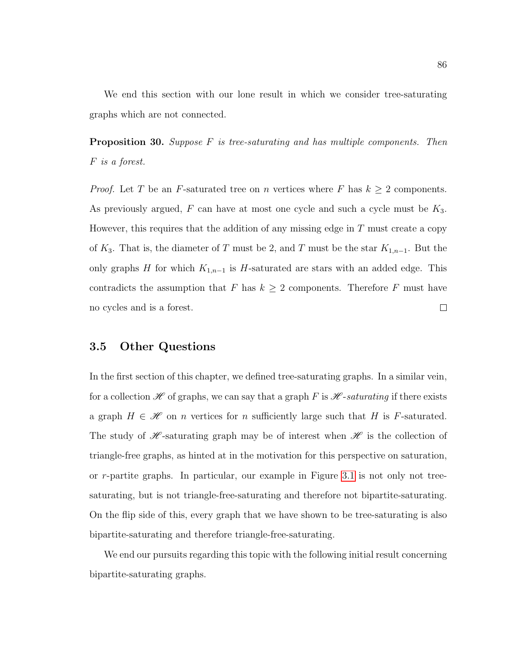We end this section with our lone result in which we consider tree-saturating graphs which are not connected.

**Proposition 30.** Suppose  $F$  is tree-saturating and has multiple components. Then F is a forest.

*Proof.* Let T be an F-saturated tree on n vertices where F has  $k \geq 2$  components. As previously argued,  $F$  can have at most one cycle and such a cycle must be  $K_3$ . However, this requires that the addition of any missing edge in  $T$  must create a copy of  $K_3$ . That is, the diameter of T must be 2, and T must be the star  $K_{1,n-1}$ . But the only graphs H for which  $K_{1,n-1}$  is H-saturated are stars with an added edge. This contradicts the assumption that F has  $k \geq 2$  components. Therefore F must have no cycles and is a forest.  $\Box$ 

## 3.5 Other Questions

In the first section of this chapter, we defined tree-saturating graphs. In a similar vein, for a collection  $\mathscr H$  of graphs, we can say that a graph F is  $\mathscr H$ -saturating if there exists a graph  $H \in \mathcal{H}$  on n vertices for n sufficiently large such that H is F-saturated. The study of  $\mathscr{H}$ -saturating graph may be of interest when  $\mathscr{H}$  is the collection of triangle-free graphs, as hinted at in the motivation for this perspective on saturation, or r-partite graphs. In particular, our example in Figure [3.1](#page-74-0) is not only not treesaturating, but is not triangle-free-saturating and therefore not bipartite-saturating. On the flip side of this, every graph that we have shown to be tree-saturating is also bipartite-saturating and therefore triangle-free-saturating.

We end our pursuits regarding this topic with the following initial result concerning bipartite-saturating graphs.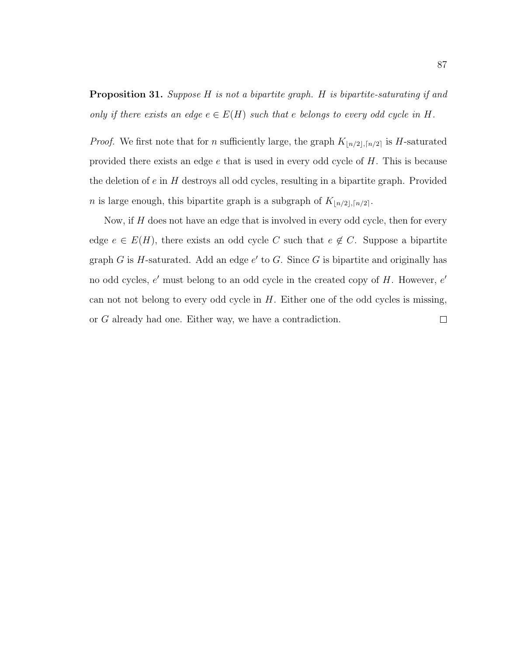Proposition 31. Suppose H is not a bipartite graph. H is bipartite-saturating if and only if there exists an edge  $e \in E(H)$  such that e belongs to every odd cycle in H.

*Proof.* We first note that for n sufficiently large, the graph  $K_{\lfloor n/2 \rfloor, \lceil n/2 \rceil}$  is H-saturated provided there exists an edge  $e$  that is used in every odd cycle of  $H$ . This is because the deletion of  $e$  in  $H$  destroys all odd cycles, resulting in a bipartite graph. Provided *n* is large enough, this bipartite graph is a subgraph of  $K_{\lfloor n/2 \rfloor, \lceil n/2 \rceil}$ .

Now, if  $H$  does not have an edge that is involved in every odd cycle, then for every edge  $e \in E(H)$ , there exists an odd cycle C such that  $e \notin C$ . Suppose a bipartite graph  $G$  is  $H$ -saturated. Add an edge  $e'$  to  $G$ . Since  $G$  is bipartite and originally has no odd cycles, e' must belong to an odd cycle in the created copy of H. However, e' can not not belong to every odd cycle in  $H$ . Either one of the odd cycles is missing, or G already had one. Either way, we have a contradiction. $\Box$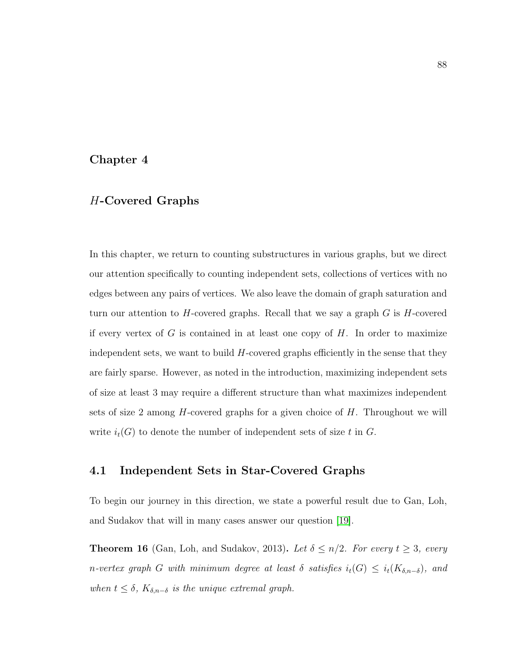## Chapter 4

# H-Covered Graphs

In this chapter, we return to counting substructures in various graphs, but we direct our attention specifically to counting independent sets, collections of vertices with no edges between any pairs of vertices. We also leave the domain of graph saturation and turn our attention to  $H$ -covered graphs. Recall that we say a graph  $G$  is  $H$ -covered if every vertex of  $G$  is contained in at least one copy of  $H$ . In order to maximize independent sets, we want to build  $H$ -covered graphs efficiently in the sense that they are fairly sparse. However, as noted in the introduction, maximizing independent sets of size at least 3 may require a different structure than what maximizes independent sets of size 2 among  $H$ -covered graphs for a given choice of  $H$ . Throughout we will write  $i_t(G)$  to denote the number of independent sets of size t in G.

# 4.1 Independent Sets in Star-Covered Graphs

To begin our journey in this direction, we state a powerful result due to Gan, Loh, and Sudakov that will in many cases answer our question [\[19\]](#page-117-0).

**Theorem 16** (Gan, Loh, and Sudakov, 2013). Let  $\delta \leq n/2$ . For every  $t \geq 3$ , every n-vertex graph G with minimum degree at least  $\delta$  satisfies  $i_t(G) \leq i_t(K_{\delta,n-\delta})$ , and when  $t \leq \delta$ ,  $K_{\delta,n-\delta}$  is the unique extremal graph.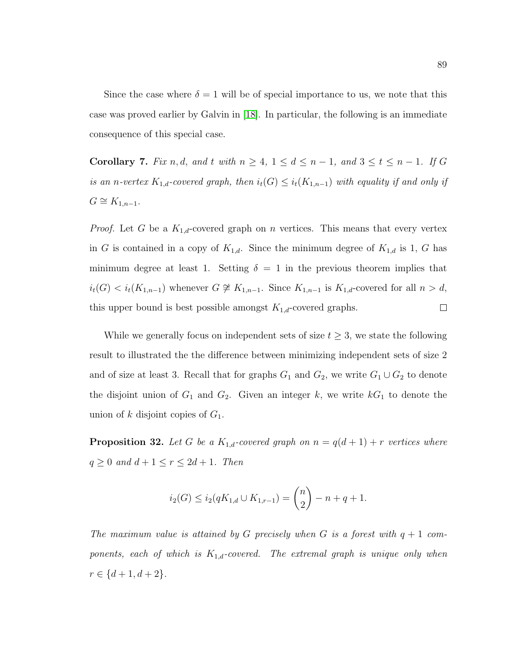Since the case where  $\delta = 1$  will be of special importance to us, we note that this case was proved earlier by Galvin in [\[18\]](#page-117-1). In particular, the following is an immediate consequence of this special case.

<span id="page-97-0"></span>Corollary 7. Fix n, d, and t with  $n \geq 4$ ,  $1 \leq d \leq n-1$ , and  $3 \leq t \leq n-1$ . If G is an n-vertex  $K_{1,d}$ -covered graph, then  $i_t(G) \leq i_t(K_{1,n-1})$  with equality if and only if  $G \cong K_{1,n-1}.$ 

*Proof.* Let G be a  $K_{1,d}$ -covered graph on n vertices. This means that every vertex in G is contained in a copy of  $K_{1,d}$ . Since the minimum degree of  $K_{1,d}$  is 1, G has minimum degree at least 1. Setting  $\delta = 1$  in the previous theorem implies that  $i_t(G) < i_t(K_{1,n-1})$  whenever  $G \not\cong K_{1,n-1}$ . Since  $K_{1,n-1}$  is  $K_{1,d}$ -covered for all  $n > d$ , this upper bound is best possible amongst  $K_{1,d}$ -covered graphs.  $\Box$ 

While we generally focus on independent sets of size  $t \geq 3$ , we state the following result to illustrated the the difference between minimizing independent sets of size 2 and of size at least 3. Recall that for graphs  $G_1$  and  $G_2$ , we write  $G_1 \cup G_2$  to denote the disjoint union of  $G_1$  and  $G_2$ . Given an integer k, we write  $kG_1$  to denote the union of k disjoint copies of  $G_1$ .

**Proposition 32.** Let G be a  $K_{1,d}$ -covered graph on  $n = q(d+1) + r$  vertices where  $q \geq 0$  and  $d+1 \leq r \leq 2d+1$ . Then

$$
i_2(G) \le i_2(qK_{1,d} \cup K_{1,r-1}) = \binom{n}{2} - n + q + 1.
$$

The maximum value is attained by G precisely when G is a forest with  $q + 1$  components, each of which is  $K_{1,d}$ -covered. The extremal graph is unique only when  $r \in \{d+1, d+2\}.$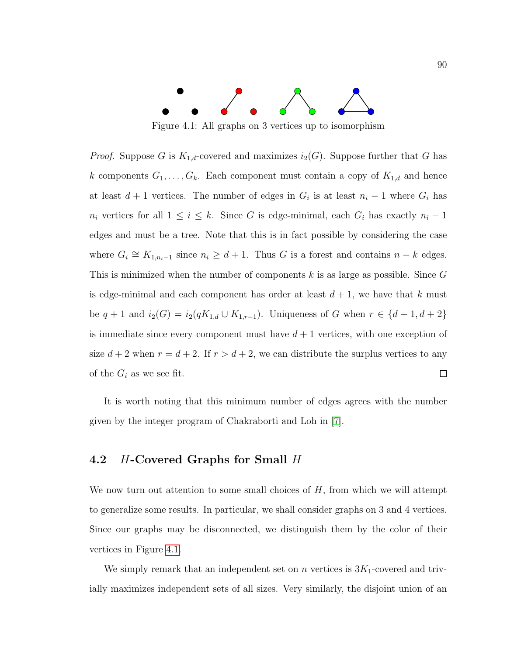<span id="page-98-0"></span>

Figure 4.1: All graphs on 3 vertices up to isomorphism

*Proof.* Suppose G is  $K_{1,d}$ -covered and maximizes  $i_2(G)$ . Suppose further that G has k components  $G_1, \ldots, G_k$ . Each component must contain a copy of  $K_{1,d}$  and hence at least  $d+1$  vertices. The number of edges in  $G_i$  is at least  $n_i-1$  where  $G_i$  has  $n_i$  vertices for all  $1 \leq i \leq k$ . Since G is edge-minimal, each  $G_i$  has exactly  $n_i - 1$ edges and must be a tree. Note that this is in fact possible by considering the case where  $G_i \cong K_{1,n_i-1}$  since  $n_i \geq d+1$ . Thus G is a forest and contains  $n-k$  edges. This is minimized when the number of components k is as large as possible. Since  $G$ is edge-minimal and each component has order at least  $d + 1$ , we have that k must be  $q + 1$  and  $i_2(G) = i_2(qK_{1,d} \cup K_{1,r-1})$ . Uniqueness of G when  $r \in \{d+1, d+2\}$ is immediate since every component must have  $d+1$  vertices, with one exception of size  $d + 2$  when  $r = d + 2$ . If  $r > d + 2$ , we can distribute the surplus vertices to any of the  $G_i$  as we see fit.  $\Box$ 

It is worth noting that this minimum number of edges agrees with the number given by the integer program of Chakraborti and Loh in [\[7\]](#page-116-0).

# 4.2 H-Covered Graphs for Small H

We now turn out attention to some small choices of  $H$ , from which we will attempt to generalize some results. In particular, we shall consider graphs on 3 and 4 vertices. Since our graphs may be disconnected, we distinguish them by the color of their vertices in Figure [4.1.](#page-98-0)

We simply remark that an independent set on n vertices is  $3K_1$ -covered and trivially maximizes independent sets of all sizes. Very similarly, the disjoint union of an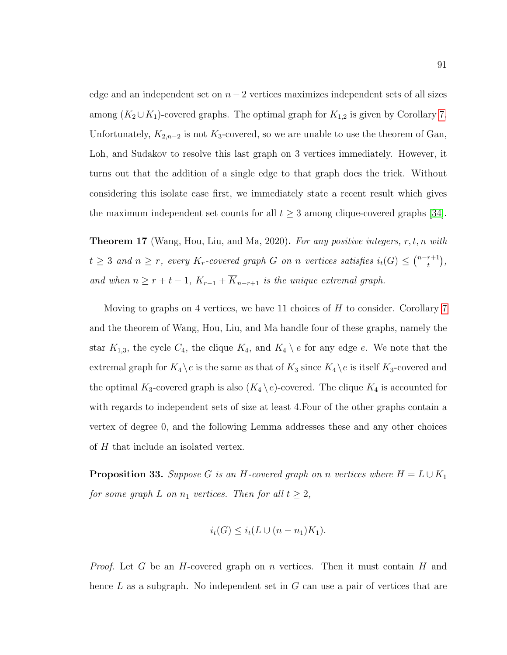edge and an independent set on  $n-2$  vertices maximizes independent sets of all sizes among  $(K_2 \cup K_1)$ -covered graphs. The optimal graph for  $K_{1,2}$  is given by Corollary [7.](#page-97-0) Unfortunately,  $K_{2,n-2}$  is not  $K_3$ -covered, so we are unable to use the theorem of Gan, Loh, and Sudakov to resolve this last graph on 3 vertices immediately. However, it turns out that the addition of a single edge to that graph does the trick. Without considering this isolate case first, we immediately state a recent result which gives the maximum independent set counts for all  $t \geq 3$  among clique-covered graphs [\[34\]](#page-119-0).

**Theorem 17** (Wang, Hou, Liu, and Ma, 2020). For any positive integers,  $r, t, n$  with  $t \geq 3$  and  $n \geq r$ , every  $K_r$ -covered graph G on n vertices satisfies  $i_t(G) \leq {n-r+1 \choose t}$  $\binom{r+1}{t},$ and when  $n \geq r + t - 1$ ,  $K_{r-1} + \overline{K}_{n-r+1}$  is the unique extremal graph.

Moving to graphs on 4 vertices, we have 11 choices of  $H$  to consider. Corollary [7](#page-97-0) and the theorem of Wang, Hou, Liu, and Ma handle four of these graphs, namely the star  $K_{1,3}$ , the cycle  $C_4$ , the clique  $K_4$ , and  $K_4 \setminus e$  for any edge e. We note that the extremal graph for  $K_4 \backslash e$  is the same as that of  $K_3$  since  $K_4 \backslash e$  is itself  $K_3$ -covered and the optimal  $K_3$ -covered graph is also  $(K_4 \setminus e)$ -covered. The clique  $K_4$  is accounted for with regards to independent sets of size at least 4.Four of the other graphs contain a vertex of degree 0, and the following Lemma addresses these and any other choices of H that include an isolated vertex.

<span id="page-99-0"></span>**Proposition 33.** Suppose G is an H-covered graph on n vertices where  $H = L \cup K_1$ for some graph L on  $n_1$  vertices. Then for all  $t \geq 2$ ,

$$
i_t(G) \leq i_t(L \cup (n - n_1)K_1).
$$

*Proof.* Let G be an H-covered graph on n vertices. Then it must contain H and hence  $L$  as a subgraph. No independent set in  $G$  can use a pair of vertices that are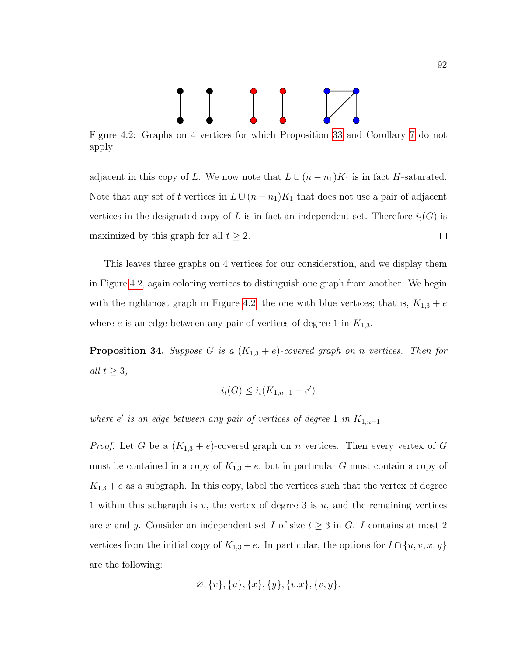

<span id="page-100-0"></span>Figure 4.2: Graphs on 4 vertices for which Proposition [33](#page-99-0) and Corollary [7](#page-97-0) do not apply

adjacent in this copy of L. We now note that  $L \cup (n - n_1)K_1$  is in fact H-saturated. Note that any set of t vertices in  $L \cup (n - n_1)K_1$  that does not use a pair of adjacent vertices in the designated copy of L is in fact an independent set. Therefore  $i_t(G)$  is maximized by this graph for all  $t \geq 2$ .  $\Box$ 

This leaves three graphs on 4 vertices for our consideration, and we display them in Figure [4.2,](#page-100-0) again coloring vertices to distinguish one graph from another. We begin with the rightmost graph in Figure [4.2,](#page-100-0) the one with blue vertices; that is,  $K_{1,3} + e$ where e is an edge between any pair of vertices of degree 1 in  $K_{1,3}$ .

**Proposition 34.** Suppose G is a  $(K_{1,3} + e)$ -covered graph on n vertices. Then for all  $t \geq 3$ ,

$$
i_t(G) \le i_t(K_{1,n-1} + e')
$$

where e' is an edge between any pair of vertices of degree 1 in  $K_{1,n-1}$ .

*Proof.* Let G be a  $(K_{1,3} + e)$ -covered graph on n vertices. Then every vertex of G must be contained in a copy of  $K_{1,3} + e$ , but in particular G must contain a copy of  $K_{1,3} + e$  as a subgraph. In this copy, label the vertices such that the vertex of degree 1 within this subgraph is v, the vertex of degree 3 is  $u$ , and the remaining vertices are x and y. Consider an independent set I of size  $t \geq 3$  in G. I contains at most 2 vertices from the initial copy of  $K_{1,3} + e$ . In particular, the options for  $I \cap \{u, v, x, y\}$ are the following:

$$
\varnothing, \{v\}, \{u\}, \{x\}, \{y\}, \{v.x\}, \{v, y\}.
$$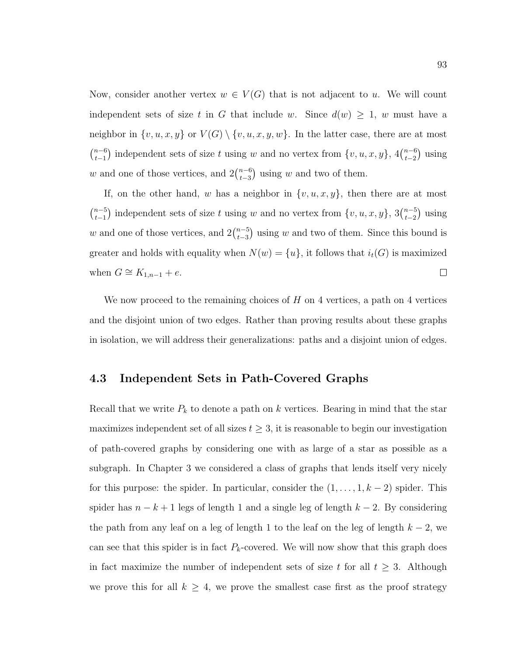Now, consider another vertex  $w \in V(G)$  that is not adjacent to u. We will count independent sets of size t in G that include w. Since  $d(w) \geq 1$ , w must have a neighbor in  $\{v, u, x, y\}$  or  $V(G) \setminus \{v, u, x, y, w\}$ . In the latter case, there are at most  $\binom{n-6}{1}$  $_{t-1}^{n-6}$ ) independent sets of size t using w and no vertex from  $\{v, u, x, y\}$ , 4 $\binom{n-6}{t-2}$  $_{t-2}^{n-6}$ ) using w and one of those vertices, and  $2\binom{n-6}{t-3}$  $_{t-3}^{n-6}$ ) using w and two of them.

If, on the other hand, w has a neighbor in  $\{v, u, x, y\}$ , then there are at most  $\binom{n-5}{1}$  $t_{t-1}^{(n-5)}$  independent sets of size t using w and no vertex from  $\{v, u, x, y\}$ ,  $3\binom{n-5}{t-2}$  $_{t-2}^{n-5}$ ) using w and one of those vertices, and  $2\binom{n-5}{t-3}$  $_{t-3}^{n-5}$ ) using w and two of them. Since this bound is greater and holds with equality when  $N(w) = \{u\}$ , it follows that  $i_t(G)$  is maximized when  $G \cong K_{1,n-1} + e$ .  $\Box$ 

We now proceed to the remaining choices of  $H$  on 4 vertices, a path on 4 vertices and the disjoint union of two edges. Rather than proving results about these graphs in isolation, we will address their generalizations: paths and a disjoint union of edges.

## 4.3 Independent Sets in Path-Covered Graphs

Recall that we write  $P_k$  to denote a path on k vertices. Bearing in mind that the star maximizes independent set of all sizes  $t \geq 3$ , it is reasonable to begin our investigation of path-covered graphs by considering one with as large of a star as possible as a subgraph. In Chapter 3 we considered a class of graphs that lends itself very nicely for this purpose: the spider. In particular, consider the  $(1, \ldots, 1, k-2)$  spider. This spider has  $n - k + 1$  legs of length 1 and a single leg of length  $k - 2$ . By considering the path from any leaf on a leg of length 1 to the leaf on the leg of length  $k - 2$ , we can see that this spider is in fact  $P_k$ -covered. We will now show that this graph does in fact maximize the number of independent sets of size t for all  $t \geq 3$ . Although we prove this for all  $k \geq 4$ , we prove the smallest case first as the proof strategy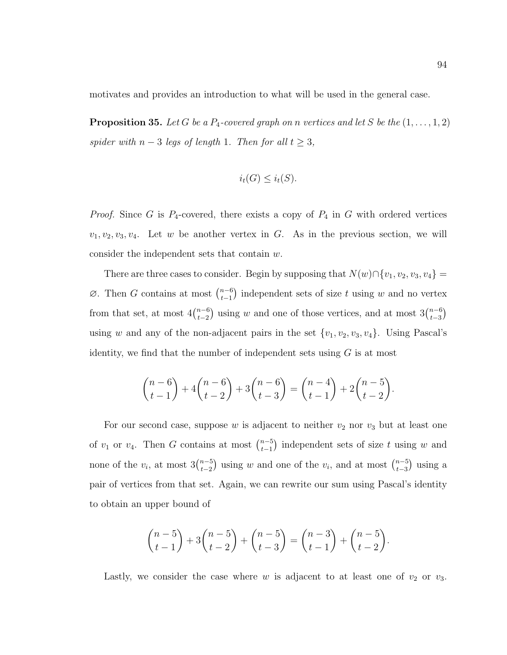motivates and provides an introduction to what will be used in the general case.

**Proposition 35.** Let G be a  $P_4$ -covered graph on n vertices and let S be the  $(1, \ldots, 1, 2)$ spider with  $n-3$  legs of length 1. Then for all  $t \geq 3$ ,

$$
i_t(G) \leq i_t(S).
$$

*Proof.* Since G is  $P_4$ -covered, there exists a copy of  $P_4$  in G with ordered vertices  $v_1, v_2, v_3, v_4$ . Let w be another vertex in G. As in the previous section, we will consider the independent sets that contain w.

There are three cases to consider. Begin by supposing that  $N(w) \cap \{v_1, v_2, v_3, v_4\} =$  $\varnothing$ . Then G contains at most  $\binom{n-6}{t-1}$  $_{t-1}^{n-6}$ ) independent sets of size t using w and no vertex from that set, at most  $4\binom{n-6}{t-2}$  $t_{t-2}^{(n-6)}$  using w and one of those vertices, and at most  $3\binom{n-6}{t-3}$  $_{t-3}^{n-6}$ using w and any of the non-adjacent pairs in the set  $\{v_1, v_2, v_3, v_4\}$ . Using Pascal's identity, we find that the number of independent sets using  $G$  is at most

$$
\binom{n-6}{t-1} + 4\binom{n-6}{t-2} + 3\binom{n-6}{t-3} = \binom{n-4}{t-1} + 2\binom{n-5}{t-2}.
$$

For our second case, suppose  $w$  is adjacent to neither  $v_2$  nor  $v_3$  but at least one of  $v_1$  or  $v_4$ . Then G contains at most  $\binom{n-5}{t-1}$  $_{t-1}^{n-5}$ ) independent sets of size t using w and none of the  $v_i$ , at most  $3\binom{n-5}{t-2}$  $\binom{n-5}{t-2}$  using w and one of the  $v_i$ , and at most  $\binom{n-5}{t-3}$  $_{t-3}^{n-5}$ ) using a pair of vertices from that set. Again, we can rewrite our sum using Pascal's identity to obtain an upper bound of

$$
\binom{n-5}{t-1} + 3\binom{n-5}{t-2} + \binom{n-5}{t-3} = \binom{n-3}{t-1} + \binom{n-5}{t-2}.
$$

Lastly, we consider the case where w is adjacent to at least one of  $v_2$  or  $v_3$ .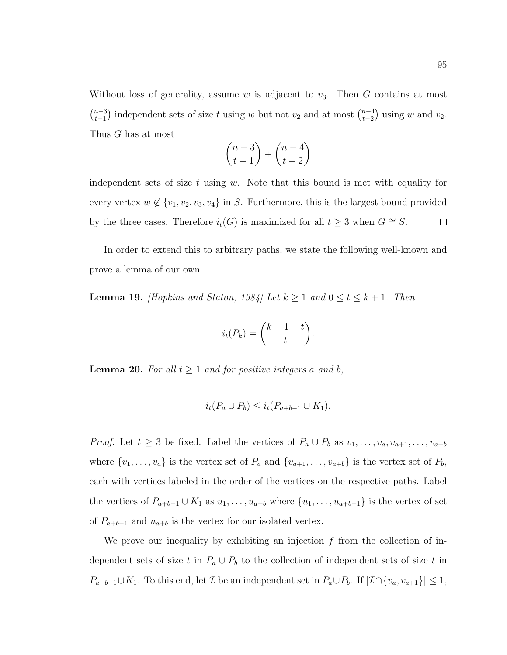Without loss of generality, assume  $w$  is adjacent to  $v_3$ . Then  $G$  contains at most  $\binom{n-3}{1}$  $\binom{n-3}{t-1}$  independent sets of size t using w but not  $v_2$  and at most  $\binom{n-4}{t-2}$  $_{t-2}^{n-4}$ ) using w and  $v_2$ . Thus G has at most

$$
\binom{n-3}{t-1} + \binom{n-4}{t-2}
$$

independent sets of size t using w. Note that this bound is met with equality for every vertex  $w \notin \{v_1, v_2, v_3, v_4\}$  in S. Furthermore, this is the largest bound provided by the three cases. Therefore  $i_t(G)$  is maximized for all  $t \geq 3$  when  $G \cong S$ .  $\Box$ 

In order to extend this to arbitrary paths, we state the following well-known and prove a lemma of our own.

<span id="page-103-0"></span>**Lemma 19.** [Hopkins and Staton, 1984] Let  $k \ge 1$  and  $0 \le t \le k + 1$ . Then

$$
i_t(P_k) = \binom{k+1-t}{t}.
$$

<span id="page-103-1"></span>**Lemma 20.** For all  $t \geq 1$  and for positive integers a and b,

$$
i_t(P_a \cup P_b) \leq i_t(P_{a+b-1} \cup K_1).
$$

*Proof.* Let  $t \geq 3$  be fixed. Label the vertices of  $P_a \cup P_b$  as  $v_1, \ldots, v_a, v_{a+1}, \ldots, v_{a+b}$ where  $\{v_1, \ldots, v_a\}$  is the vertex set of  $P_a$  and  $\{v_{a+1}, \ldots, v_{a+b}\}$  is the vertex set of  $P_b$ , each with vertices labeled in the order of the vertices on the respective paths. Label the vertices of  $P_{a+b-1} \cup K_1$  as  $u_1, \ldots, u_{a+b}$  where  $\{u_1, \ldots, u_{a+b-1}\}$  is the vertex of set of  $P_{a+b-1}$  and  $u_{a+b}$  is the vertex for our isolated vertex.

We prove our inequality by exhibiting an injection  $f$  from the collection of independent sets of size t in  $P_a \cup P_b$  to the collection of independent sets of size t in  $P_{a+b-1}\cup K_1$ . To this end, let  $\mathcal I$  be an independent set in  $P_a\cup P_b$ . If  $|\mathcal I\cap \{v_a,v_{a+1}\}| \leq 1$ ,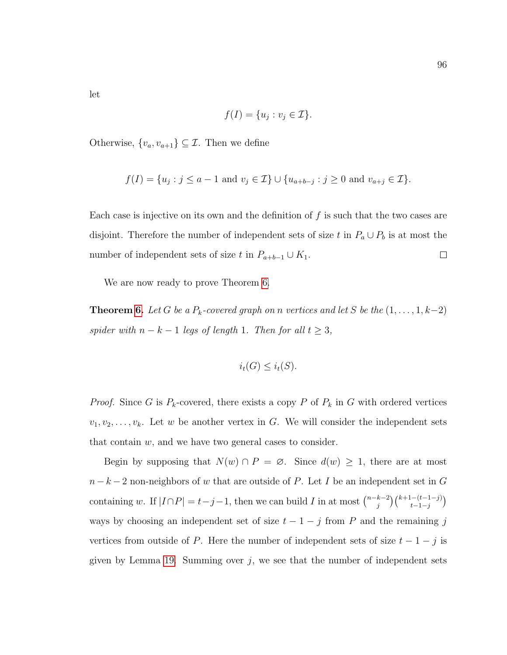let

$$
f(I) = \{u_j : v_j \in \mathcal{I}\}.
$$

Otherwise,  $\{v_a, v_{a+1}\}\subseteq \mathcal{I}$ . Then we define

$$
f(I) = \{u_j : j \le a - 1 \text{ and } v_j \in \mathcal{I}\} \cup \{u_{a+b-j} : j \ge 0 \text{ and } v_{a+j} \in \mathcal{I}\}.
$$

Each case is injective on its own and the definition of  $f$  is such that the two cases are disjoint. Therefore the number of independent sets of size t in  $P_a \cup P_b$  is at most the number of independent sets of size t in  $P_{a+b-1} \cup K_1$ .  $\Box$ 

We are now ready to prove Theorem [6.](#page-15-0)

**Theorem [6.](#page-15-0)** Let G be a  $P_k$ -covered graph on n vertices and let S be the  $(1, \ldots, 1, k-2)$ spider with  $n - k - 1$  legs of length 1. Then for all  $t \geq 3$ ,

$$
i_t(G) \leq i_t(S).
$$

*Proof.* Since G is  $P_k$ -covered, there exists a copy P of  $P_k$  in G with ordered vertices  $v_1, v_2, \ldots, v_k$ . Let w be another vertex in G. We will consider the independent sets that contain  $w$ , and we have two general cases to consider.

Begin by supposing that  $N(w) \cap P = \emptyset$ . Since  $d(w) \geq 1$ , there are at most  $n - k - 2$  non-neighbors of w that are outside of P. Let I be an independent set in G containing w. If  $|I \cap P| = t - j - 1$ , then we can build I in at most  $\binom{n-k-2}{i}$  $\binom{k+1-(t-1-j)}{t-1-j}$ ways by choosing an independent set of size  $t - 1 - j$  from P and the remaining j vertices from outside of P. Here the number of independent sets of size  $t - 1 - j$  is given by Lemma [19.](#page-103-0) Summing over  $j$ , we see that the number of independent sets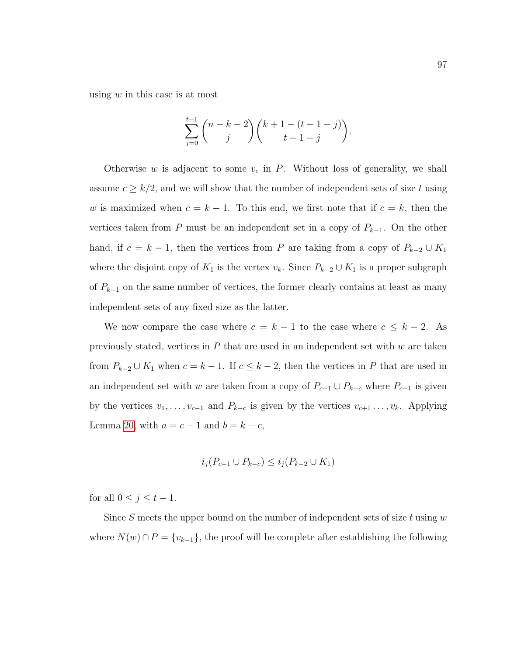using  $w$  in this case is at most

$$
\sum_{j=0}^{t-1} \binom{n-k-2}{j} \binom{k+1-(t-1-j)}{t-1-j}.
$$

Otherwise w is adjacent to some  $v_c$  in P. Without loss of generality, we shall assume  $c \geq k/2$ , and we will show that the number of independent sets of size t using w is maximized when  $c = k - 1$ . To this end, we first note that if  $c = k$ , then the vertices taken from P must be an independent set in a copy of  $P_{k-1}$ . On the other hand, if  $c = k - 1$ , then the vertices from P are taking from a copy of  $P_{k-2} \cup K_1$ where the disjoint copy of  $K_1$  is the vertex  $v_k$ . Since  $P_{k-2} \cup K_1$  is a proper subgraph of  $P_{k-1}$  on the same number of vertices, the former clearly contains at least as many independent sets of any fixed size as the latter.

We now compare the case where  $c = k - 1$  to the case where  $c \leq k - 2$ . As previously stated, vertices in  $P$  that are used in an independent set with  $w$  are taken from  $P_{k-2} \cup K_1$  when  $c = k - 1$ . If  $c \leq k - 2$ , then the vertices in P that are used in an independent set with w are taken from a copy of  $P_{c-1} \cup P_{k-c}$  where  $P_{c-1}$  is given by the vertices  $v_1, \ldots, v_{c-1}$  and  $P_{k-c}$  is given by the vertices  $v_{c+1}, \ldots, v_k$ . Applying Lemma [20,](#page-103-1) with  $a = c - 1$  and  $b = k - c$ ,

$$
i_j(P_{c-1} \cup P_{k-c}) \le i_j(P_{k-2} \cup K_1)
$$

for all  $0 \leq j \leq t-1$ .

Since S meets the upper bound on the number of independent sets of size  $t$  using  $w$ where  $N(w) \cap P = \{v_{k-1}\}\$ , the proof will be complete after establishing the following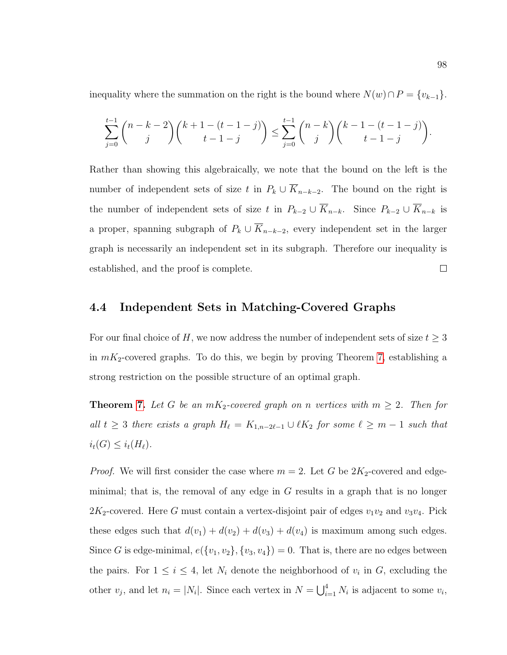inequality where the summation on the right is the bound where  $N(w) \cap P = \{v_{k-1}\}.$ 

$$
\sum_{j=0}^{t-1} {n-k-2 \choose j} {k+1-(t-1-j) \choose t-1-j} \le \sum_{j=0}^{t-1} {n-k \choose j} {k-1-(t-1-j) \choose t-1-j}.
$$

Rather than showing this algebraically, we note that the bound on the left is the number of independent sets of size t in  $P_k \cup \overline{K}_{n-k-2}$ . The bound on the right is the number of independent sets of size t in  $P_{k-2} \cup \overline{K}_{n-k}$ . Since  $P_{k-2} \cup \overline{K}_{n-k}$  is a proper, spanning subgraph of  $P_k \cup \overline{K}_{n-k-2}$ , every independent set in the larger graph is necessarily an independent set in its subgraph. Therefore our inequality is established, and the proof is complete.  $\Box$ 

#### 4.4 Independent Sets in Matching-Covered Graphs

For our final choice of H, we now address the number of independent sets of size  $t \geq 3$ in  $m_{2}$ -covered graphs. To do this, we begin by proving Theorem [7,](#page-16-0) establishing a strong restriction on the possible structure of an optimal graph.

**Theorem [7.](#page-16-0)** Let G be an  $mK_2$ -covered graph on n vertices with  $m \geq 2$ . Then for all  $t \geq 3$  there exists a graph  $H_{\ell} = K_{1,n-2\ell-1} \cup \ell K_2$  for some  $\ell \geq m-1$  such that  $i_t(G) \leq i_t(H_\ell).$ 

*Proof.* We will first consider the case where  $m = 2$ . Let G be  $2K_2$ -covered and edgeminimal; that is, the removal of any edge in  $G$  results in a graph that is no longer  $2K_2$ -covered. Here G must contain a vertex-disjoint pair of edges  $v_1v_2$  and  $v_3v_4$ . Pick these edges such that  $d(v_1) + d(v_2) + d(v_3) + d(v_4)$  is maximum among such edges. Since G is edge-minimal,  $e({v_1, v_2}, {v_3, v_4}) = 0$ . That is, there are no edges between the pairs. For  $1 \leq i \leq 4$ , let  $N_i$  denote the neighborhood of  $v_i$  in G, excluding the other  $v_j$ , and let  $n_i = |N_i|$ . Since each vertex in  $N = \bigcup_{i=1}^4 N_i$  is adjacent to some  $v_i$ ,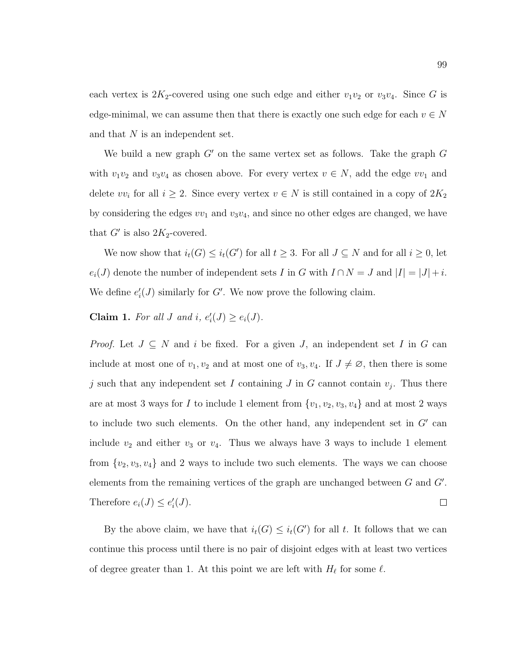each vertex is  $2K_2$ -covered using one such edge and either  $v_1v_2$  or  $v_3v_4$ . Since G is edge-minimal, we can assume then that there is exactly one such edge for each  $v \in N$ and that  $N$  is an independent set.

We build a new graph  $G'$  on the same vertex set as follows. Take the graph  $G$ with  $v_1v_2$  and  $v_3v_4$  as chosen above. For every vertex  $v \in N$ , add the edge  $vv_1$  and delete  $vv_i$  for all  $i \geq 2$ . Since every vertex  $v \in N$  is still contained in a copy of  $2K_2$ by considering the edges  $vv_1$  and  $v_3v_4$ , and since no other edges are changed, we have that  $G'$  is also  $2K_2$ -covered.

We now show that  $i_t(G) \leq i_t(G')$  for all  $t \geq 3$ . For all  $J \subseteq N$  and for all  $i \geq 0$ , let  $e_i(J)$  denote the number of independent sets I in G with  $I \cap N = J$  and  $|I| = |J| + i$ . We define  $e'_{i}(J)$  similarly for G'. We now prove the following claim.

**Claim 1.** For all J and i,  $e'_i(J) \ge e_i(J)$ .

*Proof.* Let  $J \subseteq N$  and i be fixed. For a given J, an independent set I in G can include at most one of  $v_1, v_2$  and at most one of  $v_3, v_4$ . If  $J \neq \emptyset$ , then there is some j such that any independent set I containing J in G cannot contain  $v_j$ . Thus there are at most 3 ways for I to include 1 element from  $\{v_1, v_2, v_3, v_4\}$  and at most 2 ways to include two such elements. On the other hand, any independent set in  $G'$  can include  $v_2$  and either  $v_3$  or  $v_4$ . Thus we always have 3 ways to include 1 element from  $\{v_2, v_3, v_4\}$  and 2 ways to include two such elements. The ways we can choose elements from the remaining vertices of the graph are unchanged between  $G$  and  $G'$ . Therefore  $e_i(J) \leq e'_i(J)$ .  $\Box$ 

By the above claim, we have that  $i_t(G) \leq i_t(G')$  for all t. It follows that we can continue this process until there is no pair of disjoint edges with at least two vertices of degree greater than 1. At this point we are left with  $H_{\ell}$  for some  $\ell$ .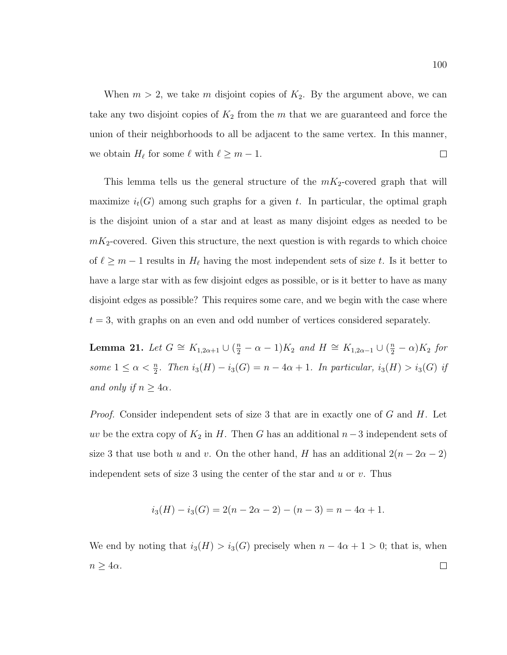When  $m > 2$ , we take m disjoint copies of  $K_2$ . By the argument above, we can take any two disjoint copies of  $K_2$  from the m that we are guaranteed and force the union of their neighborhoods to all be adjacent to the same vertex. In this manner, we obtain  $H_{\ell}$  for some  $\ell$  with  $\ell \geq m-1$ .  $\Box$ 

This lemma tells us the general structure of the  $m_{2}$ -covered graph that will maximize  $i_t(G)$  among such graphs for a given t. In particular, the optimal graph is the disjoint union of a star and at least as many disjoint edges as needed to be  $mK_2$ -covered. Given this structure, the next question is with regards to which choice of  $\ell \geq m-1$  results in  $H_{\ell}$  having the most independent sets of size t. Is it better to have a large star with as few disjoint edges as possible, or is it better to have as many disjoint edges as possible? This requires some care, and we begin with the case where  $t = 3$ , with graphs on an even and odd number of vertices considered separately.

<span id="page-108-0"></span>**Lemma 21.** Let  $G \cong K_{1,2\alpha+1} \cup (\frac{n}{2} - \alpha - 1)K_2$  and  $H \cong K_{1,2\alpha-1} \cup (\frac{n}{2} - \alpha)K_2$  for some  $1 \leq \alpha < \frac{n}{2}$ . Then  $i_3(H) - i_3(G) = n - 4\alpha + 1$ . In particular,  $i_3(H) > i_3(G)$  if and only if  $n \geq 4\alpha$ .

*Proof.* Consider independent sets of size 3 that are in exactly one of  $G$  and  $H$ . Let uv be the extra copy of  $K_2$  in H. Then G has an additional  $n-3$  independent sets of size 3 that use both u and v. On the other hand, H has an additional  $2(n - 2\alpha - 2)$ independent sets of size 3 using the center of the star and  $u$  or  $v$ . Thus

$$
i_3(H) - i_3(G) = 2(n - 2\alpha - 2) - (n - 3) = n - 4\alpha + 1.
$$

We end by noting that  $i_3(H) > i_3(G)$  precisely when  $n - 4\alpha + 1 > 0$ ; that is, when  $n \geq 4\alpha$ .  $\Box$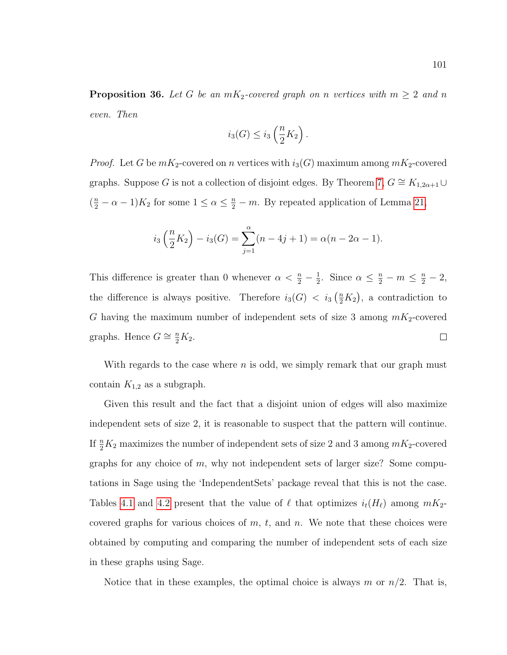**Proposition 36.** Let G be an  $mK_2$ -covered graph on n vertices with  $m \geq 2$  and n even. Then

$$
i_3(G) \leq i_3\left(\frac{n}{2}K_2\right).
$$

*Proof.* Let G be  $mK_2$ -covered on n vertices with  $i_3(G)$  maximum among  $mK_2$ -covered graphs. Suppose G is not a collection of disjoint edges. By Theorem [7,](#page-16-0)  $G \cong K_{1,2\alpha+1} \cup$  $(\frac{n}{2} - \alpha - 1)K_2$  for some  $1 \leq \alpha \leq \frac{n}{2} - m$ . By repeated application of Lemma [21,](#page-108-0)

$$
i_3\left(\frac{n}{2}K_2\right) - i_3(G) = \sum_{j=1}^{\alpha} (n - 4j + 1) = \alpha(n - 2\alpha - 1).
$$

This difference is greater than 0 whenever  $\alpha < \frac{n}{2} - \frac{1}{2}$  $\frac{1}{2}$ . Since  $\alpha \leq \frac{n}{2} - m \leq \frac{n}{2} - 2$ , the difference is always positive. Therefore  $i_3(G) < i_3(\frac{n}{2}K_2)$ , a contradiction to G having the maximum number of independent sets of size 3 among  $m_{2}$ -covered graphs. Hence  $G \cong \frac{n}{2}K_2$ .  $\Box$ 

With regards to the case where  $n$  is odd, we simply remark that our graph must contain  $K_{1,2}$  as a subgraph.

Given this result and the fact that a disjoint union of edges will also maximize independent sets of size 2, it is reasonable to suspect that the pattern will continue. If  $\frac{n}{2}K_2$  maximizes the number of independent sets of size 2 and 3 among  $mK_2$ -covered graphs for any choice of  $m$ , why not independent sets of larger size? Some computations in Sage using the 'IndependentSets' package reveal that this is not the case. Tables [4.1](#page-110-0) and [4.2](#page-110-1) present that the value of  $\ell$  that optimizes  $i_{\ell}(H_{\ell})$  among  $mK_2$ covered graphs for various choices of  $m$ ,  $t$ , and  $n$ . We note that these choices were obtained by computing and comparing the number of independent sets of each size in these graphs using Sage.

Notice that in these examples, the optimal choice is always m or  $n/2$ . That is,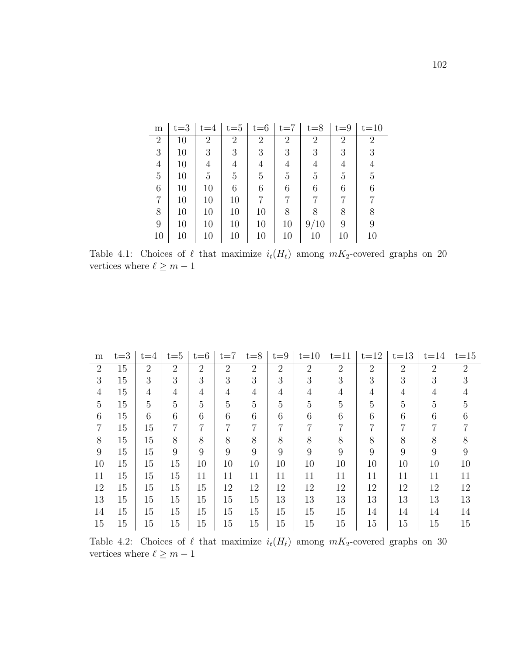<span id="page-110-0"></span>

| m              | $t = 3$ | $t = 4$        | $t=5$          | $t = 6$        | $t = 7$        | $t = 8$        | $t = 9$        | $t = 10$       |
|----------------|---------|----------------|----------------|----------------|----------------|----------------|----------------|----------------|
| $\overline{2}$ | 10      | $\overline{2}$ | $\overline{2}$ | $\overline{2}$ | $\overline{2}$ | $\overline{2}$ | $\overline{2}$ | 2              |
| 3              | 10      | 3              | 3              | 3              | 3              | 3              | 3              | 3              |
| $\overline{4}$ | 10      | 4              | 4              | 4              | 4              | $\overline{4}$ | 4              | 4              |
| 5              | 10      | 5              | $\overline{5}$ | 5              | 5              | 5              | 5              | $\overline{5}$ |
| 6              | 10      | 10             | 6              | 6              | 6              | 6              | 6              | 6              |
| 7              | 10      | 10             | 10             |                |                |                |                |                |
| 8              | 10      | 10             | 10             | 10             | 8              | 8              | 8              | 8              |
| 9              | 10      | 10             | 10             | 10             | 10             | 9/10           | 9              | 9              |
| 10             | 10      | 10             | 10             | 10             | 10             | 10             | 10             | 10             |

Table 4.1: Choices of  $\ell$  that maximize  $i_t(H_\ell)$  among  $mK_2$ -covered graphs on 20 vertices where  $\ell \geq m-1$ 

<span id="page-110-1"></span>

| m              | $t = 3$ | $t = 4$        | $t = 5$        | $t = 6$        | $t = 7$        | $t = 8$        | $t = 9$        | $t=10$         | $t = 11$       | $t=12$         | $t=13$         | $t=14$         | $t = 15$       |
|----------------|---------|----------------|----------------|----------------|----------------|----------------|----------------|----------------|----------------|----------------|----------------|----------------|----------------|
| $\overline{2}$ | 15      | $\overline{2}$ | $\overline{2}$ | $\overline{2}$ | $\overline{2}$ | $\overline{2}$ | $\overline{2}$ | $\overline{2}$ | $\overline{2}$ | $\overline{2}$ | $\overline{2}$ | $\overline{2}$ | $\overline{2}$ |
| 3              | 15      | 3              | 3              | 3              | 3              | 3              | 3              | 3              | 3              | 3              | 3              | 3              | 3              |
| 4              | 15      | 4              | $\overline{4}$ | 4              | $\overline{4}$ | $\overline{4}$ | $\overline{4}$ | $\overline{4}$ | $\overline{4}$ | $\overline{4}$ | 4              | 4              |                |
| 5              | 15      | 5              | 5              | 5              | 5              | $\overline{5}$ | $\overline{5}$ | 5              | 5              | 5              | 5              | 5              | 5              |
| 6              | 15      | 6              | 6              | 6              | 6              | 6              | 6              | 6              | 6              | 6              | 6              | 6              |                |
| 7              | 15      | 15             | 7              | 7              | 7              | $\overline{7}$ | $\overline{7}$ | $\overline{7}$ | $\overline{7}$ | $\overline{7}$ | 7              | 7              |                |
| 8              | 15      | 15             | 8              | 8              | 8              | 8              | 8              | 8              | 8              | 8              | 8              | 8              |                |
| 9              | 15      | 15             | 9              | 9              | 9              | 9              | 9              | 9              | 9              | 9              | 9              | 9              | 9              |
| 10             | 15      | 15             | 15             | 10             | 10             | 10             | 10             | 10             | 10             | 10             | 10             | 10             | 10             |
| 11             | 15      | 15             | 15             | 11             | 11             | 11             | 11             | 11             | 11             | 11             | 11             | 11             | 11             |
| 12             | 15      | 15             | 15             | 15             | 12             | 12             | 12             | 12             | 12             | 12             | 12             | 12             | 12             |
| 13             | 15      | 15             | 15             | 15             | 15             | 15             | 13             | 13             | 13             | 13             | 13             | 13             | 13             |
| 14             | 15      | 15             | 15             | 15             | 15             | 15             | 15             | 15             | $15\,$         | 14             | 14             | 14             | 14             |
| 15             | 15      | 15             | 15             | 15             | 15             | 15             | 15             | 15             | $15\,$         | 15             | 15             | 15             | 15             |

Table 4.2: Choices of  $\ell$  that maximize  $i_t(H_\ell)$  among  $mK_2$ -covered graphs on 30 vertices where  $\ell \geq m-1$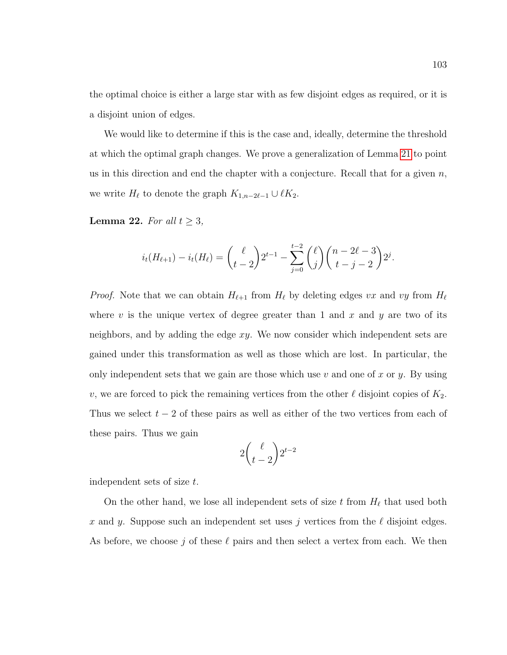the optimal choice is either a large star with as few disjoint edges as required, or it is a disjoint union of edges.

We would like to determine if this is the case and, ideally, determine the threshold at which the optimal graph changes. We prove a generalization of Lemma [21](#page-108-0) to point us in this direction and end the chapter with a conjecture. Recall that for a given  $n$ , we write  $H_{\ell}$  to denote the graph  $K_{1,n-2\ell-1} \cup \ell K_2$ .

**Lemma 22.** For all  $t \geq 3$ ,

$$
i_t(H_{\ell+1}) - i_t(H_{\ell}) = {\ell \choose t-2} 2^{t-1} - \sum_{j=0}^{t-2} {\ell \choose j} {n-2\ell-3 \choose t-j-2} 2^j.
$$

*Proof.* Note that we can obtain  $H_{\ell+1}$  from  $H_{\ell}$  by deleting edges vx and vy from  $H_{\ell}$ where v is the unique vertex of degree greater than 1 and x and y are two of its neighbors, and by adding the edge xy. We now consider which independent sets are gained under this transformation as well as those which are lost. In particular, the only independent sets that we gain are those which use  $v$  and one of  $x$  or  $y$ . By using v, we are forced to pick the remaining vertices from the other  $\ell$  disjoint copies of  $K_2$ . Thus we select  $t - 2$  of these pairs as well as either of the two vertices from each of these pairs. Thus we gain

$$
2\binom{\ell}{t-2}2^{t-2}
$$

independent sets of size t.

On the other hand, we lose all independent sets of size t from  $H_{\ell}$  that used both x and y. Suppose such an independent set uses j vertices from the  $\ell$  disjoint edges. As before, we choose j of these  $\ell$  pairs and then select a vertex from each. We then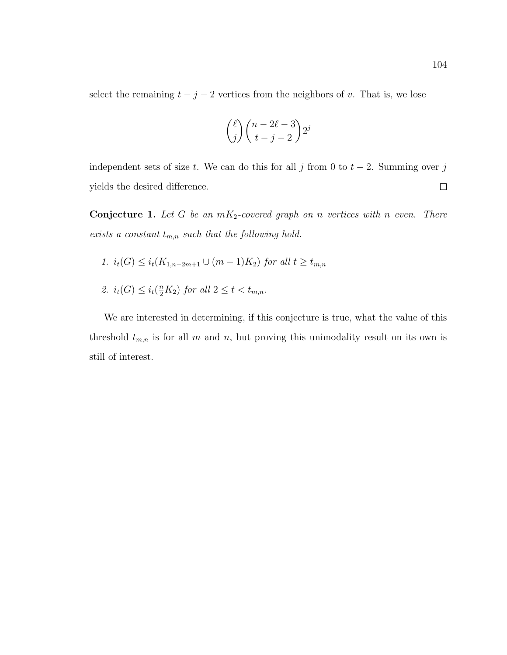select the remaining  $t - j - 2$  vertices from the neighbors of v. That is, we lose

$$
\binom{\ell}{j}\binom{n-2\ell-3}{t-j-2}2^j
$$

independent sets of size t. We can do this for all j from 0 to  $t - 2$ . Summing over j yields the desired difference.  $\Box$ 

<span id="page-112-0"></span>**Conjecture 1.** Let G be an  $mK_2$ -covered graph on n vertices with n even. There exists a constant  $t_{m,n}$  such that the following hold.

- 1.  $i_t(G)$  ≤  $i_t(K_{1,n-2m+1} \cup (m-1)K_2)$  for all  $t \ge t_{m,n}$
- 2.  $i_t(G) \leq i_t(\frac{n}{2}K_2)$  for all  $2 \leq t < t_{m,n}$ .

We are interested in determining, if this conjecture is true, what the value of this threshold  $t_{m,n}$  is for all m and n, but proving this unimodality result on its own is still of interest.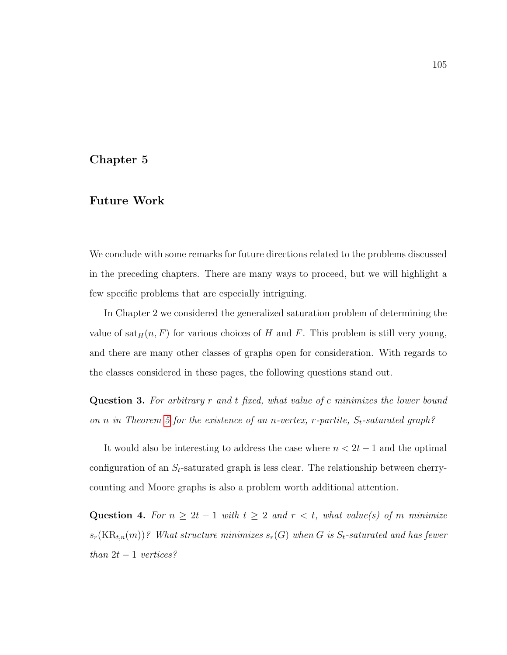## Chapter 5

## Future Work

We conclude with some remarks for future directions related to the problems discussed in the preceding chapters. There are many ways to proceed, but we will highlight a few specific problems that are especially intriguing.

In Chapter 2 we considered the generalized saturation problem of determining the value of  $\text{sat}_H(n, F)$  for various choices of H and F. This problem is still very young, and there are many other classes of graphs open for consideration. With regards to the classes considered in these pages, the following questions stand out.

Question 3. For arbitrary r and t fixed, what value of c minimizes the lower bound on n in Theorem [5](#page-14-0) for the existence of an n-vertex,  $r$ -partite,  $S_t$ -saturated graph?

It would also be interesting to address the case where  $n < 2t - 1$  and the optimal configuration of an  $S_t$ -saturated graph is less clear. The relationship between cherrycounting and Moore graphs is also a problem worth additional attention.

Question 4. For  $n \geq 2t - 1$  with  $t \geq 2$  and  $r < t$ , what value(s) of m minimize  $s_r(KR_{t,n}(m))$ ? What structure minimizes  $s_r(G)$  when G is  $S_t$ -saturated and has fewer than  $2t - 1$  vertices?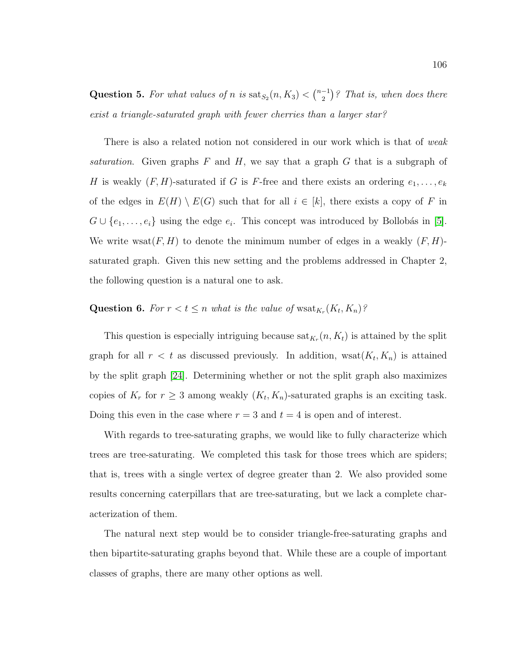Question 5. For what values of n is  $\text{sat}_{S_2}(n, K_3) < {n-1 \choose 2}$  $\binom{-1}{2}$ ? That is, when does there exist a triangle-saturated graph with fewer cherries than a larger star?

There is also a related notion not considered in our work which is that of *weak* saturation. Given graphs  $F$  and  $H$ , we say that a graph  $G$  that is a subgraph of H is weakly  $(F, H)$ -saturated if G is F-free and there exists an ordering  $e_1, \ldots, e_k$ of the edges in  $E(H) \setminus E(G)$  such that for all  $i \in [k]$ , there exists a copy of F in  $G \cup \{e_1, \ldots, e_i\}$  using the edge  $e_i$ . This concept was introduced by Bollobás in [\[5\]](#page-116-0). We write wsat $(F, H)$  to denote the minimum number of edges in a weakly  $(F, H)$ saturated graph. Given this new setting and the problems addressed in Chapter 2, the following question is a natural one to ask.

## Question 6. For  $r < t \leq n$  what is the value of  $w_{K_r}(K_t, K_n)$ ?

This question is especially intriguing because  $\text{sat}_{K_r}(n, K_t)$  is attained by the split graph for all  $r < t$  as discussed previously. In addition,  $\text{wsat}(K_t, K_n)$  is attained by the split graph [\[24\]](#page-118-0). Determining whether or not the split graph also maximizes copies of  $K_r$  for  $r \geq 3$  among weakly  $(K_t, K_n)$ -saturated graphs is an exciting task. Doing this even in the case where  $r = 3$  and  $t = 4$  is open and of interest.

With regards to tree-saturating graphs, we would like to fully characterize which trees are tree-saturating. We completed this task for those trees which are spiders; that is, trees with a single vertex of degree greater than 2. We also provided some results concerning caterpillars that are tree-saturating, but we lack a complete characterization of them.

The natural next step would be to consider triangle-free-saturating graphs and then bipartite-saturating graphs beyond that. While these are a couple of important classes of graphs, there are many other options as well.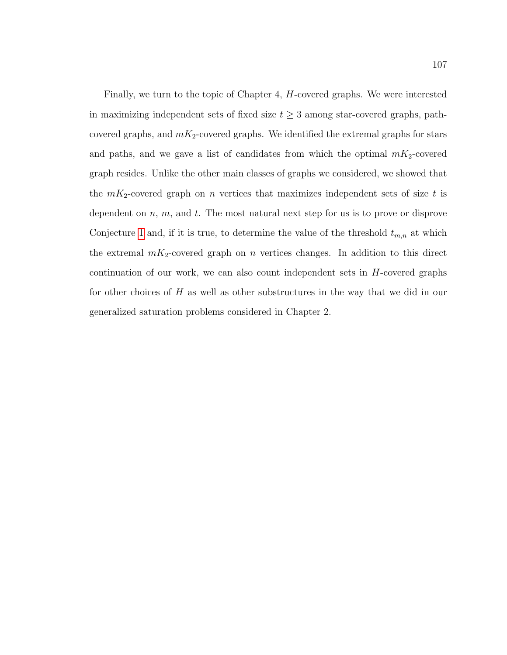Finally, we turn to the topic of Chapter 4, H-covered graphs. We were interested in maximizing independent sets of fixed size  $t \geq 3$  among star-covered graphs, pathcovered graphs, and  $mK_2$ -covered graphs. We identified the extremal graphs for stars and paths, and we gave a list of candidates from which the optimal  $mK_2$ -covered graph resides. Unlike the other main classes of graphs we considered, we showed that the  $mK_2$ -covered graph on n vertices that maximizes independent sets of size t is dependent on  $n, m$ , and  $t$ . The most natural next step for us is to prove or disprove Conjecture [1](#page-112-0) and, if it is true, to determine the value of the threshold  $t_{m,n}$  at which the extremal  $mK_2$ -covered graph on n vertices changes. In addition to this direct continuation of our work, we can also count independent sets in  $H$ -covered graphs for other choices of H as well as other substructures in the way that we did in our generalized saturation problems considered in Chapter 2.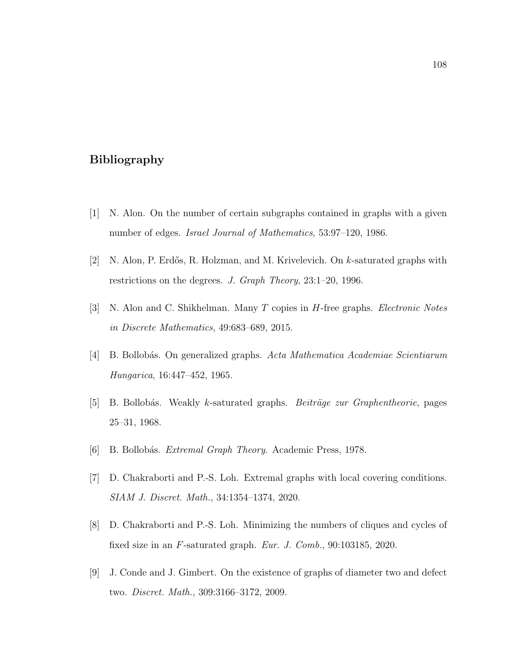## Bibliography

- [1] N. Alon. On the number of certain subgraphs contained in graphs with a given number of edges. Israel Journal of Mathematics, 53:97–120, 1986.
- [2] N. Alon, P. Erdős, R. Holzman, and M. Krivelevich. On  $k$ -saturated graphs with restrictions on the degrees. J. Graph Theory, 23:1–20, 1996.
- [3] N. Alon and C. Shikhelman. Many T copies in H-free graphs. Electronic Notes in Discrete Mathematics, 49:683–689, 2015.
- [4] B. Bollob´as. On generalized graphs. Acta Mathematica Academiae Scientiarum Hungarica, 16:447–452, 1965.
- <span id="page-116-0"></span>[5] B. Bollobás. Weakly k-saturated graphs. Beiträge zur Graphentheorie, pages 25–31, 1968.
- [6] B. Bollobás. Extremal Graph Theory. Academic Press, 1978.
- [7] D. Chakraborti and P.-S. Loh. Extremal graphs with local covering conditions. SIAM J. Discret. Math., 34:1354–1374, 2020.
- [8] D. Chakraborti and P.-S. Loh. Minimizing the numbers of cliques and cycles of fixed size in an F-saturated graph. Eur. J. Comb., 90:103185, 2020.
- [9] J. Conde and J. Gimbert. On the existence of graphs of diameter two and defect two. Discret. Math., 309:3166–3172, 2009.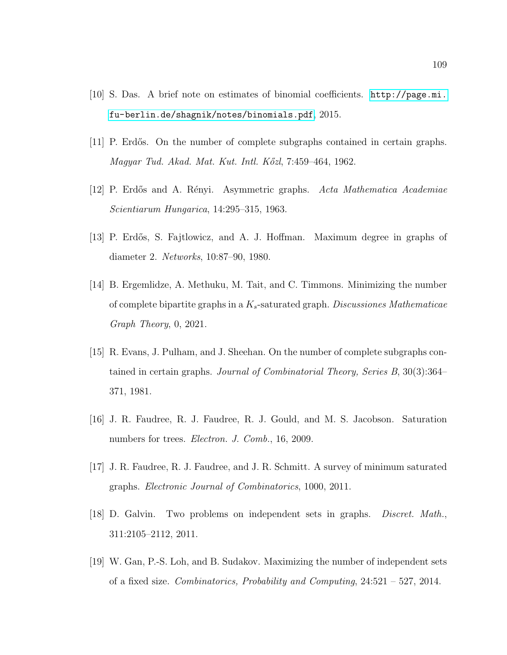- [10] S. Das. A brief note on estimates of binomial coefficients. [http://page.mi.](http://page.mi.fu-berlin.de/shagnik/notes/binomials.pdf) [fu-berlin.de/shagnik/notes/binomials.pdf](http://page.mi.fu-berlin.de/shagnik/notes/binomials.pdf), 2015.
- [11] P. Erdős. On the number of complete subgraphs contained in certain graphs. Magyar Tud. Akad. Mat. Kut. Intl. K˝ozl, 7:459–464, 1962.
- [12] P. Erdős and A. Rényi. Asymmetric graphs. Acta Mathematica Academiae Scientiarum Hungarica, 14:295–315, 1963.
- [13] P. Erdős, S. Fajtlowicz, and A. J. Hoffman. Maximum degree in graphs of diameter 2. Networks, 10:87–90, 1980.
- [14] B. Ergemlidze, A. Methuku, M. Tait, and C. Timmons. Minimizing the number of complete bipartite graphs in a  $K_s$ -saturated graph. Discussiones Mathematicae Graph Theory, 0, 2021.
- [15] R. Evans, J. Pulham, and J. Sheehan. On the number of complete subgraphs contained in certain graphs. Journal of Combinatorial Theory, Series B, 30(3):364– 371, 1981.
- [16] J. R. Faudree, R. J. Faudree, R. J. Gould, and M. S. Jacobson. Saturation numbers for trees. *Electron. J. Comb.*, 16, 2009.
- [17] J. R. Faudree, R. J. Faudree, and J. R. Schmitt. A survey of minimum saturated graphs. Electronic Journal of Combinatorics, 1000, 2011.
- [18] D. Galvin. Two problems on independent sets in graphs. Discret. Math., 311:2105–2112, 2011.
- [19] W. Gan, P.-S. Loh, and B. Sudakov. Maximizing the number of independent sets of a fixed size. Combinatorics, Probability and Computing, 24:521 – 527, 2014.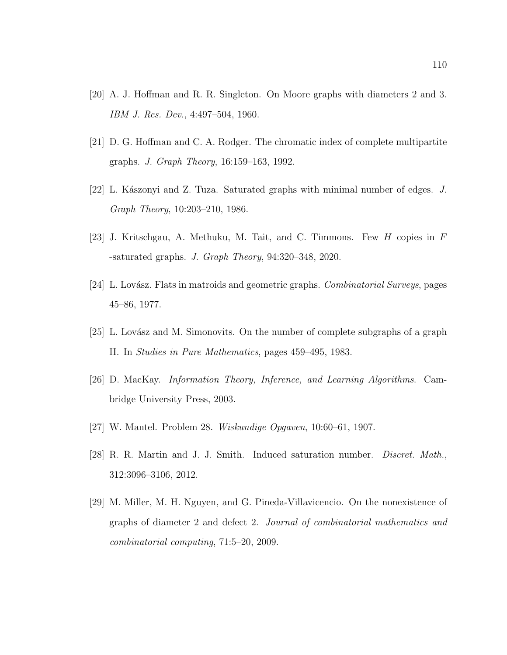- [20] A. J. Hoffman and R. R. Singleton. On Moore graphs with diameters 2 and 3. IBM J. Res. Dev., 4:497–504, 1960.
- [21] D. G. Hoffman and C. A. Rodger. The chromatic index of complete multipartite graphs. J. Graph Theory, 16:159–163, 1992.
- [22] L. Kászonyi and Z. Tuza. Saturated graphs with minimal number of edges.  $J$ . Graph Theory, 10:203–210, 1986.
- [23] J. Kritschgau, A. Methuku, M. Tait, and C. Timmons. Few H copies in F -saturated graphs. J. Graph Theory, 94:320–348, 2020.
- <span id="page-118-0"></span>[24] L. Lovász. Flats in matroids and geometric graphs. Combinatorial Surveys, pages 45–86, 1977.
- [25] L. Lovász and M. Simonovits. On the number of complete subgraphs of a graph II. In Studies in Pure Mathematics, pages 459–495, 1983.
- [26] D. MacKay. Information Theory, Inference, and Learning Algorithms. Cambridge University Press, 2003.
- [27] W. Mantel. Problem 28. Wiskundige Opgaven, 10:60–61, 1907.
- [28] R. R. Martin and J. J. Smith. Induced saturation number. Discret. Math., 312:3096–3106, 2012.
- [29] M. Miller, M. H. Nguyen, and G. Pineda-Villavicencio. On the nonexistence of graphs of diameter 2 and defect 2. Journal of combinatorial mathematics and combinatorial computing, 71:5–20, 2009.